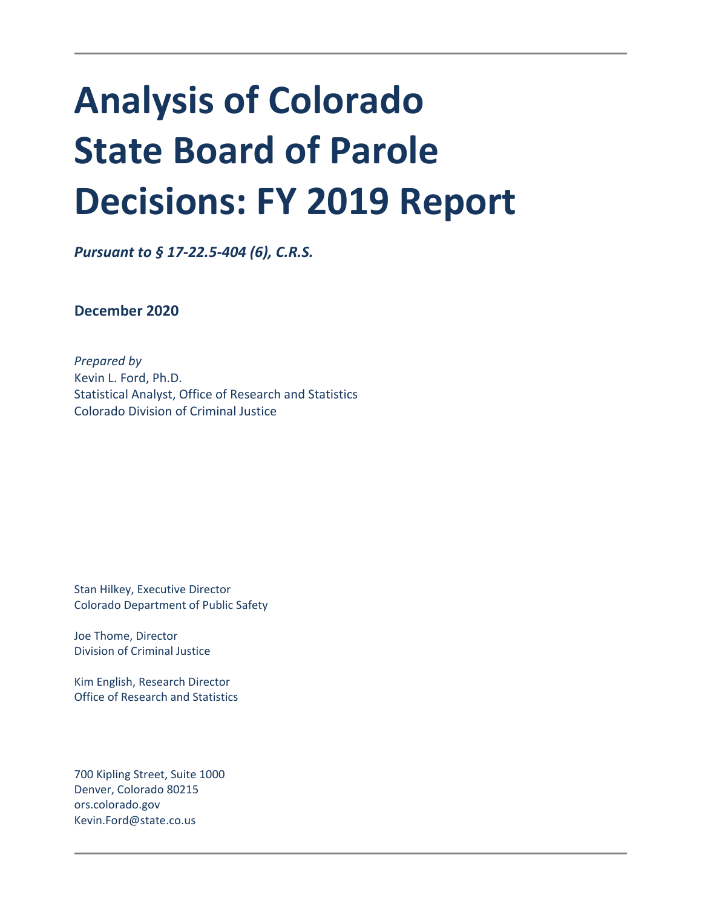# **Analysis of Colorado State Board of Parole Decisions: FY 2019 Report**

*Pursuant to § 17-22.5-404 (6), C.R.S.*

**December 2020**

*Prepared by*  Kevin L. Ford, Ph.D. Statistical Analyst, Office of Research and Statistics Colorado Division of Criminal Justice

Stan Hilkey, Executive Director Colorado Department of Public Safety

Joe Thome, Director Division of Criminal Justice

Kim English, Research Director Office of Research and Statistics

700 Kipling Street, Suite 1000 Denver, Colorado 80215 ors.colorado.gov Kevin.Ford@state.co.us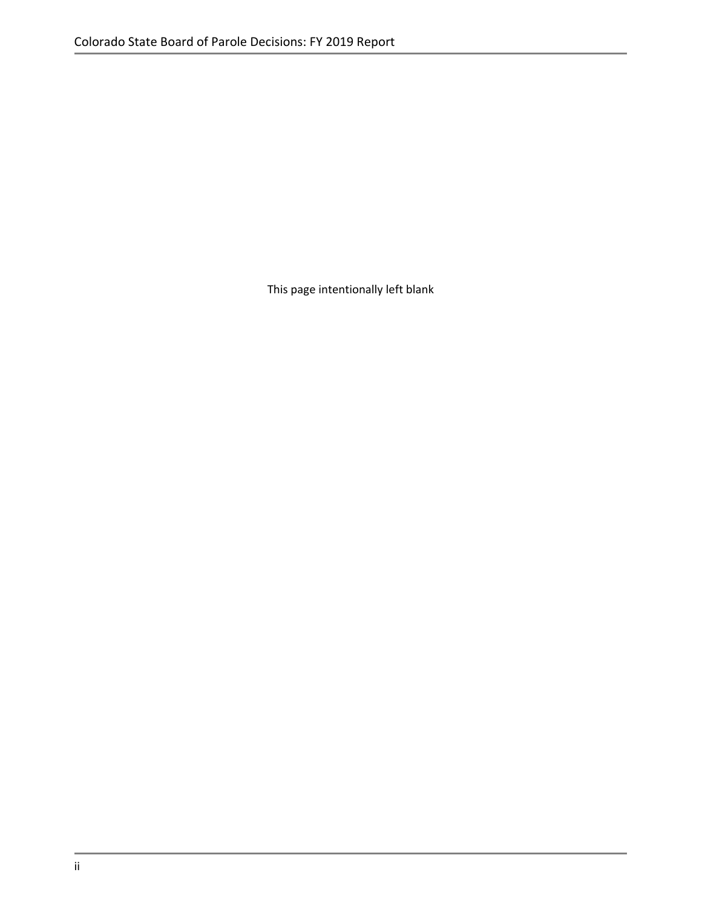This page intentionally left blank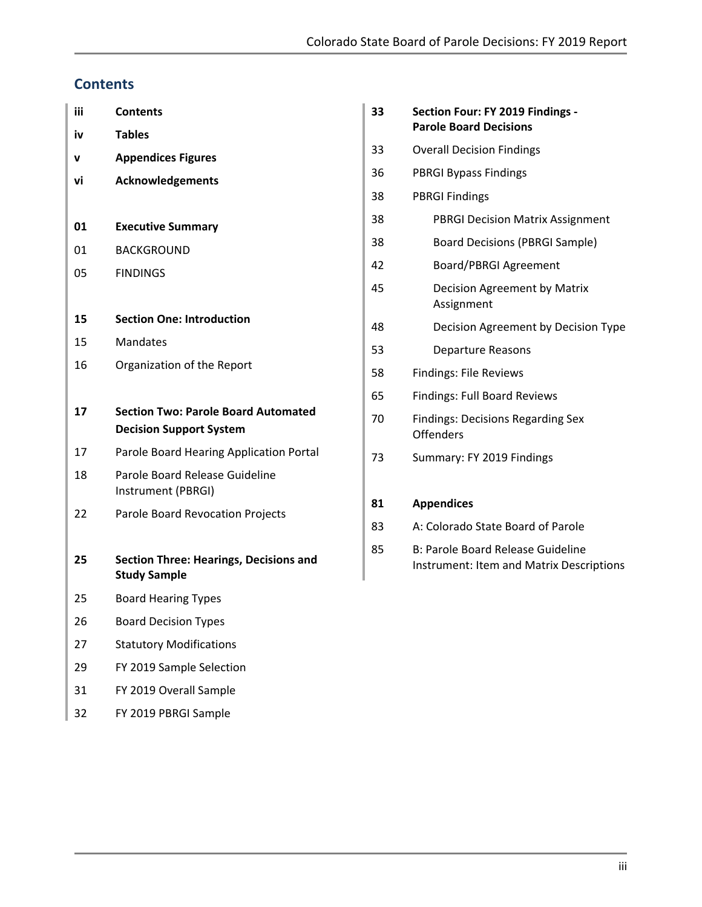## **Contents**

| iii | <b>Contents</b>                                                      |
|-----|----------------------------------------------------------------------|
| iv  | <b>Tables</b>                                                        |
| v   | <b>Appendices Figures</b>                                            |
| vi  | <b>Acknowledgements</b>                                              |
|     |                                                                      |
| 01  | <b>Executive Summary</b>                                             |
| 01  | <b>BACKGROUND</b>                                                    |
| 05  | <b>FINDINGS</b>                                                      |
|     |                                                                      |
| 15  | <b>Section One: Introduction</b>                                     |
| 15  | Mandates                                                             |
| 16  | Organization of the Report                                           |
|     |                                                                      |
| 17  | <b>Section Two: Parole Board Automated</b>                           |
|     | <b>Decision Support System</b>                                       |
| 17  | Parole Board Hearing Application Portal                              |
| 18  | Parole Board Release Guideline<br>Instrument (PBRGI)                 |
| 22  | Parole Board Revocation Projects                                     |
|     |                                                                      |
| 25  | <b>Section Three: Hearings, Decisions and</b><br><b>Study Sample</b> |
| 25  | <b>Board Hearing Types</b>                                           |
| 26  | <b>Board Decision Types</b>                                          |
| 27  | <b>Statutory Modifications</b>                                       |
| 29  | FY 2019 Sample Selection                                             |
| 31  | FY 2019 Overall Sample                                               |
| 32  | FY 2019 PBRGI Sample                                                 |

| 33 | Section Four: FY 2019 Findings -<br><b>Parole Board Decisions</b>                           |
|----|---------------------------------------------------------------------------------------------|
| 33 | <b>Overall Decision Findings</b>                                                            |
| 36 | <b>PBRGI Bypass Findings</b>                                                                |
| 38 | <b>PBRGI Findings</b>                                                                       |
| 38 | <b>PBRGI Decision Matrix Assignment</b>                                                     |
| 38 | <b>Board Decisions (PBRGI Sample)</b>                                                       |
| 42 | <b>Board/PBRGI Agreement</b>                                                                |
| 45 | Decision Agreement by Matrix<br>Assignment                                                  |
| 48 | Decision Agreement by Decision Type                                                         |
| 53 | <b>Departure Reasons</b>                                                                    |
| 58 | Findings: File Reviews                                                                      |
| 65 | <b>Findings: Full Board Reviews</b>                                                         |
| 70 | <b>Findings: Decisions Regarding Sex</b><br><b>Offenders</b>                                |
| 73 | Summary: FY 2019 Findings                                                                   |
| 81 | <b>Appendices</b>                                                                           |
| 83 | A: Colorado State Board of Parole                                                           |
| 85 | <b>B: Parole Board Release Guideline</b><br><b>Instrument: Item and Matrix Descriptions</b> |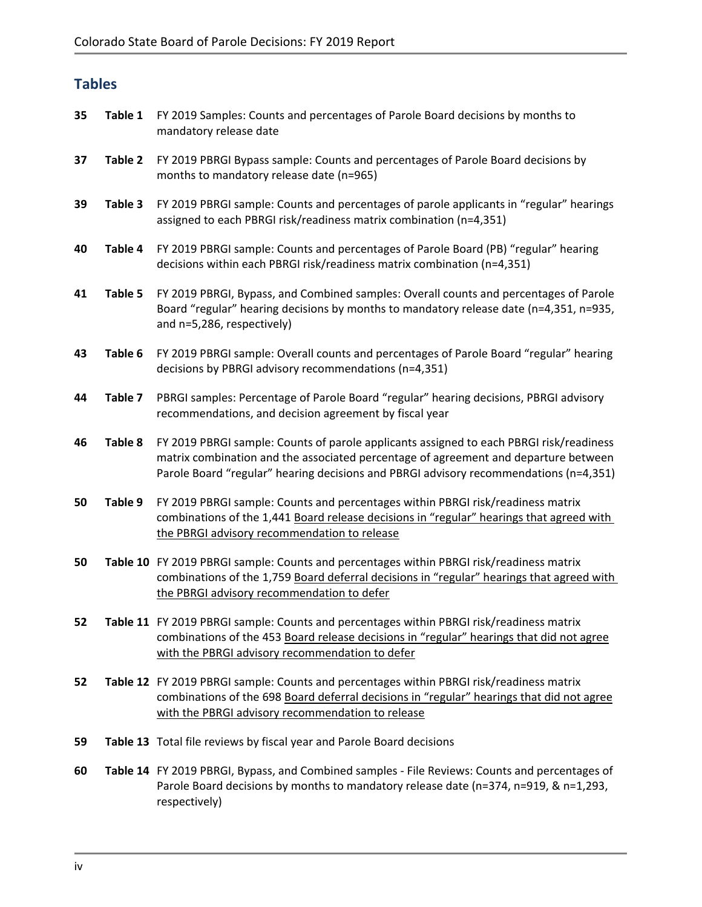## **Tables**

- **35 Table 1** FY 2019 Samples: Counts and percentages of Parole Board decisions by months to mandatory release date
- **37 Table 2** FY 2019 PBRGI Bypass sample: Counts and percentages of Parole Board decisions by months to mandatory release date (n=965)
- **39 Table 3** FY 2019 PBRGI sample: Counts and percentages of parole applicants in "regular" hearings assigned to each PBRGI risk/readiness matrix combination (n=4,351)
- **40 Table 4** FY 2019 PBRGI sample: Counts and percentages of Parole Board (PB) "regular" hearing decisions within each PBRGI risk/readiness matrix combination (n=4,351)
- **41 Table 5** FY 2019 PBRGI, Bypass, and Combined samples: Overall counts and percentages of Parole Board "regular" hearing decisions by months to mandatory release date (n=4,351, n=935, and n=5,286, respectively)
- **43 Table 6** FY 2019 PBRGI sample: Overall counts and percentages of Parole Board "regular" hearing decisions by PBRGI advisory recommendations (n=4,351)
- **44 Table 7** PBRGI samples: Percentage of Parole Board "regular" hearing decisions, PBRGI advisory recommendations, and decision agreement by fiscal year
- **46 Table 8** FY 2019 PBRGI sample: Counts of parole applicants assigned to each PBRGI risk/readiness matrix combination and the associated percentage of agreement and departure between Parole Board "regular" hearing decisions and PBRGI advisory recommendations (n=4,351)
- **50 Table 9** FY 2019 PBRGI sample: Counts and percentages within PBRGI risk/readiness matrix combinations of the 1,441 Board release decisions in "regular" hearings that agreed with the PBRGI advisory recommendation to release
- **50 Table 10** FY 2019 PBRGI sample: Counts and percentages within PBRGI risk/readiness matrix combinations of the 1,759 Board deferral decisions in "regular" hearings that agreed with the PBRGI advisory recommendation to defer
- **52 Table 11** FY 2019 PBRGI sample: Counts and percentages within PBRGI risk/readiness matrix combinations of the 453 Board release decisions in "regular" hearings that did not agree with the PBRGI advisory recommendation to defer
- **52 Table 12** FY 2019 PBRGI sample: Counts and percentages within PBRGI risk/readiness matrix combinations of the 698 Board deferral decisions in "regular" hearings that did not agree with the PBRGI advisory recommendation to release
- **59 Table 13** Total file reviews by fiscal year and Parole Board decisions
- **60 Table 14** FY 2019 PBRGI, Bypass, and Combined samples File Reviews: Counts and percentages of Parole Board decisions by months to mandatory release date (n=374, n=919, & n=1,293, respectively)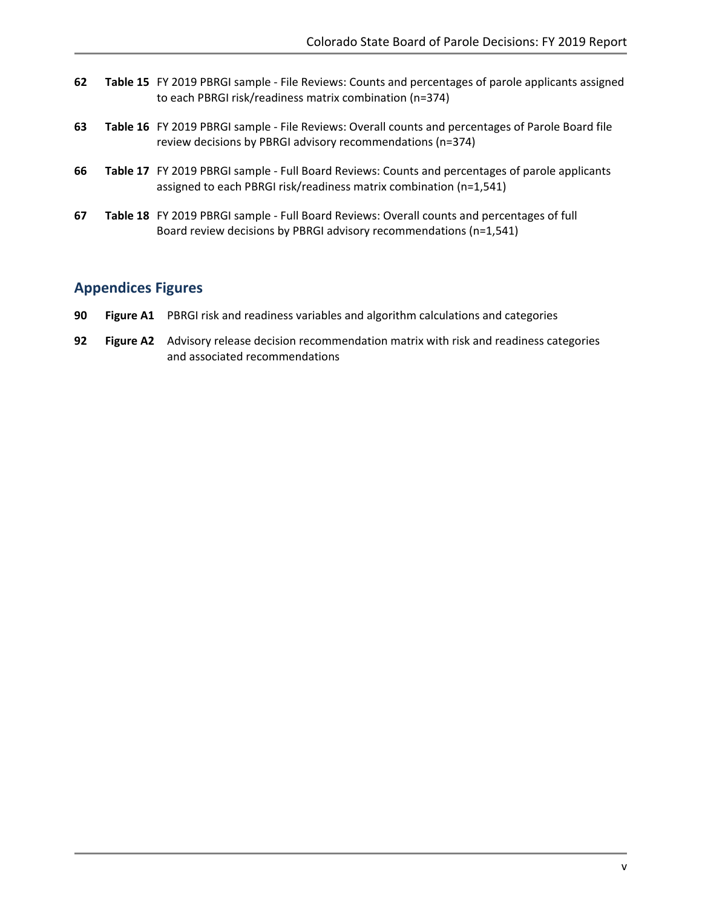- **62 Table 15** FY 2019 PBRGI sample File Reviews: Counts and percentages of parole applicants assigned to each PBRGI risk/readiness matrix combination (n=374)
- **63 Table 16** FY 2019 PBRGI sample File Reviews: Overall counts and percentages of Parole Board file review decisions by PBRGI advisory recommendations (n=374)
- **66 Table 17** FY 2019 PBRGI sample Full Board Reviews: Counts and percentages of parole applicants assigned to each PBRGI risk/readiness matrix combination (n=1,541)
- **67 Table 18** FY 2019 PBRGI sample Full Board Reviews: Overall counts and percentages of full Board review decisions by PBRGI advisory recommendations (n=1,541)

## **Appendices Figures**

- **90 Figure A1** PBRGI risk and readiness variables and algorithm calculations and categories
- **92 Figure A2** Advisory release decision recommendation matrix with risk and readiness categories and associated recommendations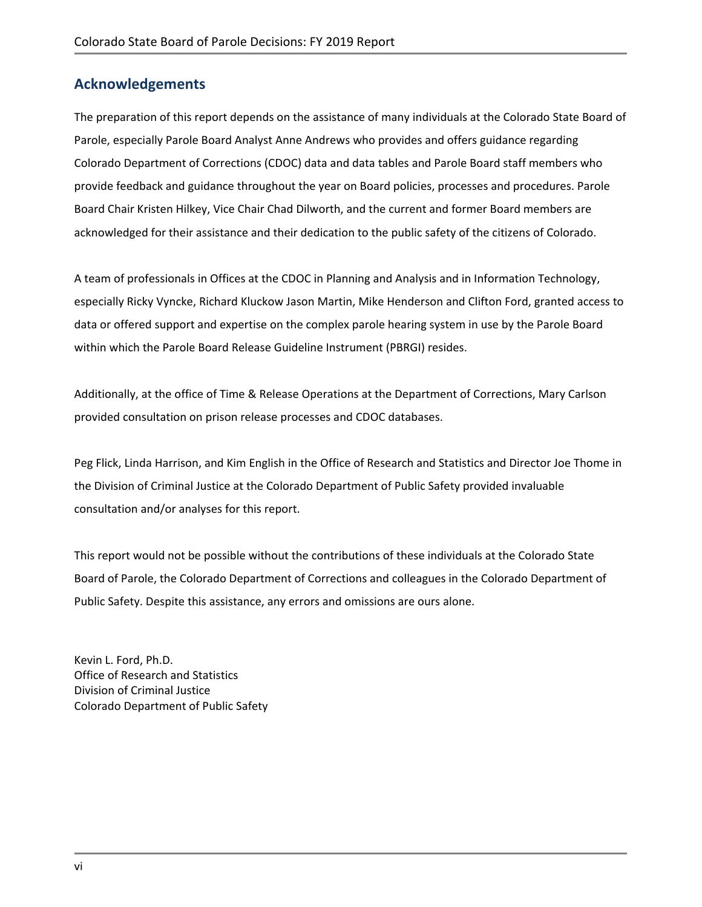## **Acknowledgements**

The preparation of this report depends on the assistance of many individuals at the Colorado State Board of Parole, especially Parole Board Analyst Anne Andrews who provides and offers guidance regarding Colorado Department of Corrections (CDOC) data and data tables and Parole Board staff members who provide feedback and guidance throughout the year on Board policies, processes and procedures. Parole Board Chair Kristen Hilkey, Vice Chair Chad Dilworth, and the current and former Board members are acknowledged for their assistance and their dedication to the public safety of the citizens of Colorado.

A team of professionals in Offices at the CDOC in Planning and Analysis and in Information Technology, especially Ricky Vyncke, Richard Kluckow Jason Martin, Mike Henderson and Clifton Ford, granted access to data or offered support and expertise on the complex parole hearing system in use by the Parole Board within which the Parole Board Release Guideline Instrument (PBRGI) resides.

Additionally, at the office of Time & Release Operations at the Department of Corrections, Mary Carlson provided consultation on prison release processes and CDOC databases.

Peg Flick, Linda Harrison, and Kim English in the Office of Research and Statistics and Director Joe Thome in the Division of Criminal Justice at the Colorado Department of Public Safety provided invaluable consultation and/or analyses for this report.

This report would not be possible without the contributions of these individuals at the Colorado State Board of Parole, the Colorado Department of Corrections and colleagues in the Colorado Department of Public Safety. Despite this assistance, any errors and omissions are ours alone.

Kevin L. Ford, Ph.D. Office of Research and Statistics Division of Criminal Justice Colorado Department of Public Safety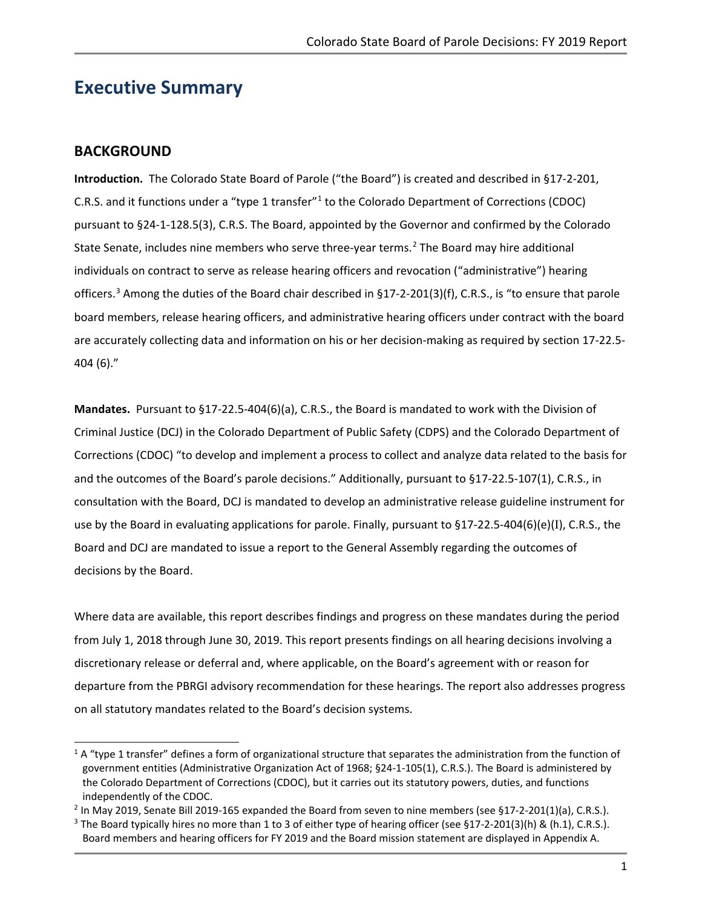## **Executive Summary**

## **BACKGROUND**

**Introduction.** The Colorado State Board of Parole ("the Board") is created and described in §17-2-201, C.R.S. and it functions under a "type 1 transfer"[1](#page-6-0) to the Colorado Department of Corrections (CDOC) pursuant to §24-1-128.5(3), C.R.S. The Board, appointed by the Governor and confirmed by the Colorado State Senate, includes nine members who serve three-year terms.<sup>[2](#page-6-1)</sup> The Board may hire additional individuals on contract to serve as release hearing officers and revocation ("administrative") hearing officers.<sup>[3](#page-6-2)</sup> Among the duties of the Board chair described in §17-2-201(3)(f), C.R.S., is "to ensure that parole board members, release hearing officers, and administrative hearing officers under contract with the board are accurately collecting data and information on his or her decision-making as required by section 17-22.5- 404 (6)."

**Mandates.** Pursuant to §17-22.5-404(6)(a), C.R.S., the Board is mandated to work with the Division of Criminal Justice (DCJ) in the Colorado Department of Public Safety (CDPS) and the Colorado Department of Corrections (CDOC) "to develop and implement a process to collect and analyze data related to the basis for and the outcomes of the Board's parole decisions." Additionally, pursuant to §17-22.5-107(1), C.R.S., in consultation with the Board, DCJ is mandated to develop an administrative release guideline instrument for use by the Board in evaluating applications for parole. Finally, pursuant to §17-22.5-404(6)(e)(I), C.R.S., the Board and DCJ are mandated to issue a report to the General Assembly regarding the outcomes of decisions by the Board.

Where data are available, this report describes findings and progress on these mandates during the period from July 1, 2018 through June 30, 2019. This report presents findings on all hearing decisions involving a discretionary release or deferral and, where applicable, on the Board's agreement with or reason for departure from the PBRGI advisory recommendation for these hearings. The report also addresses progress on all statutory mandates related to the Board's decision systems.

<span id="page-6-0"></span> $1A$  "type 1 transfer" defines a form of organizational structure that separates the administration from the function of government entities (Administrative Organization Act of 1968; §24-1-105(1), C.R.S.). The Board is administered by the Colorado Department of Corrections (CDOC), but it carries out its statutory powers, duties, and functions independently of the CDOC.

<span id="page-6-1"></span><sup>&</sup>lt;sup>2</sup> In May 2019, Senate Bill 2019-165 expanded the Board from seven to nine members (see §17-2-201(1)(a), C.R.S.).

<span id="page-6-2"></span><sup>&</sup>lt;sup>3</sup> The Board typically hires no more than 1 to 3 of either type of hearing officer (see §17-2-201(3)(h) & (h.1), C.R.S.). Board members and hearing officers for FY 2019 and the Board mission statement are displayed in Appendix A.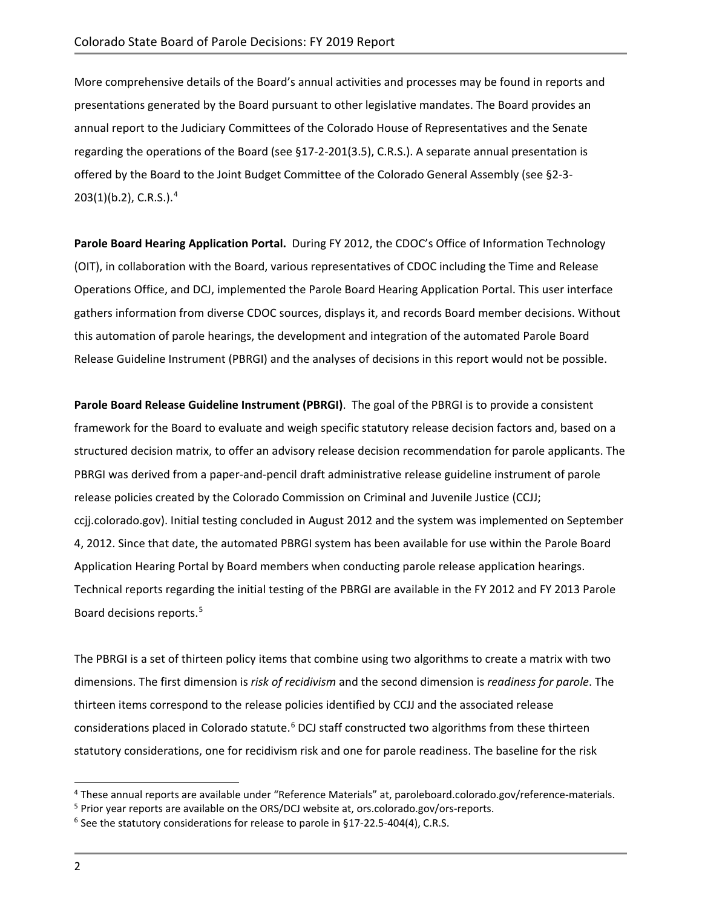More comprehensive details of the Board's annual activities and processes may be found in reports and presentations generated by the Board pursuant to other legislative mandates. The Board provides an annual report to the Judiciary Committees of the Colorado House of Representatives and the Senate regarding the operations of the Board (see §17-2-201(3.5), C.R.S.). A separate annual presentation is offered by the Board to the Joint Budget Committee of the Colorado General Assembly (see §2-3- 203(1)(b.2), C.R.S.). [4](#page-7-0)

**Parole Board Hearing Application Portal.** During FY 2012, the CDOC's Office of Information Technology (OIT), in collaboration with the Board, various representatives of CDOC including the Time and Release Operations Office, and DCJ, implemented the Parole Board Hearing Application Portal. This user interface gathers information from diverse CDOC sources, displays it, and records Board member decisions. Without this automation of parole hearings, the development and integration of the automated Parole Board Release Guideline Instrument (PBRGI) and the analyses of decisions in this report would not be possible.

**Parole Board Release Guideline Instrument (PBRGI)**. The goal of the PBRGI is to provide a consistent framework for the Board to evaluate and weigh specific statutory release decision factors and, based on a structured decision matrix, to offer an advisory release decision recommendation for parole applicants. The PBRGI was derived from a paper-and-pencil draft administrative release guideline instrument of parole release policies created by the Colorado Commission on Criminal and Juvenile Justice (CCJJ; ccjj.colorado.gov). Initial testing concluded in August 2012 and the system was implemented on September 4, 2012. Since that date, the automated PBRGI system has been available for use within the Parole Board Application Hearing Portal by Board members when conducting parole release application hearings. Technical reports regarding the initial testing of the PBRGI are available in the FY 2012 and FY 2013 Parole Board decisions reports.<sup>[5](#page-7-1)</sup>

The PBRGI is a set of thirteen policy items that combine using two algorithms to create a matrix with two dimensions. The first dimension is *risk of recidivism* and the second dimension is *readiness for parole*. The thirteen items correspond to the release policies identified by CCJJ and the associated release considerations placed in Colorado statute.<sup>[6](#page-7-2)</sup> DCJ staff constructed two algorithms from these thirteen statutory considerations, one for recidivism risk and one for parole readiness. The baseline for the risk

<span id="page-7-0"></span> <sup>4</sup> These annual reports are available under "Reference Materials" at, paroleboard.colorado.gov/reference-materials.

<span id="page-7-1"></span><sup>5</sup> Prior year reports are available on the ORS/DCJ website at, ors.colorado.gov/ors-reports.

<span id="page-7-2"></span> $6$  See the statutory considerations for release to parole in §17-22.5-404(4), C.R.S.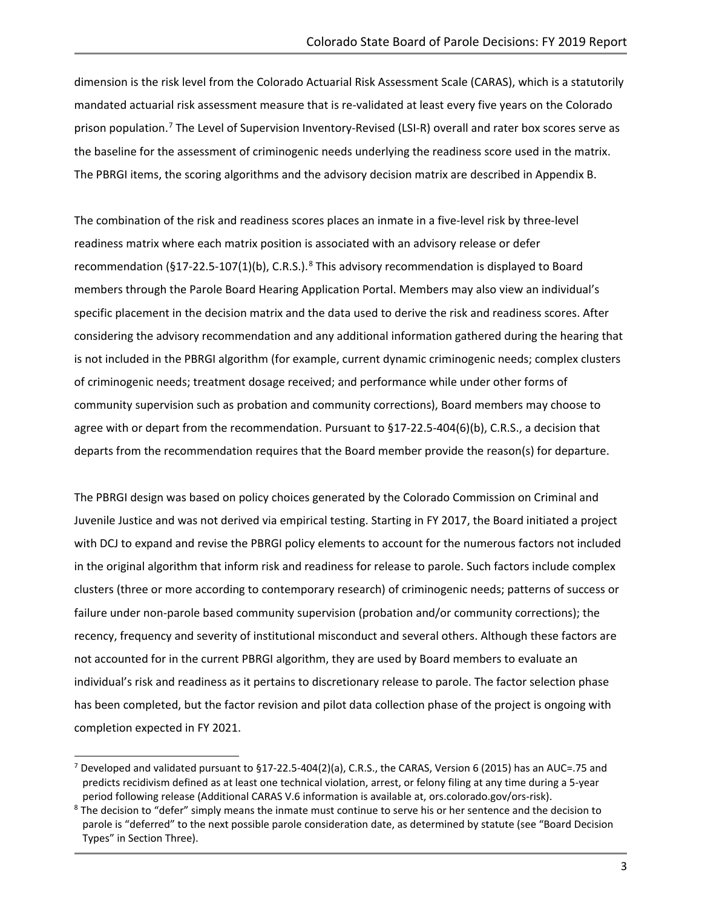dimension is the risk level from the Colorado Actuarial Risk Assessment Scale (CARAS), which is a statutorily mandated actuarial risk assessment measure that is re-validated at least every five years on the Colorado prison population.<sup>[7](#page-8-0)</sup> The Level of Supervision Inventory-Revised (LSI-R) overall and rater box scores serve as the baseline for the assessment of criminogenic needs underlying the readiness score used in the matrix. The PBRGI items, the scoring algorithms and the advisory decision matrix are described in Appendix B.

The combination of the risk and readiness scores places an inmate in a five-level risk by three-level readiness matrix where each matrix position is associated with an advisory release or defer recommendation (§17-22.5-107(1)(b), C.R.S.).<sup>[8](#page-8-1)</sup> This advisory recommendation is displayed to Board members through the Parole Board Hearing Application Portal. Members may also view an individual's specific placement in the decision matrix and the data used to derive the risk and readiness scores. After considering the advisory recommendation and any additional information gathered during the hearing that is not included in the PBRGI algorithm (for example, current dynamic criminogenic needs; complex clusters of criminogenic needs; treatment dosage received; and performance while under other forms of community supervision such as probation and community corrections), Board members may choose to agree with or depart from the recommendation. Pursuant to §17-22.5-404(6)(b), C.R.S., a decision that departs from the recommendation requires that the Board member provide the reason(s) for departure.

The PBRGI design was based on policy choices generated by the Colorado Commission on Criminal and Juvenile Justice and was not derived via empirical testing. Starting in FY 2017, the Board initiated a project with DCJ to expand and revise the PBRGI policy elements to account for the numerous factors not included in the original algorithm that inform risk and readiness for release to parole. Such factors include complex clusters (three or more according to contemporary research) of criminogenic needs; patterns of success or failure under non-parole based community supervision (probation and/or community corrections); the recency, frequency and severity of institutional misconduct and several others. Although these factors are not accounted for in the current PBRGI algorithm, they are used by Board members to evaluate an individual's risk and readiness as it pertains to discretionary release to parole. The factor selection phase has been completed, but the factor revision and pilot data collection phase of the project is ongoing with completion expected in FY 2021.

<span id="page-8-0"></span><sup>&</sup>lt;sup>7</sup> Developed and validated pursuant to §17-22.5-404(2)(a), C.R.S., the CARAS, Version 6 (2015) has an AUC=.75 and predicts recidivism defined as at least one technical violation, arrest, or felony filing at any time during a 5-year period following release (Additional CARAS V.6 information is available at, ors.colorado.gov/ors-risk).

<span id="page-8-1"></span> $8$  The decision to "defer" simply means the inmate must continue to serve his or her sentence and the decision to parole is "deferred" to the next possible parole consideration date, as determined by statute (see "Board Decision Types" in Section Three).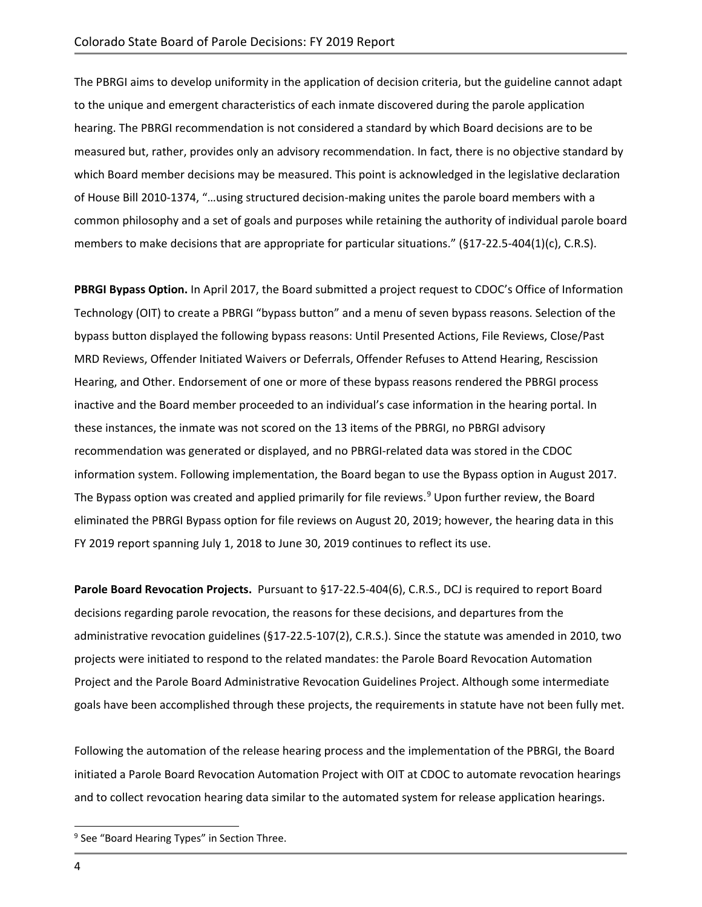The PBRGI aims to develop uniformity in the application of decision criteria, but the guideline cannot adapt to the unique and emergent characteristics of each inmate discovered during the parole application hearing. The PBRGI recommendation is not considered a standard by which Board decisions are to be measured but, rather, provides only an advisory recommendation. In fact, there is no objective standard by which Board member decisions may be measured. This point is acknowledged in the legislative declaration of House Bill 2010-1374, "…using structured decision-making unites the parole board members with a common philosophy and a set of goals and purposes while retaining the authority of individual parole board members to make decisions that are appropriate for particular situations." (§17-22.5-404(1)(c), C.R.S).

**PBRGI Bypass Option.** In April 2017, the Board submitted a project request to CDOC's Office of Information Technology (OIT) to create a PBRGI "bypass button" and a menu of seven bypass reasons. Selection of the bypass button displayed the following bypass reasons: Until Presented Actions, File Reviews, Close/Past MRD Reviews, Offender Initiated Waivers or Deferrals, Offender Refuses to Attend Hearing, Rescission Hearing, and Other. Endorsement of one or more of these bypass reasons rendered the PBRGI process inactive and the Board member proceeded to an individual's case information in the hearing portal. In these instances, the inmate was not scored on the 13 items of the PBRGI, no PBRGI advisory recommendation was generated or displayed, and no PBRGI-related data was stored in the CDOC information system. Following implementation, the Board began to use the Bypass option in August 2017. The Bypass option was created and applied primarily for file reviews.<sup>[9](#page-9-0)</sup> Upon further review, the Board eliminated the PBRGI Bypass option for file reviews on August 20, 2019; however, the hearing data in this FY 2019 report spanning July 1, 2018 to June 30, 2019 continues to reflect its use.

**Parole Board Revocation Projects.** Pursuant to §17-22.5-404(6), C.R.S., DCJ is required to report Board decisions regarding parole revocation, the reasons for these decisions, and departures from the administrative revocation guidelines (§17-22.5-107(2), C.R.S.). Since the statute was amended in 2010, two projects were initiated to respond to the related mandates: the Parole Board Revocation Automation Project and the Parole Board Administrative Revocation Guidelines Project. Although some intermediate goals have been accomplished through these projects, the requirements in statute have not been fully met.

Following the automation of the release hearing process and the implementation of the PBRGI, the Board initiated a Parole Board Revocation Automation Project with OIT at CDOC to automate revocation hearings and to collect revocation hearing data similar to the automated system for release application hearings.

<span id="page-9-0"></span><sup>&</sup>lt;sup>9</sup> See "Board Hearing Types" in Section Three.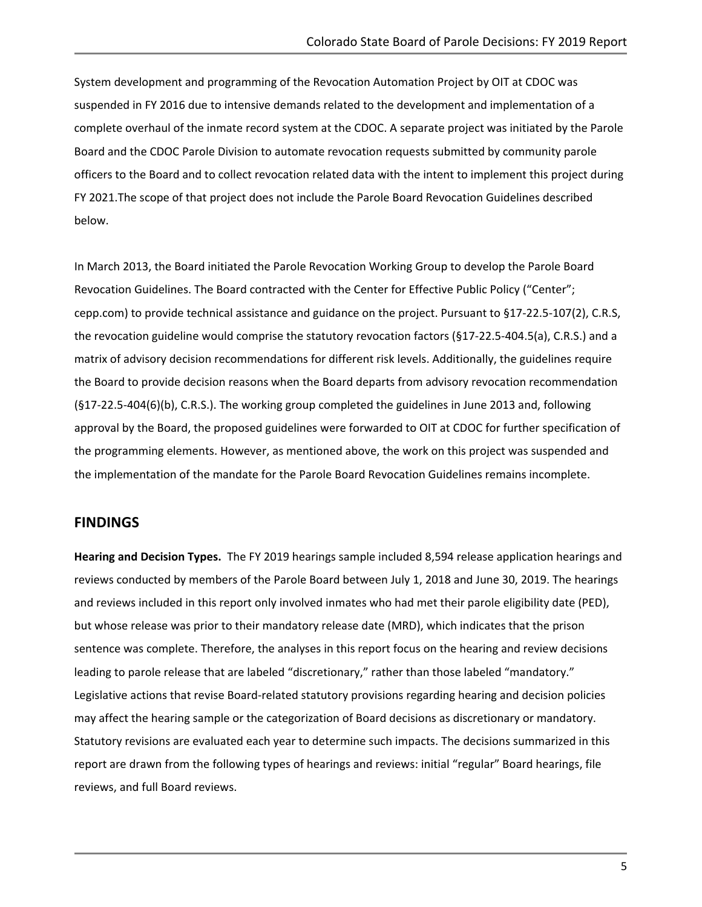System development and programming of the Revocation Automation Project by OIT at CDOC was suspended in FY 2016 due to intensive demands related to the development and implementation of a complete overhaul of the inmate record system at the CDOC. A separate project was initiated by the Parole Board and the CDOC Parole Division to automate revocation requests submitted by community parole officers to the Board and to collect revocation related data with the intent to implement this project during FY 2021.The scope of that project does not include the Parole Board Revocation Guidelines described below.

In March 2013, the Board initiated the Parole Revocation Working Group to develop the Parole Board Revocation Guidelines. The Board contracted with the Center for Effective Public Policy ("Center"; cepp.com) to provide technical assistance and guidance on the project. Pursuant to §17-22.5-107(2), C.R.S, the revocation guideline would comprise the statutory revocation factors (§17-22.5-404.5(a), C.R.S.) and a matrix of advisory decision recommendations for different risk levels. Additionally, the guidelines require the Board to provide decision reasons when the Board departs from advisory revocation recommendation (§17-22.5-404(6)(b), C.R.S.). The working group completed the guidelines in June 2013 and, following approval by the Board, the proposed guidelines were forwarded to OIT at CDOC for further specification of the programming elements. However, as mentioned above, the work on this project was suspended and the implementation of the mandate for the Parole Board Revocation Guidelines remains incomplete.

#### **FINDINGS**

**Hearing and Decision Types.** The FY 2019 hearings sample included 8,594 release application hearings and reviews conducted by members of the Parole Board between July 1, 2018 and June 30, 2019. The hearings and reviews included in this report only involved inmates who had met their parole eligibility date (PED), but whose release was prior to their mandatory release date (MRD), which indicates that the prison sentence was complete. Therefore, the analyses in this report focus on the hearing and review decisions leading to parole release that are labeled "discretionary," rather than those labeled "mandatory." Legislative actions that revise Board-related statutory provisions regarding hearing and decision policies may affect the hearing sample or the categorization of Board decisions as discretionary or mandatory. Statutory revisions are evaluated each year to determine such impacts. The decisions summarized in this report are drawn from the following types of hearings and reviews: initial "regular" Board hearings, file reviews, and full Board reviews.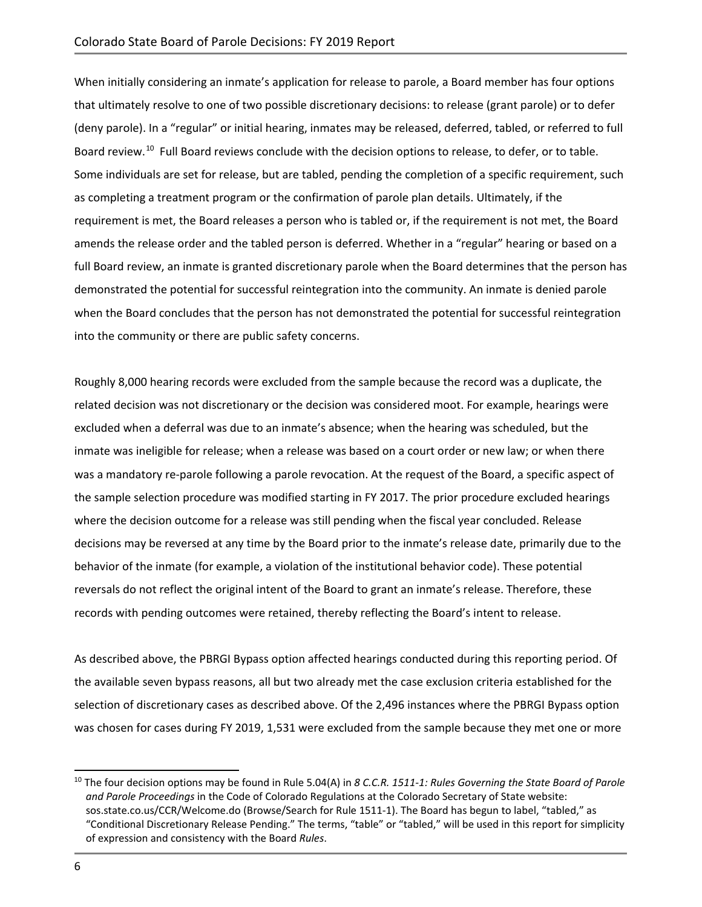When initially considering an inmate's application for release to parole, a Board member has four options that ultimately resolve to one of two possible discretionary decisions: to release (grant parole) or to defer (deny parole). In a "regular" or initial hearing, inmates may be released, deferred, tabled, or referred to full Board review.<sup>[10](#page-11-0)</sup> Full Board reviews conclude with the decision options to release, to defer, or to table. Some individuals are set for release, but are tabled, pending the completion of a specific requirement, such as completing a treatment program or the confirmation of parole plan details. Ultimately, if the requirement is met, the Board releases a person who is tabled or, if the requirement is not met, the Board amends the release order and the tabled person is deferred. Whether in a "regular" hearing or based on a full Board review, an inmate is granted discretionary parole when the Board determines that the person has demonstrated the potential for successful reintegration into the community. An inmate is denied parole when the Board concludes that the person has not demonstrated the potential for successful reintegration into the community or there are public safety concerns.

Roughly 8,000 hearing records were excluded from the sample because the record was a duplicate, the related decision was not discretionary or the decision was considered moot. For example, hearings were excluded when a deferral was due to an inmate's absence; when the hearing was scheduled, but the inmate was ineligible for release; when a release was based on a court order or new law; or when there was a mandatory re-parole following a parole revocation. At the request of the Board, a specific aspect of the sample selection procedure was modified starting in FY 2017. The prior procedure excluded hearings where the decision outcome for a release was still pending when the fiscal year concluded. Release decisions may be reversed at any time by the Board prior to the inmate's release date, primarily due to the behavior of the inmate (for example, a violation of the institutional behavior code). These potential reversals do not reflect the original intent of the Board to grant an inmate's release. Therefore, these records with pending outcomes were retained, thereby reflecting the Board's intent to release.

As described above, the PBRGI Bypass option affected hearings conducted during this reporting period. Of the available seven bypass reasons, all but two already met the case exclusion criteria established for the selection of discretionary cases as described above. Of the 2,496 instances where the PBRGI Bypass option was chosen for cases during FY 2019, 1,531 were excluded from the sample because they met one or more

<span id="page-11-0"></span> <sup>10</sup> The four decision options may be found in Rule 5.04(A) in *8 C.C.R. 1511-1: Rules Governing the State Board of Parole and Parole Proceedings* in the Code of Colorado Regulations at the Colorado Secretary of State website: sos.state.co.us/CCR/Welcome.do (Browse/Search for Rule 1511-1). The Board has begun to label, "tabled," as "Conditional Discretionary Release Pending." The terms, "table" or "tabled," will be used in this report for simplicity of expression and consistency with the Board *Rules*.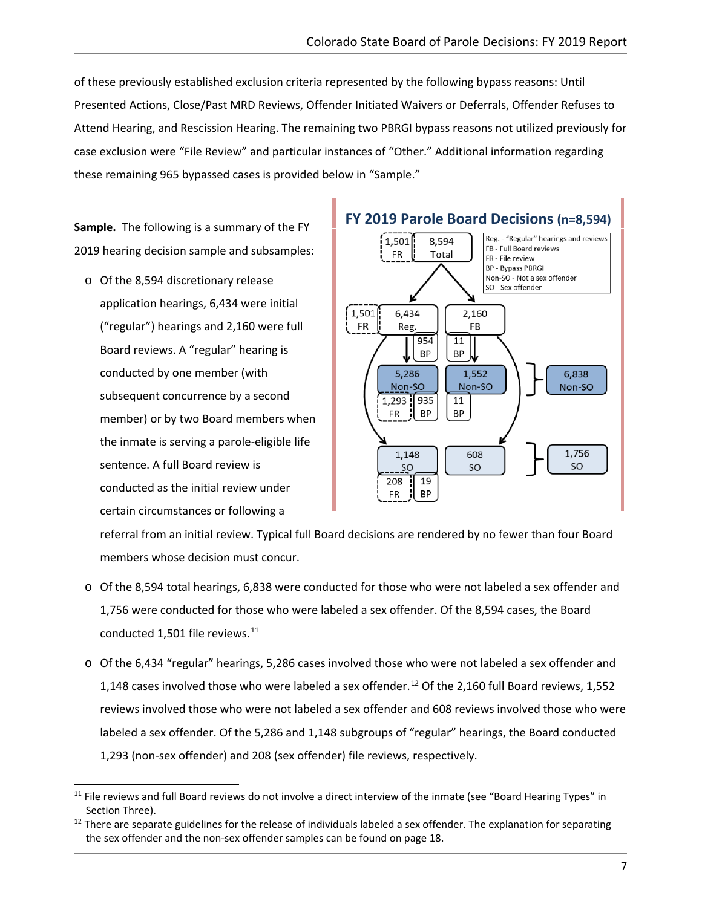of these previously established exclusion criteria represented by the following bypass reasons: Until Presented Actions, Close/Past MRD Reviews, Offender Initiated Waivers or Deferrals, Offender Refuses to Attend Hearing, and Rescission Hearing. The remaining two PBRGI bypass reasons not utilized previously for case exclusion were "File Review" and particular instances of "Other." Additional information regarding these remaining 965 bypassed cases is provided below in "Sample."

**Sample.** The following is a summary of the FY 2019 hearing decision sample and subsamples:

o Of the 8,594 discretionary release application hearings, 6,434 were initial ("regular") hearings and 2,160 were full Board reviews. A "regular" hearing is conducted by one member (with subsequent concurrence by a second member) or by two Board members when the inmate is serving a parole-eligible life sentence. A full Board review is conducted as the initial review under certain circumstances or following a



referral from an initial review. Typical full Board decisions are rendered by no fewer than four Board members whose decision must concur.

- o Of the 8,594 total hearings, 6,838 were conducted for those who were not labeled a sex offender and 1,756 were conducted for those who were labeled a sex offender. Of the 8,594 cases, the Board conducted 1,501 file reviews.<sup>[11](#page-12-0)</sup>
- o Of the 6,434 "regular" hearings, 5,286 cases involved those who were not labeled a sex offender and 1,148 cases involved those who were labeled a sex offender.<sup>[12](#page-12-1)</sup> Of the 2,160 full Board reviews, 1,552 reviews involved those who were not labeled a sex offender and 608 reviews involved those who were labeled a sex offender. Of the 5,286 and 1,148 subgroups of "regular" hearings, the Board conducted 1,293 (non-sex offender) and 208 (sex offender) file reviews, respectively.

<span id="page-12-0"></span><sup>&</sup>lt;sup>11</sup> File reviews and full Board reviews do not involve a direct interview of the inmate (see "Board Hearing Types" in Section Three).

<span id="page-12-1"></span> $12$  There are separate guidelines for the release of individuals labeled a sex offender. The explanation for separating the sex offender and the non-sex offender samples can be found on page 18.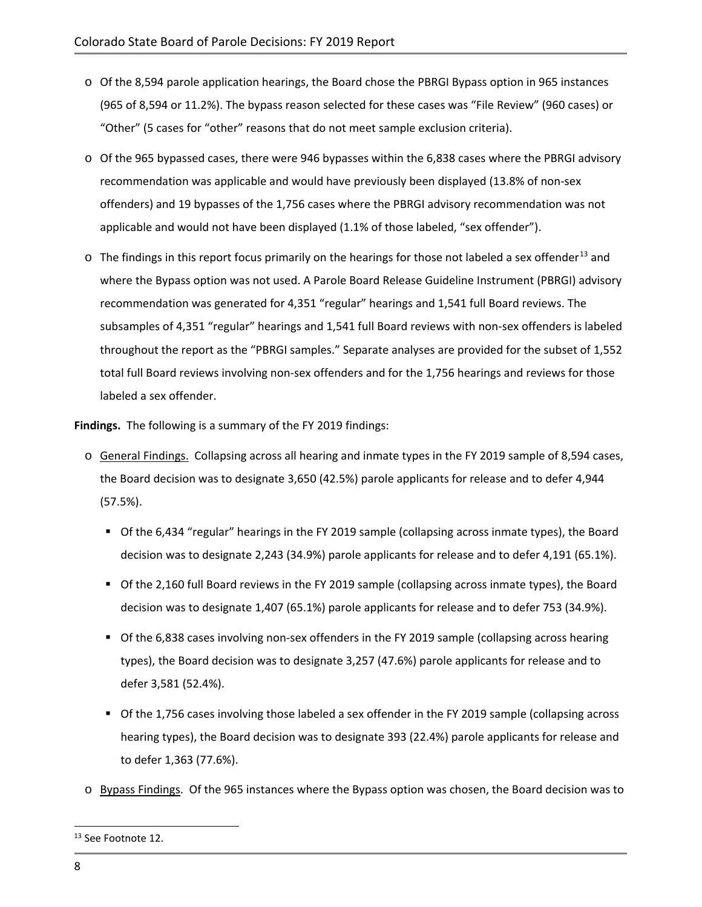- o Of the 8,594 parole application hearings, the Board chose the PBRGI Bypass option in 965 instances (965 of 8,594 or 11.2%). The bypass reason selected for these cases was "File Review" (960 cases) or "Other" (5 cases for "other" reasons that do not meet sample exclusion criteria).
- o Of the 965 bypassed cases, there were 946 bypasses within the 6,838 cases where the PBRGI advisory recommendation was applicable and would have previously been displayed (13.8% of non-sex offenders) and 19 bypasses of the 1,756 cases where the PBRGI advisory recommendation was not applicable and would not have been displayed (1.1% of those labeled, "sex offender").
- $\circ$  The findings in this report focus primarily on the hearings for those not labeled a sex offender<sup>[13](#page-13-0)</sup> and where the Bypass option was not used. A Parole Board Release Guideline Instrument (PBRGI) advisory recommendation was generated for 4,351 "regular" hearings and 1,541 full Board reviews. The subsamples of 4,351 "regular" hearings and 1,541 full Board reviews with non-sex offenders is labeled throughout the report as the "PBRGI samples." Separate analyses are provided for the subset of 1,552 total full Board reviews involving non-sex offenders and for the 1,756 hearings and reviews for those labeled a sex offender.

**Findings.** The following is a summary of the FY 2019 findings:

- o General Findings.Collapsing across all hearing and inmate types in the FY 2019 sample of 8,594 cases, the Board decision was to designate 3,650 (42.5%) parole applicants for release and to defer 4,944 (57.5%).
	- Of the 6,434 "regular" hearings in the FY 2019 sample (collapsing across inmate types), the Board decision was to designate 2,243 (34.9%) parole applicants for release and to defer 4,191 (65.1%).
	- Of the 2,160 full Board reviews in the FY 2019 sample (collapsing across inmate types), the Board decision was to designate 1,407 (65.1%) parole applicants for release and to defer 753 (34.9%).
	- Of the 6,838 cases involving non-sex offenders in the FY 2019 sample (collapsing across hearing types), the Board decision was to designate 3,257 (47.6%) parole applicants for release and to defer 3,581 (52.4%).
	- Of the 1,756 cases involving those labeled a sex offender in the FY 2019 sample (collapsing across hearing types), the Board decision was to designate 393 (22.4%) parole applicants for release and to defer 1,363 (77.6%).
- o Bypass Findings. Of the 965 instances where the Bypass option was chosen, the Board decision was to

<span id="page-13-0"></span><sup>&</sup>lt;sup>13</sup> See Footnote 12.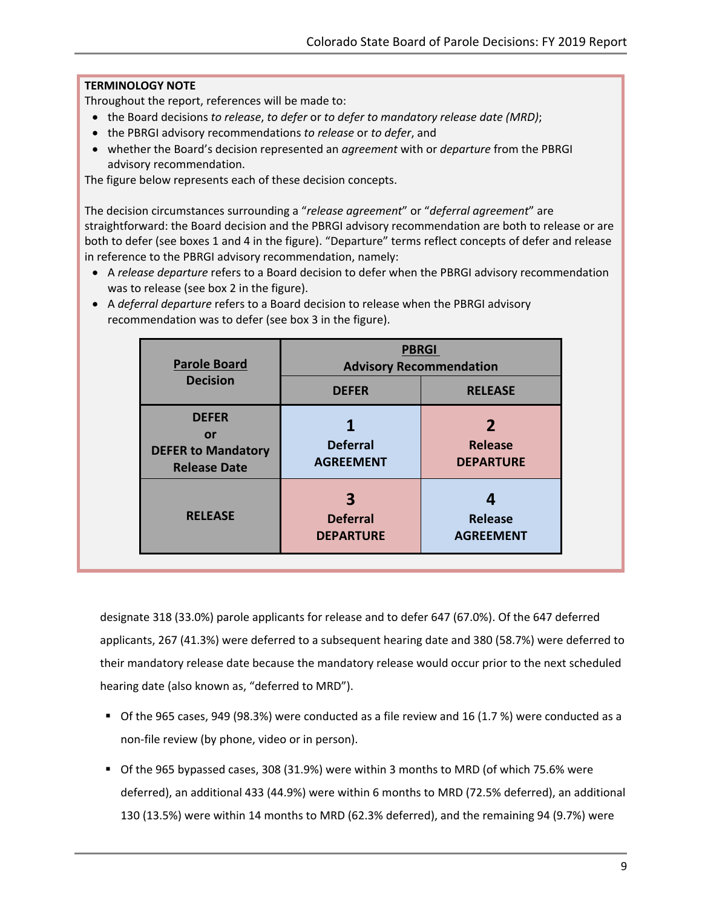#### **TERMINOLOGY NOTE**

Throughout the report, references will be made to:

- the Board decisions *to release*, *to defer* or *to defer to mandatory release date (MRD)*;
- the PBRGI advisory recommendations *to release* or *to defer*, and
- whether the Board's decision represented an *agreement* with or *departure* from the PBRGI advisory recommendation.

The figure below represents each of these decision concepts.

The decision circumstances surrounding a "*release agreement*" or "*deferral agreement*" are straightforward: the Board decision and the PBRGI advisory recommendation are both to release or are both to defer (see boxes 1 and 4 in the figure). "Departure" terms reflect concepts of defer and release in reference to the PBRGI advisory recommendation, namely:

- A *release departure* refers to a Board decision to defer when the PBRGI advisory recommendation was to release (see box 2 in the figure).
- A *deferral departure* refers to a Board decision to release when the PBRGI advisory recommendation was to defer (see box 3 in the figure).

| <b>Parole Board</b>                                                    | <b>PBRGI</b><br><b>Advisory Recommendation</b> |                                         |
|------------------------------------------------------------------------|------------------------------------------------|-----------------------------------------|
| <b>Decision</b>                                                        | <b>DEFER</b>                                   | <b>RELEASE</b>                          |
| <b>DEFER</b><br>or<br><b>DEFER to Mandatory</b><br><b>Release Date</b> | <b>Deferral</b><br><b>AGREEMENT</b>            | 2<br><b>Release</b><br><b>DEPARTURE</b> |
| <b>RELEASE</b>                                                         | <b>Deferral</b><br><b>DEPARTURE</b>            | <b>Release</b><br><b>AGREEMENT</b>      |

designate 318 (33.0%) parole applicants for release and to defer 647 (67.0%). Of the 647 deferred applicants, 267 (41.3%) were deferred to a subsequent hearing date and 380 (58.7%) were deferred to their mandatory release date because the mandatory release would occur prior to the next scheduled hearing date (also known as, "deferred to MRD").

- Of the 965 cases, 949 (98.3%) were conducted as a file review and 16 (1.7 %) were conducted as a non-file review (by phone, video or in person).
- Of the 965 bypassed cases, 308 (31.9%) were within 3 months to MRD (of which 75.6% were deferred), an additional 433 (44.9%) were within 6 months to MRD (72.5% deferred), an additional 130 (13.5%) were within 14 months to MRD (62.3% deferred), and the remaining 94 (9.7%) were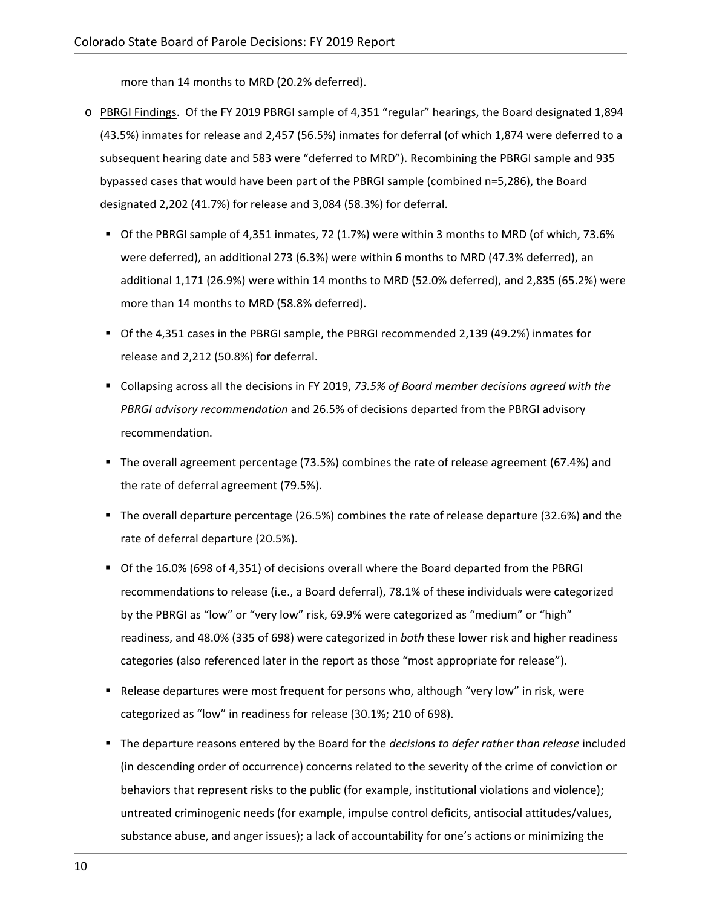more than 14 months to MRD (20.2% deferred).

- o PBRGI Findings. Of the FY 2019 PBRGI sample of 4,351 "regular" hearings, the Board designated 1,894 (43.5%) inmates for release and 2,457 (56.5%) inmates for deferral (of which 1,874 were deferred to a subsequent hearing date and 583 were "deferred to MRD"). Recombining the PBRGI sample and 935 bypassed cases that would have been part of the PBRGI sample (combined n=5,286), the Board designated 2,202 (41.7%) for release and 3,084 (58.3%) for deferral.
	- Of the PBRGI sample of 4,351 inmates, 72 (1.7%) were within 3 months to MRD (of which, 73.6% were deferred), an additional 273 (6.3%) were within 6 months to MRD (47.3% deferred), an additional 1,171 (26.9%) were within 14 months to MRD (52.0% deferred), and 2,835 (65.2%) were more than 14 months to MRD (58.8% deferred).
	- Of the 4,351 cases in the PBRGI sample, the PBRGI recommended 2,139 (49.2%) inmates for release and 2,212 (50.8%) for deferral.
	- Collapsing across all the decisions in FY 2019, *73.5% of Board member decisions agreed with the PBRGI advisory recommendation* and 26.5% of decisions departed from the PBRGI advisory recommendation.
	- The overall agreement percentage (73.5%) combines the rate of release agreement (67.4%) and the rate of deferral agreement (79.5%).
	- The overall departure percentage (26.5%) combines the rate of release departure (32.6%) and the rate of deferral departure (20.5%).
	- Of the 16.0% (698 of 4,351) of decisions overall where the Board departed from the PBRGI recommendations to release (i.e., a Board deferral), 78.1% of these individuals were categorized by the PBRGI as "low" or "very low" risk, 69.9% were categorized as "medium" or "high" readiness, and 48.0% (335 of 698) were categorized in *both* these lower risk and higher readiness categories (also referenced later in the report as those "most appropriate for release").
	- **Release departures were most frequent for persons who, although "very low" in risk, were** categorized as "low" in readiness for release (30.1%; 210 of 698).
	- The departure reasons entered by the Board for the *decisions to defer rather than release* included (in descending order of occurrence) concerns related to the severity of the crime of conviction or behaviors that represent risks to the public (for example, institutional violations and violence); untreated criminogenic needs (for example, impulse control deficits, antisocial attitudes/values, substance abuse, and anger issues); a lack of accountability for one's actions or minimizing the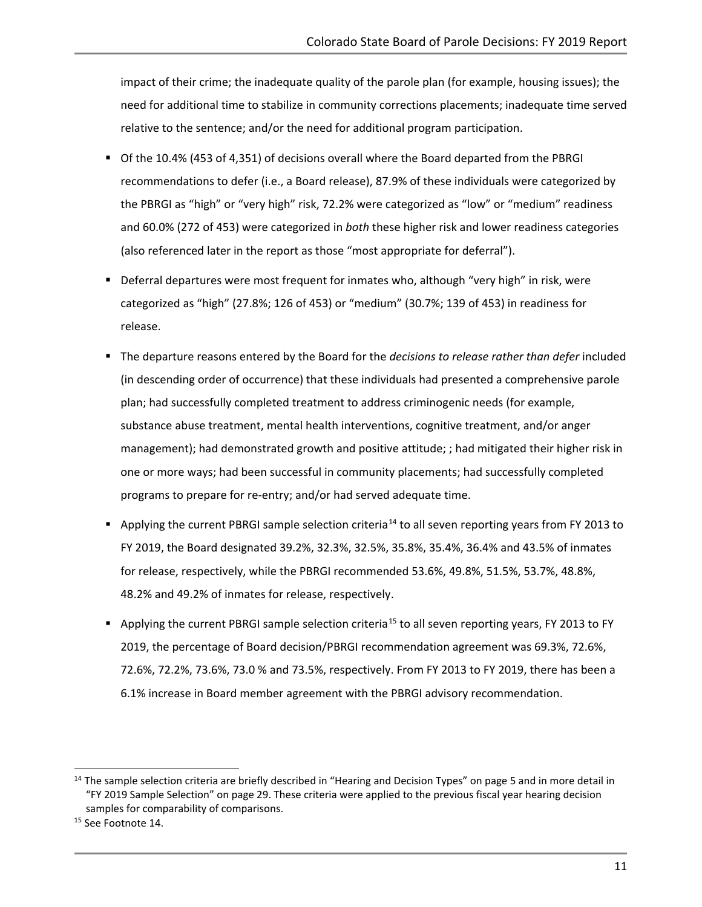impact of their crime; the inadequate quality of the parole plan (for example, housing issues); the need for additional time to stabilize in community corrections placements; inadequate time served relative to the sentence; and/or the need for additional program participation.

- Of the 10.4% (453 of 4,351) of decisions overall where the Board departed from the PBRGI recommendations to defer (i.e., a Board release), 87.9% of these individuals were categorized by the PBRGI as "high" or "very high" risk, 72.2% were categorized as "low" or "medium" readiness and 60.0% (272 of 453) were categorized in *both* these higher risk and lower readiness categories (also referenced later in the report as those "most appropriate for deferral").
- Deferral departures were most frequent for inmates who, although "very high" in risk, were categorized as "high" (27.8%; 126 of 453) or "medium" (30.7%; 139 of 453) in readiness for release.
- The departure reasons entered by the Board for the *decisions to release rather than defer* included (in descending order of occurrence) that these individuals had presented a comprehensive parole plan; had successfully completed treatment to address criminogenic needs (for example, substance abuse treatment, mental health interventions, cognitive treatment, and/or anger management); had demonstrated growth and positive attitude; ; had mitigated their higher risk in one or more ways; had been successful in community placements; had successfully completed programs to prepare for re-entry; and/or had served adequate time.
- Applying the current PBRGI sample selection criteria<sup>[14](#page-16-0)</sup> to all seven reporting years from FY 2013 to FY 2019, the Board designated 39.2%, 32.3%, 32.5%, 35.8%, 35.4%, 36.4% and 43.5% of inmates for release, respectively, while the PBRGI recommended 53.6%, 49.8%, 51.5%, 53.7%, 48.8%, 48.2% and 49.2% of inmates for release, respectively.
- Applying the current PBRGI sample selection criteria<sup>[15](#page-16-1)</sup> to all seven reporting years, FY 2013 to FY 2019, the percentage of Board decision/PBRGI recommendation agreement was 69.3%, 72.6%, 72.6%, 72.2%, 73.6%, 73.0 % and 73.5%, respectively. From FY 2013 to FY 2019, there has been a 6.1% increase in Board member agreement with the PBRGI advisory recommendation.

<span id="page-16-0"></span><sup>&</sup>lt;sup>14</sup> The sample selection criteria are briefly described in "Hearing and Decision Types" on page 5 and in more detail in "FY 2019 Sample Selection" on page 29. These criteria were applied to the previous fiscal year hearing decision samples for comparability of comparisons.

<span id="page-16-1"></span><sup>&</sup>lt;sup>15</sup> See Footnote 14.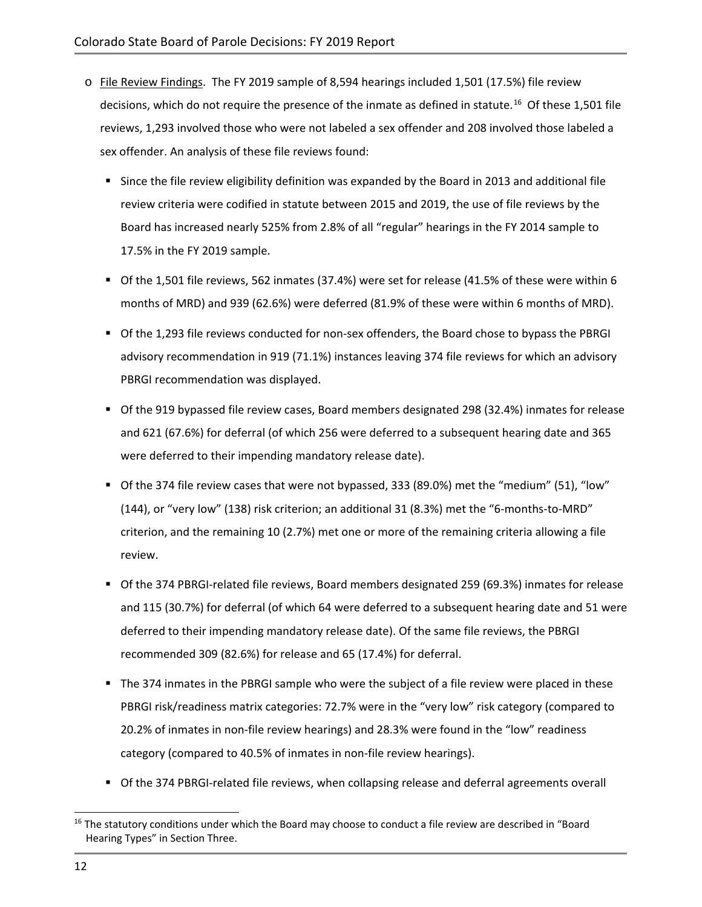- o File Review Findings. The FY 2019 sample of 8,594 hearings included 1,501 (17.5%) file review decisions, which do not require the presence of the inmate as defined in statute. [16](#page-17-0) Of these 1,501 file reviews, 1,293 involved those who were not labeled a sex offender and 208 involved those labeled a sex offender. An analysis of these file reviews found:
	- Since the file review eligibility definition was expanded by the Board in 2013 and additional file review criteria were codified in statute between 2015 and 2019, the use of file reviews by the Board has increased nearly 525% from 2.8% of all "regular" hearings in the FY 2014 sample to 17.5% in the FY 2019 sample.
	- Of the 1,501 file reviews, 562 inmates (37.4%) were set for release (41.5% of these were within 6 months of MRD) and 939 (62.6%) were deferred (81.9% of these were within 6 months of MRD).
	- Of the 1,293 file reviews conducted for non-sex offenders, the Board chose to bypass the PBRGI advisory recommendation in 919 (71.1%) instances leaving 374 file reviews for which an advisory PBRGI recommendation was displayed.
	- Of the 919 bypassed file review cases, Board members designated 298 (32.4%) inmates for release and 621 (67.6%) for deferral (of which 256 were deferred to a subsequent hearing date and 365 were deferred to their impending mandatory release date).
	- Of the 374 file review cases that were not bypassed, 333 (89.0%) met the "medium" (51), "low" (144), or "very low" (138) risk criterion; an additional 31 (8.3%) met the "6-months-to-MRD" criterion, and the remaining 10 (2.7%) met one or more of the remaining criteria allowing a file review.
	- Of the 374 PBRGI-related file reviews, Board members designated 259 (69.3%) inmates for release and 115 (30.7%) for deferral (of which 64 were deferred to a subsequent hearing date and 51 were deferred to their impending mandatory release date). Of the same file reviews, the PBRGI recommended 309 (82.6%) for release and 65 (17.4%) for deferral.
	- The 374 inmates in the PBRGI sample who were the subject of a file review were placed in these PBRGI risk/readiness matrix categories: 72.7% were in the "very low" risk category (compared to 20.2% of inmates in non-file review hearings) and 28.3% were found in the "low" readiness category (compared to 40.5% of inmates in non-file review hearings).
	- Of the 374 PBRGI-related file reviews, when collapsing release and deferral agreements overall

<span id="page-17-0"></span><sup>&</sup>lt;sup>16</sup> The statutory conditions under which the Board may choose to conduct a file review are described in "Board Hearing Types" in Section Three.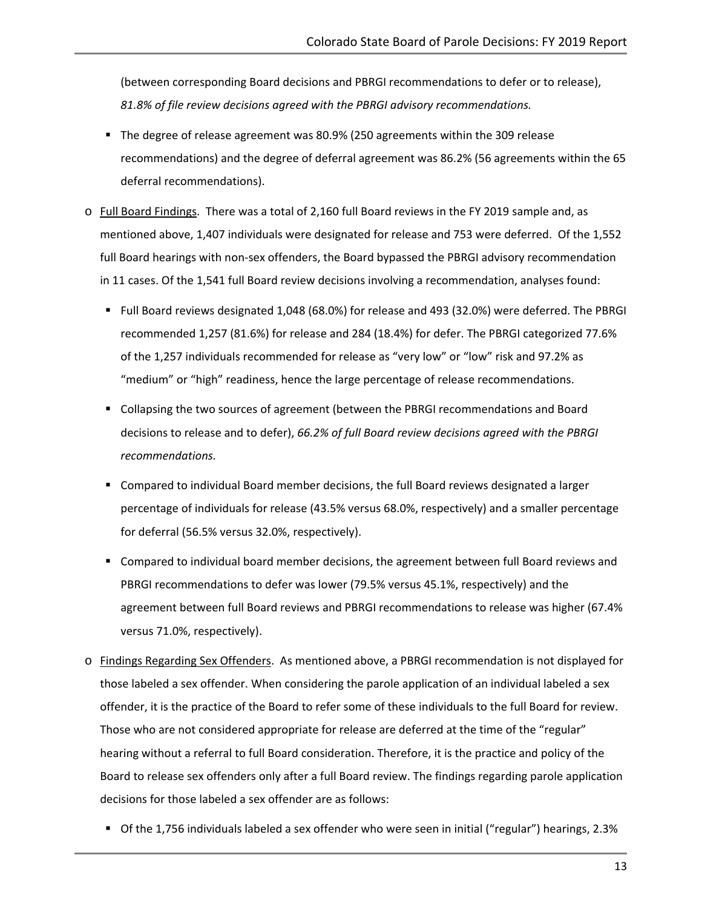(between corresponding Board decisions and PBRGI recommendations to defer or to release), *81.8% of file review decisions agreed with the PBRGI advisory recommendations.*

- The degree of release agreement was 80.9% (250 agreements within the 309 release recommendations) and the degree of deferral agreement was 86.2% (56 agreements within the 65 deferral recommendations).
- o Full Board Findings. There was a total of 2,160 full Board reviews in the FY 2019 sample and, as mentioned above, 1,407 individuals were designated for release and 753 were deferred. Of the 1,552 full Board hearings with non-sex offenders, the Board bypassed the PBRGI advisory recommendation in 11 cases. Of the 1,541 full Board review decisions involving a recommendation, analyses found:
	- Full Board reviews designated 1,048 (68.0%) for release and 493 (32.0%) were deferred. The PBRGI recommended 1,257 (81.6%) for release and 284 (18.4%) for defer. The PBRGI categorized 77.6% of the 1,257 individuals recommended for release as "very low" or "low" risk and 97.2% as "medium" or "high" readiness, hence the large percentage of release recommendations.
	- Collapsing the two sources of agreement (between the PBRGI recommendations and Board decisions to release and to defer), *66.2% of full Board review decisions agreed with the PBRGI recommendations.*
	- Compared to individual Board member decisions, the full Board reviews designated a larger percentage of individuals for release (43.5% versus 68.0%, respectively) and a smaller percentage for deferral (56.5% versus 32.0%, respectively).
	- Compared to individual board member decisions, the agreement between full Board reviews and PBRGI recommendations to defer was lower (79.5% versus 45.1%, respectively) and the agreement between full Board reviews and PBRGI recommendations to release was higher (67.4% versus 71.0%, respectively).
- o Findings Regarding Sex Offenders. As mentioned above, a PBRGI recommendation is not displayed for those labeled a sex offender. When considering the parole application of an individual labeled a sex offender, it is the practice of the Board to refer some of these individuals to the full Board for review. Those who are not considered appropriate for release are deferred at the time of the "regular" hearing without a referral to full Board consideration. Therefore, it is the practice and policy of the Board to release sex offenders only after a full Board review. The findings regarding parole application decisions for those labeled a sex offender are as follows:
	- Of the 1,756 individuals labeled a sex offender who were seen in initial ("regular") hearings, 2.3%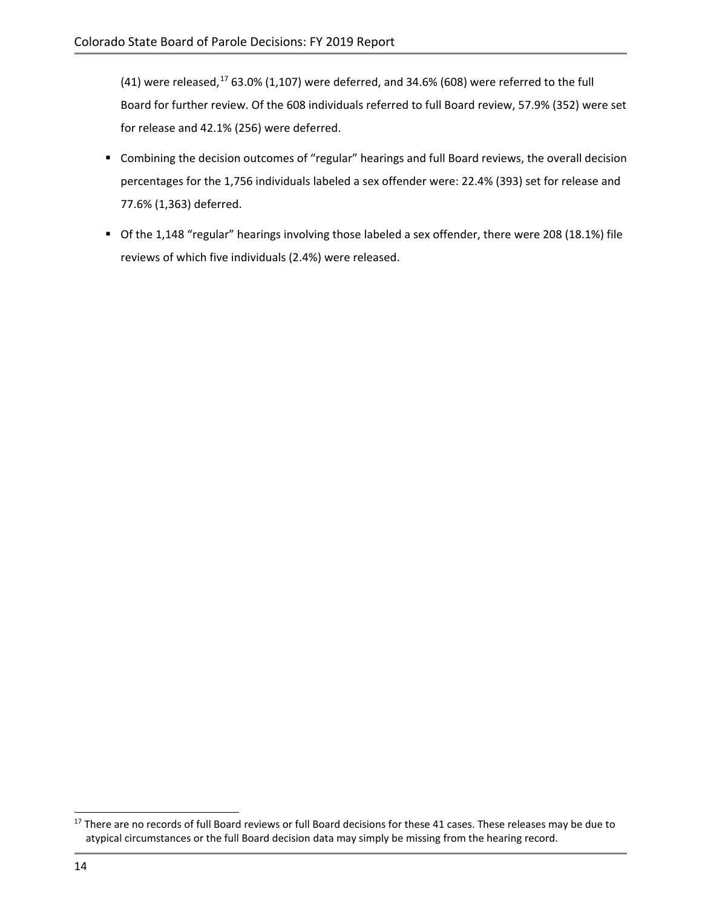(41) were released,<sup>[17](#page-19-0)</sup> 63.0% (1,107) were deferred, and 34.6% (608) were referred to the full Board for further review. Of the 608 individuals referred to full Board review, 57.9% (352) were set for release and 42.1% (256) were deferred.

- Combining the decision outcomes of "regular" hearings and full Board reviews, the overall decision percentages for the 1,756 individuals labeled a sex offender were: 22.4% (393) set for release and 77.6% (1,363) deferred.
- Of the 1,148 "regular" hearings involving those labeled a sex offender, there were 208 (18.1%) file reviews of which five individuals (2.4%) were released.

<span id="page-19-0"></span><sup>&</sup>lt;sup>17</sup> There are no records of full Board reviews or full Board decisions for these 41 cases. These releases may be due to atypical circumstances or the full Board decision data may simply be missing from the hearing record.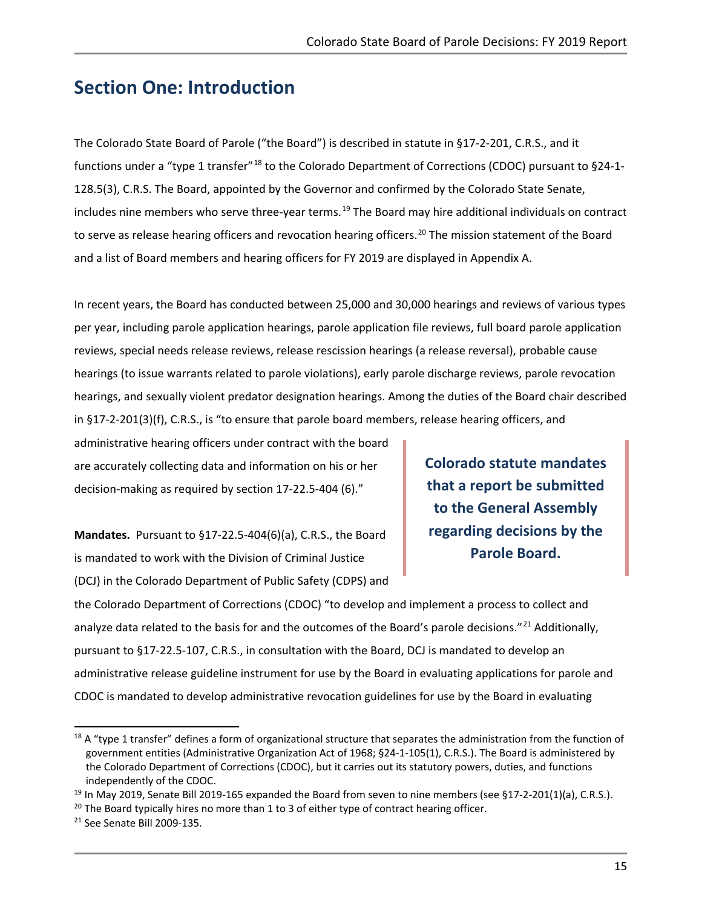# **Section One: Introduction**

The Colorado State Board of Parole ("the Board") is described in statute in §17-2-201, C.R.S., and it functions under a "type 1 transfer"[18](#page-20-0) to the Colorado Department of Corrections (CDOC) pursuant to §24-1- 128.5(3), C.R.S. The Board, appointed by the Governor and confirmed by the Colorado State Senate, includes nine members who serve three-year terms.<sup>[19](#page-20-1)</sup> The Board may hire additional individuals on contract to serve as release hearing officers and revocation hearing officers.<sup>[20](#page-20-2)</sup> The mission statement of the Board and a list of Board members and hearing officers for FY 2019 are displayed in Appendix A.

In recent years, the Board has conducted between 25,000 and 30,000 hearings and reviews of various types per year, including parole application hearings, parole application file reviews, full board parole application reviews, special needs release reviews, release rescission hearings (a release reversal), probable cause hearings (to issue warrants related to parole violations), early parole discharge reviews, parole revocation hearings, and sexually violent predator designation hearings. Among the duties of the Board chair described in §17-2-201(3)(f), C.R.S., is "to ensure that parole board members, release hearing officers, and

administrative hearing officers under contract with the board are accurately collecting data and information on his or her decision-making as required by section 17-22.5-404 (6)."

**Mandates.** Pursuant to §17-22.5-404(6)(a), C.R.S., the Board is mandated to work with the Division of Criminal Justice (DCJ) in the Colorado Department of Public Safety (CDPS) and **Colorado statute mandates that a report be submitted to the General Assembly regarding decisions by the Parole Board.**

the Colorado Department of Corrections (CDOC) "to develop and implement a process to collect and analyze data related to the basis for and the outcomes of the Board's parole decisions."<sup>[21](#page-20-3)</sup> Additionally, pursuant to §17-22.5-107, C.R.S., in consultation with the Board, DCJ is mandated to develop an administrative release guideline instrument for use by the Board in evaluating applications for parole and CDOC is mandated to develop administrative revocation guidelines for use by the Board in evaluating

<span id="page-20-0"></span><sup>&</sup>lt;sup>18</sup> A "type 1 transfer" defines a form of organizational structure that separates the administration from the function of government entities (Administrative Organization Act of 1968; §24-1-105(1), C.R.S.). The Board is administered by the Colorado Department of Corrections (CDOC), but it carries out its statutory powers, duties, and functions independently of the CDOC.

<span id="page-20-1"></span><sup>&</sup>lt;sup>19</sup> In May 2019, Senate Bill 2019-165 expanded the Board from seven to nine members (see §17-2-201(1)(a), C.R.S.).

<span id="page-20-2"></span> $20$  The Board typically hires no more than 1 to 3 of either type of contract hearing officer.

<span id="page-20-3"></span><sup>21</sup> See Senate Bill 2009-135.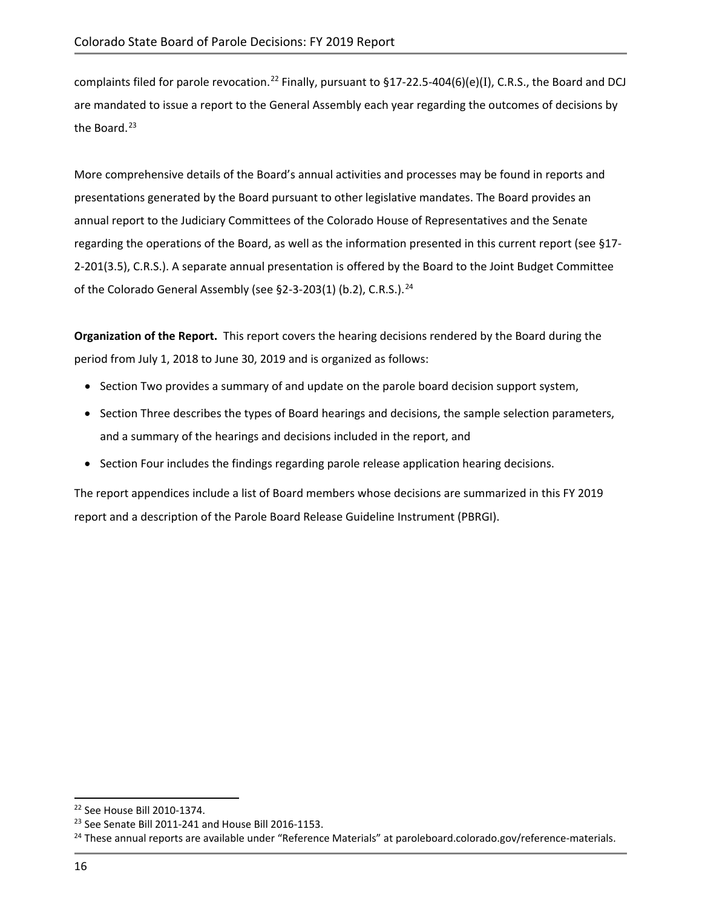complaints filed for parole revocation.<sup>[22](#page-21-0)</sup> Finally, pursuant to §17-22.5-404(6)(e)(I), C.R.S., the Board and DCJ are mandated to issue a report to the General Assembly each year regarding the outcomes of decisions by the Board. $^{23}$  $^{23}$  $^{23}$ 

More comprehensive details of the Board's annual activities and processes may be found in reports and presentations generated by the Board pursuant to other legislative mandates. The Board provides an annual report to the Judiciary Committees of the Colorado House of Representatives and the Senate regarding the operations of the Board, as well as the information presented in this current report (see §17- 2-201(3.5), C.R.S.). A separate annual presentation is offered by the Board to the Joint Budget Committee of the Colorado General Assembly (see §2-3-203(1) (b.2), C.R.S.).<sup>[24](#page-21-2)</sup>

**Organization of the Report.** This report covers the hearing decisions rendered by the Board during the period from July 1, 2018 to June 30, 2019 and is organized as follows:

- Section Two provides a summary of and update on the parole board decision support system,
- Section Three describes the types of Board hearings and decisions, the sample selection parameters, and a summary of the hearings and decisions included in the report, and
- Section Four includes the findings regarding parole release application hearing decisions.

The report appendices include a list of Board members whose decisions are summarized in this FY 2019 report and a description of the Parole Board Release Guideline Instrument (PBRGI).

<span id="page-21-0"></span> <sup>22</sup> See House Bill 2010-1374.

<span id="page-21-2"></span><span id="page-21-1"></span><sup>&</sup>lt;sup>23</sup> See Senate Bill 2011-241 and House Bill 2016-1153.<br><sup>24</sup> These annual reports are available under "Reference Materials" at paroleboard.colorado.gov/reference-materials.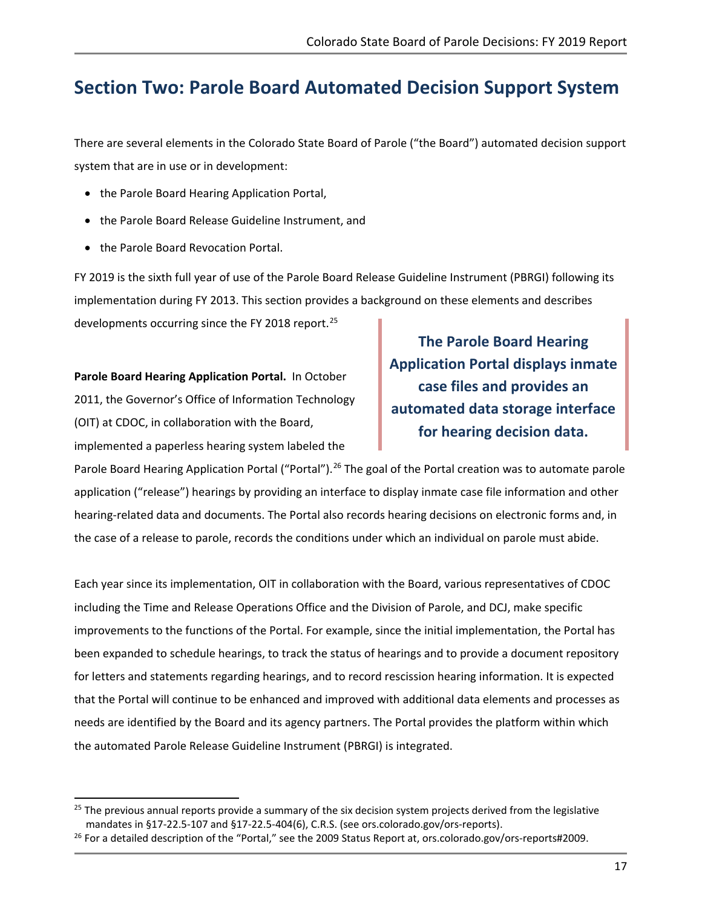# **Section Two: Parole Board Automated Decision Support System**

There are several elements in the Colorado State Board of Parole ("the Board") automated decision support system that are in use or in development:

- the Parole Board Hearing Application Portal,
- the Parole Board Release Guideline Instrument, and
- the Parole Board Revocation Portal.

FY 2019 is the sixth full year of use of the Parole Board Release Guideline Instrument (PBRGI) following its implementation during FY 2013. This section provides a background on these elements and describes developments occurring since the FY 2018 report.<sup>25</sup>

## **Parole Board Hearing Application Portal.** In October 2011, the Governor's Office of Information Technology (OIT) at CDOC, in collaboration with the Board,

implemented a paperless hearing system labeled the

# **The Parole Board Hearing Application Portal displays inmate case files and provides an automated data storage interface for hearing decision data.**

Parole Board Hearing Application Portal ("Portal").<sup>[26](#page-22-1)</sup> The goal of the Portal creation was to automate parole application ("release") hearings by providing an interface to display inmate case file information and other hearing-related data and documents. The Portal also records hearing decisions on electronic forms and, in the case of a release to parole, records the conditions under which an individual on parole must abide.

Each year since its implementation, OIT in collaboration with the Board, various representatives of CDOC including the Time and Release Operations Office and the Division of Parole, and DCJ, make specific improvements to the functions of the Portal. For example, since the initial implementation, the Portal has been expanded to schedule hearings, to track the status of hearings and to provide a document repository for letters and statements regarding hearings, and to record rescission hearing information. It is expected that the Portal will continue to be enhanced and improved with additional data elements and processes as needs are identified by the Board and its agency partners. The Portal provides the platform within which the automated Parole Release Guideline Instrument (PBRGI) is integrated.

<span id="page-22-0"></span> $25$  The previous annual reports provide a summary of the six decision system projects derived from the legislative mandates in §17-22.5-107 and §17-22.5-404(6), C.R.S. (see ors.colorado.gov/ors-reports).

<span id="page-22-1"></span> $^{26}$  For a detailed description of the "Portal," see the 2009 Status Report at, ors.colorado.gov/ors-reports#2009.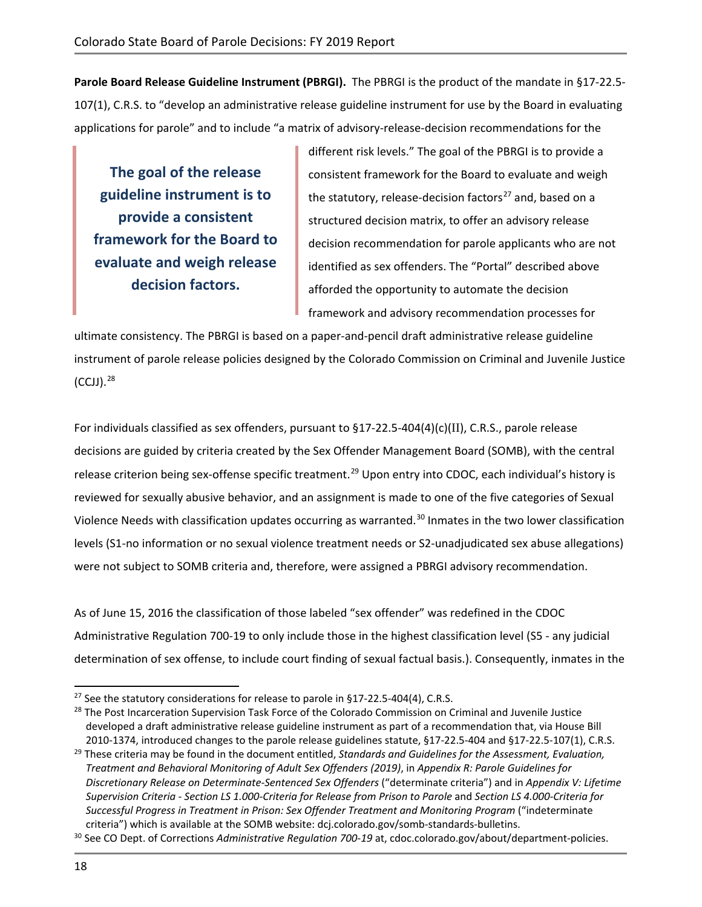**Parole Board Release Guideline Instrument (PBRGI).** The PBRGI is the product of the mandate in §17-22.5- 107(1), C.R.S. to "develop an administrative release guideline instrument for use by the Board in evaluating applications for parole" and to include "a matrix of advisory-release-decision recommendations for the

**The goal of the release guideline instrument is to provide a consistent framework for the Board to evaluate and weigh release decision factors.**

different risk levels." The goal of the PBRGI is to provide a consistent framework for the Board to evaluate and weigh the statutory, release-decision factors<sup>[27](#page-23-0)</sup> and, based on a structured decision matrix, to offer an advisory release decision recommendation for parole applicants who are not identified as sex offenders. The "Portal" described above afforded the opportunity to automate the decision framework and advisory recommendation processes for

ultimate consistency. The PBRGI is based on a paper-and-pencil draft administrative release guideline instrument of parole release policies designed by the Colorado Commission on Criminal and Juvenile Justice (CCJJ). [28](#page-23-1)

For individuals classified as sex offenders, pursuant to §17-22.5-404(4)(c)(II), C.R.S., parole release decisions are guided by criteria created by the Sex Offender Management Board (SOMB), with the central release criterion being sex-offense specific treatment.<sup>[29](#page-23-2)</sup> Upon entry into CDOC, each individual's history is reviewed for sexually abusive behavior, and an assignment is made to one of the five categories of Sexual Violence Needs with classification updates occurring as warranted.<sup>[30](#page-23-3)</sup> Inmates in the two lower classification levels (S1-no information or no sexual violence treatment needs or S2-unadjudicated sex abuse allegations) were not subject to SOMB criteria and, therefore, were assigned a PBRGI advisory recommendation.

As of June 15, 2016 the classification of those labeled "sex offender" was redefined in the CDOC Administrative Regulation 700-19 to only include those in the highest classification level (S5 - any judicial determination of sex offense, to include court finding of sexual factual basis.). Consequently, inmates in the

<span id="page-23-0"></span> $27$  See the statutory considerations for release to parole in §17-22.5-404(4), C.R.S.

<span id="page-23-1"></span><sup>&</sup>lt;sup>28</sup> The Post Incarceration Supervision Task Force of the Colorado Commission on Criminal and Juvenile Justice developed a draft administrative release guideline instrument as part of a recommendation that, via House Bill 2010-1374, introduced changes to the parole release guidelines statute, §17-22.5-404 and §17-22.5-107(1), C.R.S.

<span id="page-23-2"></span><sup>29</sup> These criteria may be found in the document entitled, *Standards and Guidelines for the Assessment, Evaluation, Treatment and Behavioral Monitoring of Adult Sex Offenders (2019)*, in *Appendix R: Parole Guidelines for Discretionary Release on Determinate-Sentenced Sex Offenders* ("determinate criteria") and in *Appendix V: Lifetime Supervision Criteria - Section LS 1.000-Criteria for Release from Prison to Parole* and *Section LS 4.000-Criteria for Successful Progress in Treatment in Prison: Sex Offender Treatment and Monitoring Program* ("indeterminate

<span id="page-23-3"></span>criteria") which is available at the SOMB website: dcj.colorado.gov/somb-standards-bulletins. 30 See CO Dept. of Corrections *Administrative Regulation 700-19* at, cdoc.colorado.gov/about/department-policies.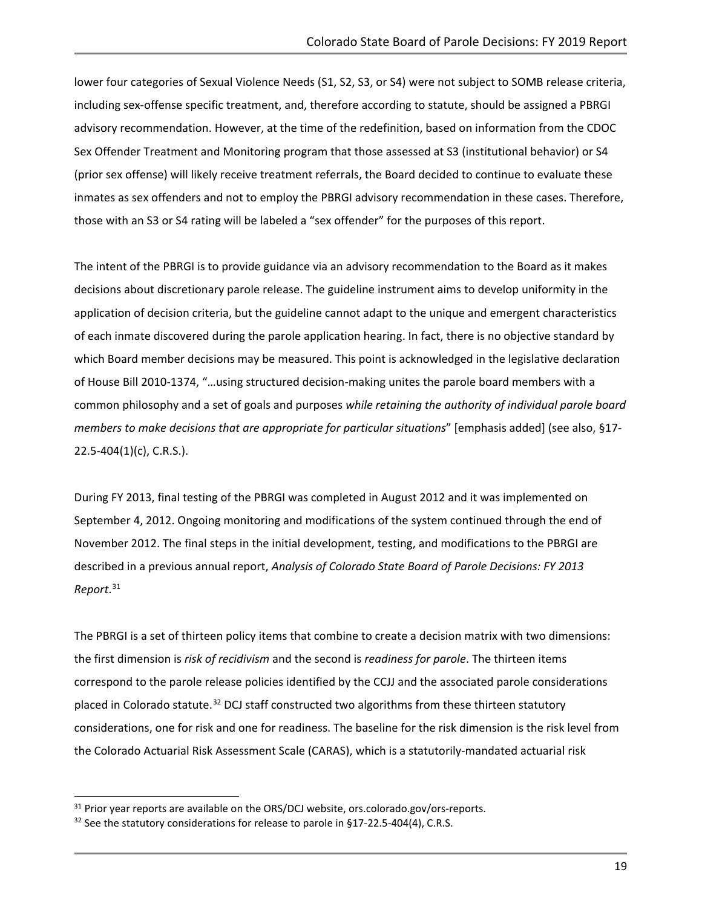lower four categories of Sexual Violence Needs (S1, S2, S3, or S4) were not subject to SOMB release criteria, including sex-offense specific treatment, and, therefore according to statute, should be assigned a PBRGI advisory recommendation. However, at the time of the redefinition, based on information from the CDOC Sex Offender Treatment and Monitoring program that those assessed at S3 (institutional behavior) or S4 (prior sex offense) will likely receive treatment referrals, the Board decided to continue to evaluate these inmates as sex offenders and not to employ the PBRGI advisory recommendation in these cases. Therefore, those with an S3 or S4 rating will be labeled a "sex offender" for the purposes of this report.

The intent of the PBRGI is to provide guidance via an advisory recommendation to the Board as it makes decisions about discretionary parole release. The guideline instrument aims to develop uniformity in the application of decision criteria, but the guideline cannot adapt to the unique and emergent characteristics of each inmate discovered during the parole application hearing. In fact, there is no objective standard by which Board member decisions may be measured. This point is acknowledged in the legislative declaration of House Bill 2010-1374, "…using structured decision-making unites the parole board members with a common philosophy and a set of goals and purposes *while retaining the authority of individual parole board members to make decisions that are appropriate for particular situations*" [emphasis added] (see also, §17- 22.5-404(1)(c), C.R.S.).

During FY 2013, final testing of the PBRGI was completed in August 2012 and it was implemented on September 4, 2012. Ongoing monitoring and modifications of the system continued through the end of November 2012. The final steps in the initial development, testing, and modifications to the PBRGI are described in a previous annual report, *Analysis of Colorado State Board of Parole Decisions: FY 2013 Report*. [31](#page-24-0)

The PBRGI is a set of thirteen policy items that combine to create a decision matrix with two dimensions: the first dimension is *risk of recidivism* and the second is *readiness for parole*. The thirteen items correspond to the parole release policies identified by the CCJJ and the associated parole considerations placed in Colorado statute.<sup>[32](#page-24-1)</sup> DCJ staff constructed two algorithms from these thirteen statutory considerations, one for risk and one for readiness. The baseline for the risk dimension is the risk level from the Colorado Actuarial Risk Assessment Scale (CARAS), which is a statutorily-mandated actuarial risk

<span id="page-24-0"></span><sup>&</sup>lt;sup>31</sup> Prior year reports are available on the ORS/DCJ website, ors.colorado.gov/ors-reports.

<span id="page-24-1"></span> $32$  See the statutory considerations for release to parole in §17-22.5-404(4), C.R.S.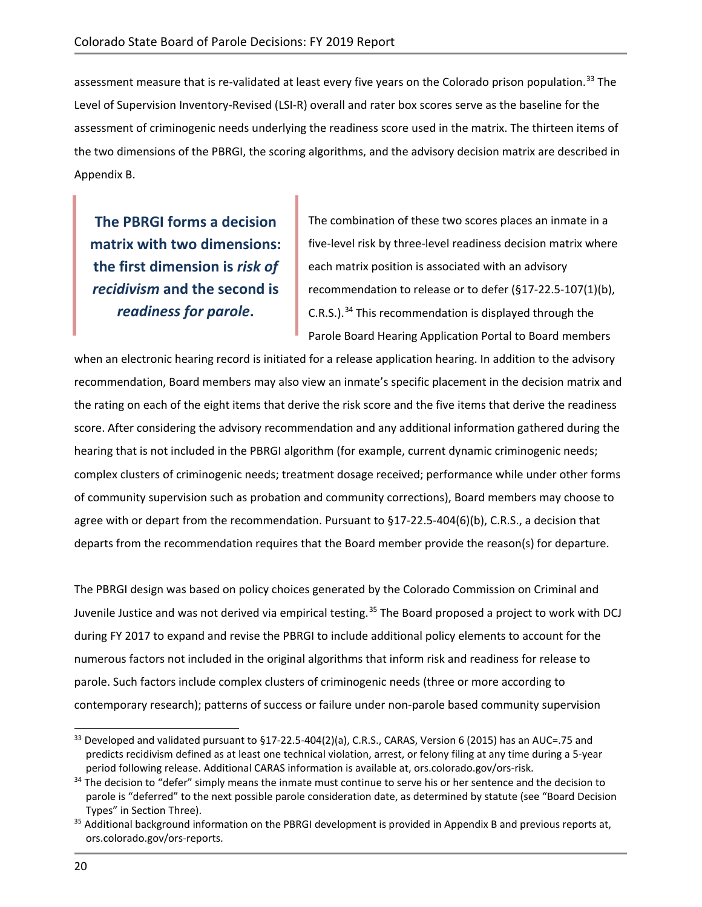assessment measure that is re-validated at least every five years on the Colorado prison population.<sup>[33](#page-25-0)</sup> The Level of Supervision Inventory-Revised (LSI-R) overall and rater box scores serve as the baseline for the assessment of criminogenic needs underlying the readiness score used in the matrix. The thirteen items of the two dimensions of the PBRGI, the scoring algorithms, and the advisory decision matrix are described in Appendix B.

**The PBRGI forms a decision matrix with two dimensions: the first dimension is** *risk of recidivism* **and the second is**  *readiness for parole***.**

The combination of these two scores places an inmate in a five-level risk by three-level readiness decision matrix where each matrix position is associated with an advisory recommendation to release or to defer (§17-22.5-107(1)(b), C.R.S.).<sup>[34](#page-25-1)</sup> This recommendation is displayed through the Parole Board Hearing Application Portal to Board members

when an electronic hearing record is initiated for a release application hearing. In addition to the advisory recommendation, Board members may also view an inmate's specific placement in the decision matrix and the rating on each of the eight items that derive the risk score and the five items that derive the readiness score. After considering the advisory recommendation and any additional information gathered during the hearing that is not included in the PBRGI algorithm (for example, current dynamic criminogenic needs; complex clusters of criminogenic needs; treatment dosage received; performance while under other forms of community supervision such as probation and community corrections), Board members may choose to agree with or depart from the recommendation. Pursuant to §17-22.5-404(6)(b), C.R.S., a decision that departs from the recommendation requires that the Board member provide the reason(s) for departure.

The PBRGI design was based on policy choices generated by the Colorado Commission on Criminal and Juvenile Justice and was not derived via empirical testing.<sup>[35](#page-25-2)</sup> The Board proposed a project to work with DCJ during FY 2017 to expand and revise the PBRGI to include additional policy elements to account for the numerous factors not included in the original algorithms that inform risk and readiness for release to parole. Such factors include complex clusters of criminogenic needs (three or more according to contemporary research); patterns of success or failure under non-parole based community supervision

<span id="page-25-0"></span> $33$  Developed and validated pursuant to §17-22.5-404(2)(a), C.R.S., CARAS, Version 6 (2015) has an AUC=.75 and predicts recidivism defined as at least one technical violation, arrest, or felony filing at any time during a 5-year period following release. Additional CARAS information is available at, ors.colorado.gov/ors-risk.

<span id="page-25-1"></span><sup>&</sup>lt;sup>34</sup> The decision to "defer" simply means the inmate must continue to serve his or her sentence and the decision to parole is "deferred" to the next possible parole consideration date, as determined by statute (see "Board Decision Types" in Section Three).

<span id="page-25-2"></span><sup>&</sup>lt;sup>35</sup> Additional background information on the PBRGI development is provided in Appendix B and previous reports at, ors.colorado.gov/ors-reports.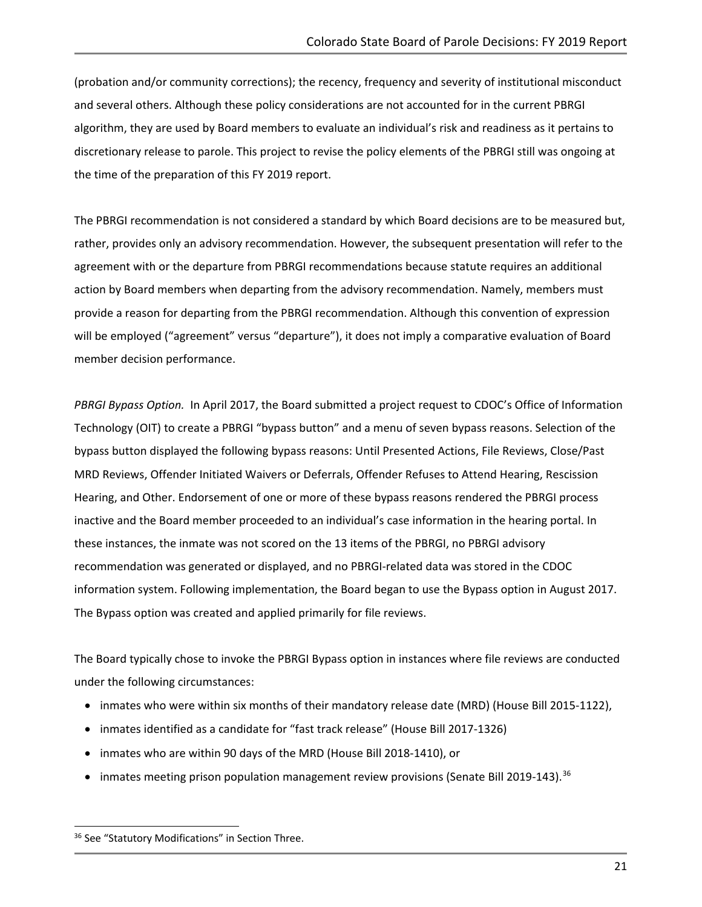(probation and/or community corrections); the recency, frequency and severity of institutional misconduct and several others. Although these policy considerations are not accounted for in the current PBRGI algorithm, they are used by Board members to evaluate an individual's risk and readiness as it pertains to discretionary release to parole. This project to revise the policy elements of the PBRGI still was ongoing at the time of the preparation of this FY 2019 report.

The PBRGI recommendation is not considered a standard by which Board decisions are to be measured but, rather, provides only an advisory recommendation. However, the subsequent presentation will refer to the agreement with or the departure from PBRGI recommendations because statute requires an additional action by Board members when departing from the advisory recommendation. Namely, members must provide a reason for departing from the PBRGI recommendation. Although this convention of expression will be employed ("agreement" versus "departure"), it does not imply a comparative evaluation of Board member decision performance.

*PBRGI Bypass Option.* In April 2017, the Board submitted a project request to CDOC's Office of Information Technology (OIT) to create a PBRGI "bypass button" and a menu of seven bypass reasons. Selection of the bypass button displayed the following bypass reasons: Until Presented Actions, File Reviews, Close/Past MRD Reviews, Offender Initiated Waivers or Deferrals, Offender Refuses to Attend Hearing, Rescission Hearing, and Other. Endorsement of one or more of these bypass reasons rendered the PBRGI process inactive and the Board member proceeded to an individual's case information in the hearing portal. In these instances, the inmate was not scored on the 13 items of the PBRGI, no PBRGI advisory recommendation was generated or displayed, and no PBRGI-related data was stored in the CDOC information system. Following implementation, the Board began to use the Bypass option in August 2017. The Bypass option was created and applied primarily for file reviews.

The Board typically chose to invoke the PBRGI Bypass option in instances where file reviews are conducted under the following circumstances:

- inmates who were within six months of their mandatory release date (MRD) (House Bill 2015-1122),
- inmates identified as a candidate for "fast track release" (House Bill 2017-1326)
- inmates who are within 90 days of the MRD (House Bill 2018-1410), or
- inmates meeting prison population management review provisions (Senate Bill 2019-143).<sup>[36](#page-26-0)</sup>

<span id="page-26-0"></span><sup>&</sup>lt;sup>36</sup> See "Statutory Modifications" in Section Three.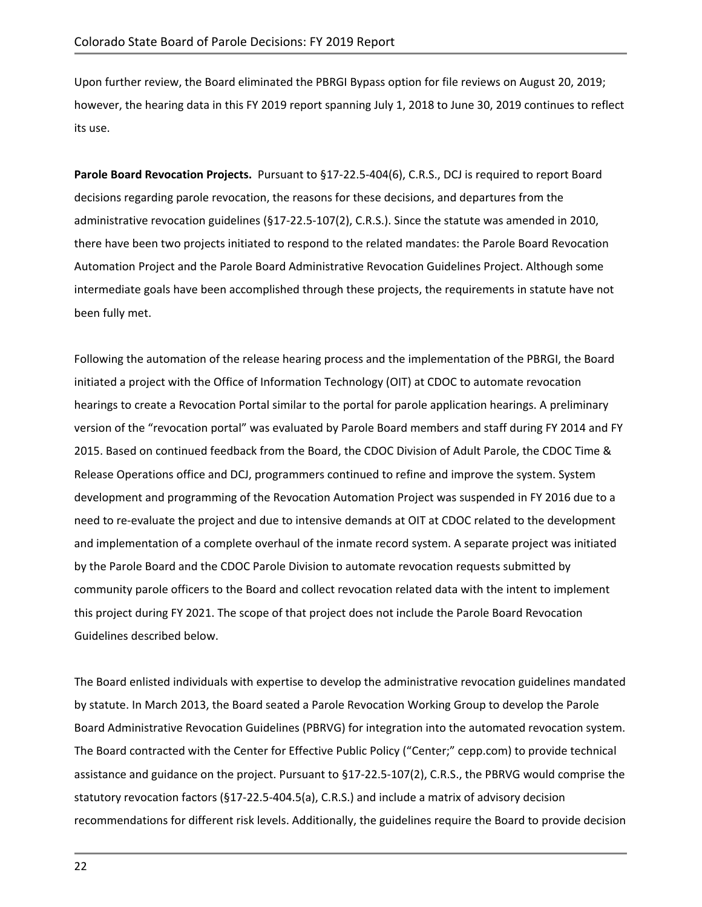Upon further review, the Board eliminated the PBRGI Bypass option for file reviews on August 20, 2019; however, the hearing data in this FY 2019 report spanning July 1, 2018 to June 30, 2019 continues to reflect its use.

**Parole Board Revocation Projects.** Pursuant to §17-22.5-404(6), C.R.S., DCJ is required to report Board decisions regarding parole revocation, the reasons for these decisions, and departures from the administrative revocation guidelines (§17-22.5-107(2), C.R.S.). Since the statute was amended in 2010, there have been two projects initiated to respond to the related mandates: the Parole Board Revocation Automation Project and the Parole Board Administrative Revocation Guidelines Project. Although some intermediate goals have been accomplished through these projects, the requirements in statute have not been fully met.

Following the automation of the release hearing process and the implementation of the PBRGI, the Board initiated a project with the Office of Information Technology (OIT) at CDOC to automate revocation hearings to create a Revocation Portal similar to the portal for parole application hearings. A preliminary version of the "revocation portal" was evaluated by Parole Board members and staff during FY 2014 and FY 2015. Based on continued feedback from the Board, the CDOC Division of Adult Parole, the CDOC Time & Release Operations office and DCJ, programmers continued to refine and improve the system. System development and programming of the Revocation Automation Project was suspended in FY 2016 due to a need to re-evaluate the project and due to intensive demands at OIT at CDOC related to the development and implementation of a complete overhaul of the inmate record system. A separate project was initiated by the Parole Board and the CDOC Parole Division to automate revocation requests submitted by community parole officers to the Board and collect revocation related data with the intent to implement this project during FY 2021. The scope of that project does not include the Parole Board Revocation Guidelines described below.

The Board enlisted individuals with expertise to develop the administrative revocation guidelines mandated by statute. In March 2013, the Board seated a Parole Revocation Working Group to develop the Parole Board Administrative Revocation Guidelines (PBRVG) for integration into the automated revocation system. The Board contracted with the Center for Effective Public Policy ("Center;" cepp.com) to provide technical assistance and guidance on the project. Pursuant to §17-22.5-107(2), C.R.S., the PBRVG would comprise the statutory revocation factors (§17-22.5-404.5(a), C.R.S.) and include a matrix of advisory decision recommendations for different risk levels. Additionally, the guidelines require the Board to provide decision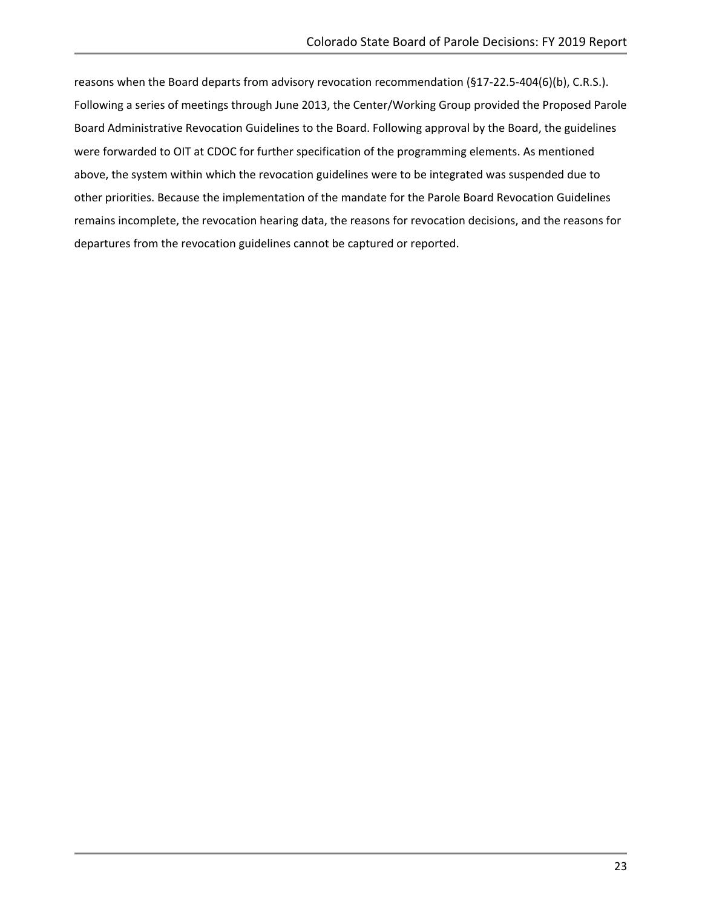reasons when the Board departs from advisory revocation recommendation (§17-22.5-404(6)(b), C.R.S.). Following a series of meetings through June 2013, the Center/Working Group provided the Proposed Parole Board Administrative Revocation Guidelines to the Board. Following approval by the Board, the guidelines were forwarded to OIT at CDOC for further specification of the programming elements. As mentioned above, the system within which the revocation guidelines were to be integrated was suspended due to other priorities. Because the implementation of the mandate for the Parole Board Revocation Guidelines remains incomplete, the revocation hearing data, the reasons for revocation decisions, and the reasons for departures from the revocation guidelines cannot be captured or reported.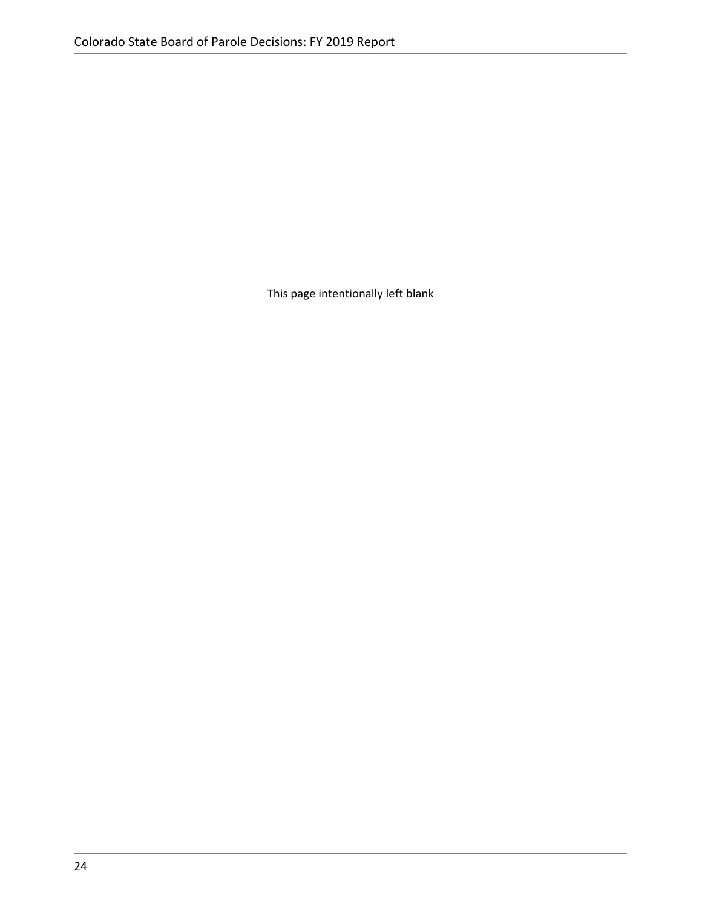This page intentionally left blank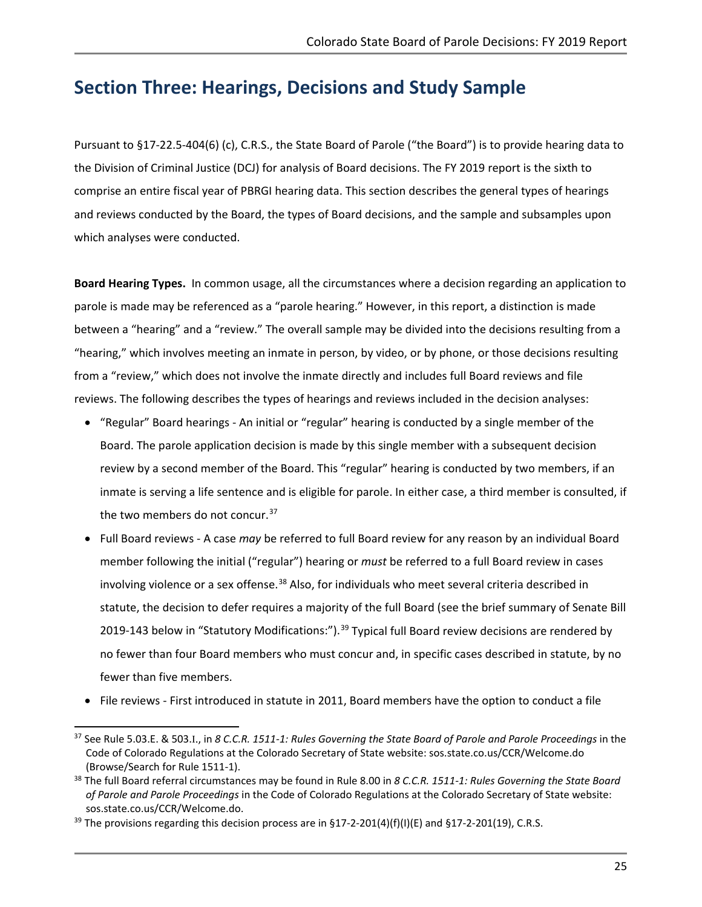# **Section Three: Hearings, Decisions and Study Sample**

Pursuant to §17-22.5-404(6) (c), C.R.S., the State Board of Parole ("the Board") is to provide hearing data to the Division of Criminal Justice (DCJ) for analysis of Board decisions. The FY 2019 report is the sixth to comprise an entire fiscal year of PBRGI hearing data. This section describes the general types of hearings and reviews conducted by the Board, the types of Board decisions, and the sample and subsamples upon which analyses were conducted.

**Board Hearing Types.** In common usage, all the circumstances where a decision regarding an application to parole is made may be referenced as a "parole hearing." However, in this report, a distinction is made between a "hearing" and a "review." The overall sample may be divided into the decisions resulting from a "hearing," which involves meeting an inmate in person, by video, or by phone, or those decisions resulting from a "review," which does not involve the inmate directly and includes full Board reviews and file reviews. The following describes the types of hearings and reviews included in the decision analyses:

- "Regular" Board hearings An initial or "regular" hearing is conducted by a single member of the Board. The parole application decision is made by this single member with a subsequent decision review by a second member of the Board. This "regular" hearing is conducted by two members, if an inmate is serving a life sentence and is eligible for parole. In either case, a third member is consulted, if the two members do not concur.<sup>[37](#page-30-0)</sup>
- Full Board reviews A case *may* be referred to full Board review for any reason by an individual Board member following the initial ("regular") hearing or *must* be referred to a full Board review in cases involving violence or a sex offense.<sup>[38](#page-30-1)</sup> Also, for individuals who meet several criteria described in statute, the decision to defer requires a majority of the full Board (see the brief summary of Senate Bill 2019-143 below in "Statutory Modifications:").<sup>[39](#page-30-2)</sup> Typical full Board review decisions are rendered by no fewer than four Board members who must concur and, in specific cases described in statute, by no fewer than five members.
- File reviews First introduced in statute in 2011, Board members have the option to conduct a file

<span id="page-30-0"></span> <sup>37</sup> See Rule 5.03.E. & 503.I., in *8 C.C.R. 1511-1: Rules Governing the State Board of Parole and Parole Proceedings* in the Code of Colorado Regulations at the Colorado Secretary of State website: sos.state.co.us/CCR/Welcome.do (Browse/Search for Rule 1511-1).

<span id="page-30-1"></span><sup>38</sup> The full Board referral circumstances may be found in Rule 8.00 in *8 C.C.R. 1511-1: Rules Governing the State Board of Parole and Parole Proceedings* in the Code of Colorado Regulations at the Colorado Secretary of State website: sos.state.co.us/CCR/Welcome.do.<br><sup>39</sup> The provisions regarding this decision process are in §17-2-201(4)(f)(I)(E) and §17-2-201(19), C.R.S.

<span id="page-30-2"></span>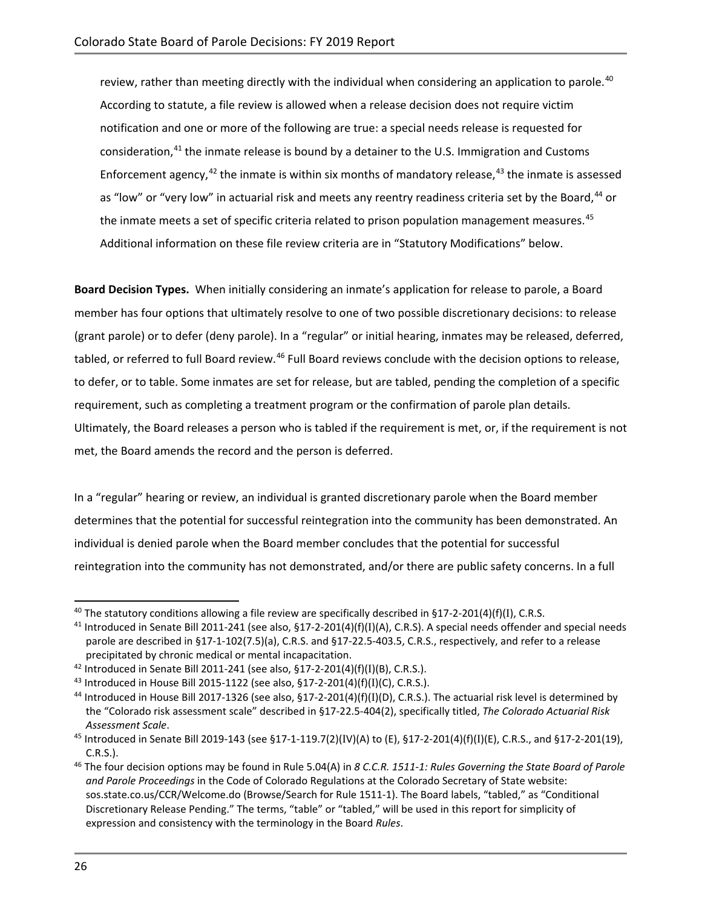review, rather than meeting directly with the individual when considering an application to parole.<sup>[40](#page-31-0)</sup> According to statute, a file review is allowed when a release decision does not require victim notification and one or more of the following are true: a special needs release is requested for consideration, $41$  the inmate release is bound by a detainer to the U.S. Immigration and Customs Enforcement agency,<sup>[42](#page-31-2)</sup> the inmate is within six months of mandatory release,<sup>[43](#page-31-3)</sup> the inmate is assessed as "low" or "very low" in actuarial risk and meets any reentry readiness criteria set by the Board, <sup>[44](#page-31-4)</sup> or the inmate meets a set of specific criteria related to prison population management measures.<sup>[45](#page-31-5)</sup> Additional information on these file review criteria are in "Statutory Modifications" below.

**Board Decision Types.** When initially considering an inmate's application for release to parole, a Board member has four options that ultimately resolve to one of two possible discretionary decisions: to release (grant parole) or to defer (deny parole). In a "regular" or initial hearing, inmates may be released, deferred, tabled, or referred to full Board review.<sup>[46](#page-31-6)</sup> Full Board reviews conclude with the decision options to release, to defer, or to table. Some inmates are set for release, but are tabled, pending the completion of a specific requirement, such as completing a treatment program or the confirmation of parole plan details. Ultimately, the Board releases a person who is tabled if the requirement is met, or, if the requirement is not met, the Board amends the record and the person is deferred.

In a "regular" hearing or review, an individual is granted discretionary parole when the Board member determines that the potential for successful reintegration into the community has been demonstrated. An individual is denied parole when the Board member concludes that the potential for successful reintegration into the community has not demonstrated, and/or there are public safety concerns. In a full

<span id="page-31-0"></span><sup>&</sup>lt;sup>40</sup> The statutory conditions allowing a file review are specifically described in §17-2-201(4)(f)(I), C.R.S.

<span id="page-31-1"></span> $41$  Introduced in Senate Bill 2011-241 (see also, §17-2-201(4)(f)(I)(A), C.R.S). A special needs offender and special needs parole are described in §17-1-102(7.5)(a), C.R.S. and §17-22.5-403.5, C.R.S., respectively, and refer to a release precipitated by chronic medical or mental incapacitation.

<span id="page-31-2"></span><sup>&</sup>lt;sup>42</sup> Introduced in Senate Bill 2011-241 (see also, §17-2-201(4)(f)(I)(B), C.R.S.).

<span id="page-31-3"></span><sup>&</sup>lt;sup>43</sup> Introduced in House Bill 2015-1122 (see also, §17-2-201(4)(f)(I)(C), C.R.S.).

<span id="page-31-4"></span><sup>&</sup>lt;sup>44</sup> Introduced in House Bill 2017-1326 (see also, §17-2-201(4)(f)(I)(D), C.R.S.). The actuarial risk level is determined by the "Colorado risk assessment scale" described in §17-22.5-404(2), specifically titled, *The Colorado Actuarial Risk Assessment Scale*.

<span id="page-31-5"></span><sup>&</sup>lt;sup>45</sup> Introduced in Senate Bill 2019-143 (see §17-1-119.7(2)(IV)(A) to (E), §17-2-201(4)(f)(I)(E), C.R.S., and §17-2-201(19), C.R.S.).

<span id="page-31-6"></span><sup>46</sup> The four decision options may be found in Rule 5.04(A) in *8 C.C.R. 1511-1: Rules Governing the State Board of Parole and Parole Proceedings* in the Code of Colorado Regulations at the Colorado Secretary of State website: sos.state.co.us/CCR/Welcome.do (Browse/Search for Rule 1511-1). The Board labels, "tabled," as "Conditional Discretionary Release Pending." The terms, "table" or "tabled," will be used in this report for simplicity of expression and consistency with the terminology in the Board *Rules*.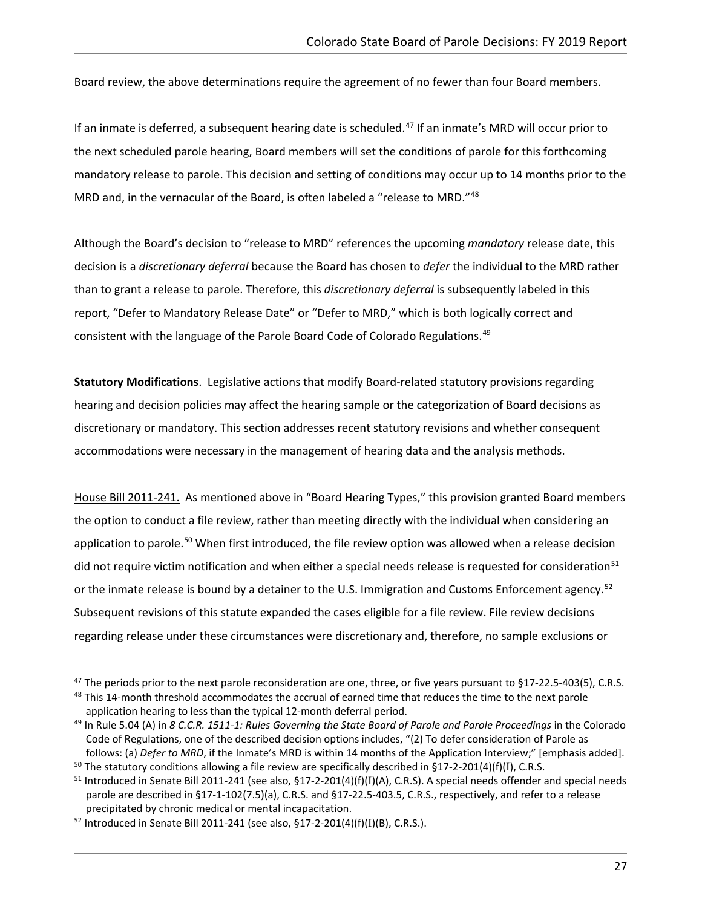Board review, the above determinations require the agreement of no fewer than four Board members.

If an inmate is deferred, a subsequent hearing date is scheduled.<sup>[47](#page-32-0)</sup> If an inmate's MRD will occur prior to the next scheduled parole hearing, Board members will set the conditions of parole for this forthcoming mandatory release to parole. This decision and setting of conditions may occur up to 14 months prior to the MRD and, in the vernacular of the Board, is often labeled a "release to MRD."[48](#page-32-1)

Although the Board's decision to "release to MRD" references the upcoming *mandatory* release date, this decision is a *discretionary deferral* because the Board has chosen to *defer* the individual to the MRD rather than to grant a release to parole. Therefore, this *discretionary deferral* is subsequently labeled in this report, "Defer to Mandatory Release Date" or "Defer to MRD," which is both logically correct and consistent with the language of the Parole Board Code of Colorado Regulations.<sup>[49](#page-32-2)</sup>

**Statutory Modifications**. Legislative actions that modify Board-related statutory provisions regarding hearing and decision policies may affect the hearing sample or the categorization of Board decisions as discretionary or mandatory. This section addresses recent statutory revisions and whether consequent accommodations were necessary in the management of hearing data and the analysis methods.

House Bill 2011-241. As mentioned above in "Board Hearing Types," this provision granted Board members the option to conduct a file review, rather than meeting directly with the individual when considering an application to parole.<sup>[50](#page-32-3)</sup> When first introduced, the file review option was allowed when a release decision did not require victim notification and when either a special needs release is requested for consideration<sup>[51](#page-32-4)</sup> or the inmate release is bound by a detainer to the U.S. Immigration and Customs Enforcement agency.<sup>[52](#page-32-5)</sup> Subsequent revisions of this statute expanded the cases eligible for a file review. File review decisions regarding release under these circumstances were discretionary and, therefore, no sample exclusions or

<span id="page-32-0"></span> $47$  The periods prior to the next parole reconsideration are one, three, or five years pursuant to §17-22.5-403(5), C.R.S.

<span id="page-32-1"></span><sup>&</sup>lt;sup>48</sup> This 14-month threshold accommodates the accrual of earned time that reduces the time to the next parole application hearing to less than the typical 12-month deferral period.

<span id="page-32-2"></span><sup>&</sup>lt;sup>49</sup> In Rule 5.04 (A) in 8 C.C.R. 1511-1: Rules Governing the State Board of Parole and Parole Proceedings in the Colorado Code of Regulations, one of the described decision options includes, "(2) To defer consideration of Parole as follows: (a) *Defer to MRD*, if the Inmate's MRD is within 14 months of the Application Interview;" [emphasis added].  $50$  The statutory conditions allowing a file review are specifically described in §17-2-201(4)(f)(I), C.R.S.

<span id="page-32-4"></span><span id="page-32-3"></span><sup>51</sup> Introduced in Senate Bill 2011-241 (see also, §17-2-201(4)(f)(I)(A), C.R.S). A special needs offender and special needs parole are described in §17-1-102(7.5)(a), C.R.S. and §17-22.5-403.5, C.R.S., respectively, and refer to a release precipitated by chronic medical or mental incapacitation.

<span id="page-32-5"></span> $52$  Introduced in Senate Bill 2011-241 (see also, §17-2-201(4)(f)(I)(B), C.R.S.).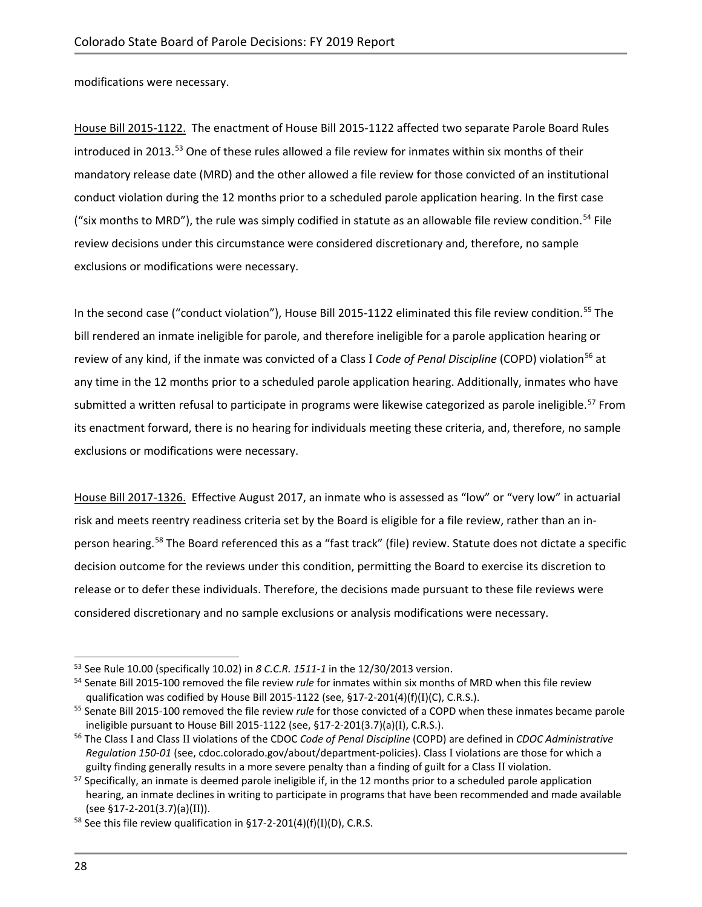modifications were necessary.

House Bill 2015-1122. The enactment of House Bill 2015-1122 affected two separate Parole Board Rules introduced in 2013.<sup>[53](#page-33-0)</sup> One of these rules allowed a file review for inmates within six months of their mandatory release date (MRD) and the other allowed a file review for those convicted of an institutional conduct violation during the 12 months prior to a scheduled parole application hearing. In the first case ("six months to MRD"), the rule was simply codified in statute as an allowable file review condition.<sup>[54](#page-33-1)</sup> File review decisions under this circumstance were considered discretionary and, therefore, no sample exclusions or modifications were necessary.

In the second case ("conduct violation"), House Bill 2015-1122 eliminated this file review condition.<sup>[55](#page-33-2)</sup> The bill rendered an inmate ineligible for parole, and therefore ineligible for a parole application hearing or review of any kind, if the inmate was convicted of a Class I *Code of Penal Discipline* (COPD) violation<sup>[56](#page-33-3)</sup> at any time in the 12 months prior to a scheduled parole application hearing. Additionally, inmates who have submitted a written refusal to participate in programs were likewise categorized as parole ineligible.<sup>[57](#page-33-4)</sup> From its enactment forward, there is no hearing for individuals meeting these criteria, and, therefore, no sample exclusions or modifications were necessary.

House Bill 2017-1326. Effective August 2017, an inmate who is assessed as "low" or "very low" in actuarial risk and meets reentry readiness criteria set by the Board is eligible for a file review, rather than an in-person hearing.<sup>[58](#page-33-5)</sup> The Board referenced this as a "fast track" (file) review. Statute does not dictate a specific decision outcome for the reviews under this condition, permitting the Board to exercise its discretion to release or to defer these individuals. Therefore, the decisions made pursuant to these file reviews were considered discretionary and no sample exclusions or analysis modifications were necessary.

<span id="page-33-0"></span> <sup>53</sup> See Rule 10.00 (specifically 10.02) in *8 C.C.R. 1511-1* in the 12/30/2013 version.

<span id="page-33-1"></span><sup>54</sup> Senate Bill 2015-100 removed the file review *rule* for inmates within six months of MRD when this file review qualification was codified by House Bill 2015-1122 (see, §17-2-201(4)(f)(I)(C), C.R.S.).

<span id="page-33-2"></span><sup>55</sup> Senate Bill 2015-100 removed the file review *rule* for those convicted of a COPD when these inmates became parole ineligible pursuant to House Bill 2015-1122 (see, §17-2-201(3.7)(a)(I), C.R.S.).

<span id="page-33-3"></span><sup>56</sup> The Class I and Class II violations of the CDOC *Code of Penal Discipline* (COPD) are defined in *CDOC Administrative Regulation 150-01* (see, cdoc.colorado.gov/about/department-policies). Class I violations are those for which a guilty finding generally results in a more severe penalty than a finding of guilt for a Class II violation.

<span id="page-33-4"></span><sup>&</sup>lt;sup>57</sup> Specifically, an inmate is deemed parole ineligible if, in the 12 months prior to a scheduled parole application hearing, an inmate declines in writing to participate in programs that have been recommended and made available (see §17-2-201(3.7)(a)(II)).  $58$  See this file review qualification in §17-2-201(4)(f)(I)(D), C.R.S.

<span id="page-33-5"></span>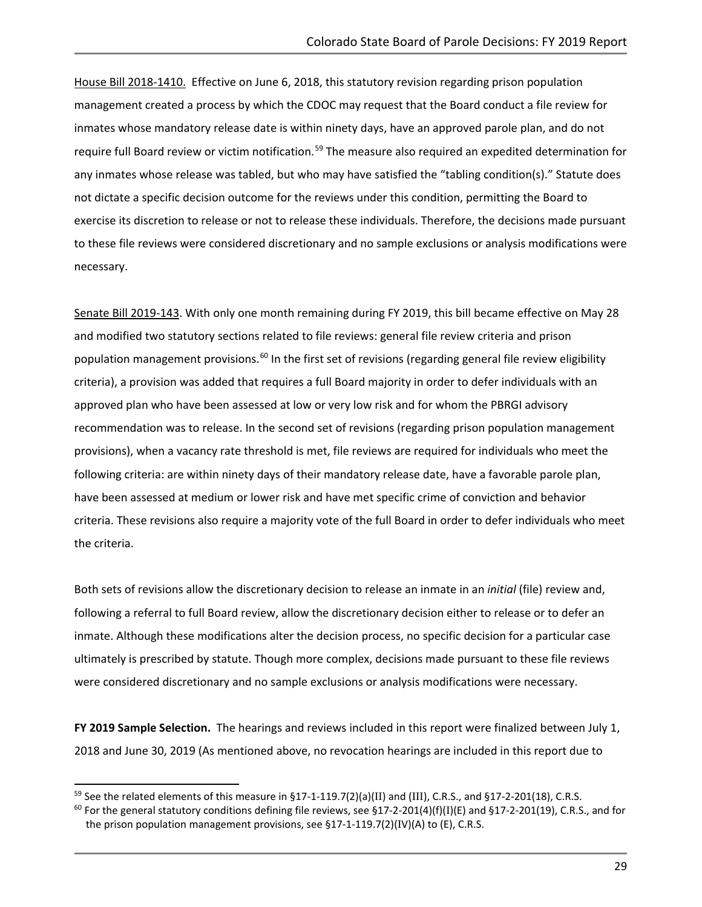House Bill 2018-1410. Effective on June 6, 2018, this statutory revision regarding prison population management created a process by which the CDOC may request that the Board conduct a file review for inmates whose mandatory release date is within ninety days, have an approved parole plan, and do not require full Board review or victim notification.<sup>[59](#page-34-0)</sup> The measure also required an expedited determination for any inmates whose release was tabled, but who may have satisfied the "tabling condition(s)." Statute does not dictate a specific decision outcome for the reviews under this condition, permitting the Board to exercise its discretion to release or not to release these individuals. Therefore, the decisions made pursuant to these file reviews were considered discretionary and no sample exclusions or analysis modifications were necessary.

Senate Bill 2019-143. With only one month remaining during FY 2019, this bill became effective on May 28 and modified two statutory sections related to file reviews: general file review criteria and prison population management provisions.<sup>[60](#page-34-1)</sup> In the first set of revisions (regarding general file review eligibility criteria), a provision was added that requires a full Board majority in order to defer individuals with an approved plan who have been assessed at low or very low risk and for whom the PBRGI advisory recommendation was to release. In the second set of revisions (regarding prison population management provisions), when a vacancy rate threshold is met, file reviews are required for individuals who meet the following criteria: are within ninety days of their mandatory release date, have a favorable parole plan, have been assessed at medium or lower risk and have met specific crime of conviction and behavior criteria. These revisions also require a majority vote of the full Board in order to defer individuals who meet the criteria.

Both sets of revisions allow the discretionary decision to release an inmate in an *initial* (file) review and, following a referral to full Board review, allow the discretionary decision either to release or to defer an inmate. Although these modifications alter the decision process, no specific decision for a particular case ultimately is prescribed by statute. Though more complex, decisions made pursuant to these file reviews were considered discretionary and no sample exclusions or analysis modifications were necessary.

**FY 2019 Sample Selection.** The hearings and reviews included in this report were finalized between July 1, 2018 and June 30, 2019 (As mentioned above, no revocation hearings are included in this report due to

<span id="page-34-0"></span> $59$  See the related elements of this measure in §17-1-119.7(2)(a)(II) and (III), C.R.S., and §17-2-201(18), C.R.S.

<span id="page-34-1"></span> $60$  For the general statutory conditions defining file reviews, see §17-2-201(4)(f)(I)(E) and §17-2-201(19), C.R.S., and for the prison population management provisions, see §17-1-119.7(2)(IV)(A) to (E), C.R.S.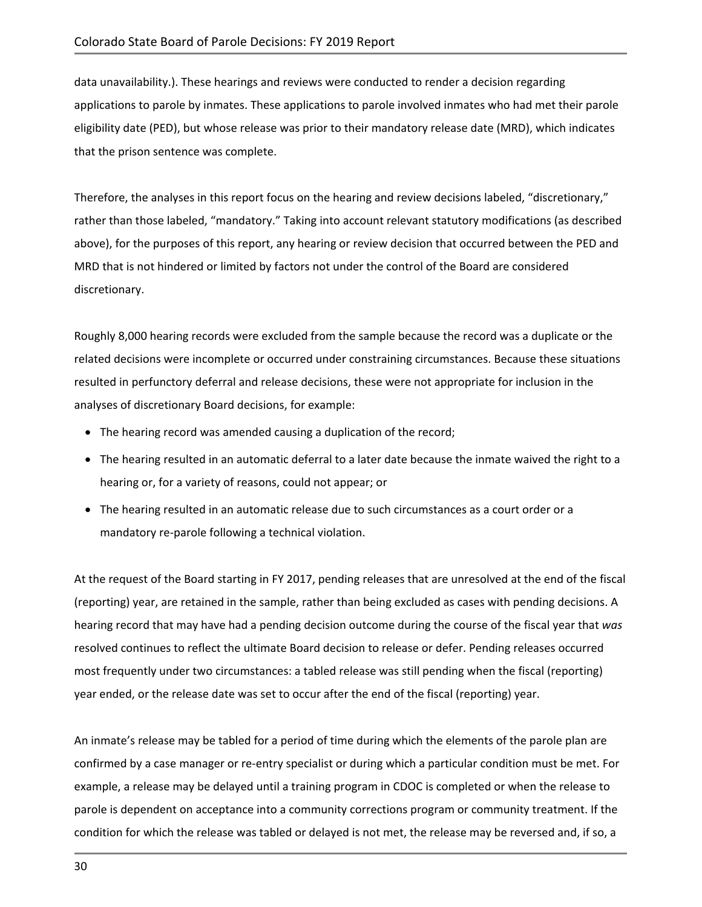data unavailability.). These hearings and reviews were conducted to render a decision regarding applications to parole by inmates. These applications to parole involved inmates who had met their parole eligibility date (PED), but whose release was prior to their mandatory release date (MRD), which indicates that the prison sentence was complete.

Therefore, the analyses in this report focus on the hearing and review decisions labeled, "discretionary," rather than those labeled, "mandatory." Taking into account relevant statutory modifications (as described above), for the purposes of this report, any hearing or review decision that occurred between the PED and MRD that is not hindered or limited by factors not under the control of the Board are considered discretionary.

Roughly 8,000 hearing records were excluded from the sample because the record was a duplicate or the related decisions were incomplete or occurred under constraining circumstances. Because these situations resulted in perfunctory deferral and release decisions, these were not appropriate for inclusion in the analyses of discretionary Board decisions, for example:

- The hearing record was amended causing a duplication of the record;
- The hearing resulted in an automatic deferral to a later date because the inmate waived the right to a hearing or, for a variety of reasons, could not appear; or
- The hearing resulted in an automatic release due to such circumstances as a court order or a mandatory re-parole following a technical violation.

At the request of the Board starting in FY 2017, pending releases that are unresolved at the end of the fiscal (reporting) year, are retained in the sample, rather than being excluded as cases with pending decisions. A hearing record that may have had a pending decision outcome during the course of the fiscal year that *was* resolved continues to reflect the ultimate Board decision to release or defer. Pending releases occurred most frequently under two circumstances: a tabled release was still pending when the fiscal (reporting) year ended, or the release date was set to occur after the end of the fiscal (reporting) year.

An inmate's release may be tabled for a period of time during which the elements of the parole plan are confirmed by a case manager or re-entry specialist or during which a particular condition must be met. For example, a release may be delayed until a training program in CDOC is completed or when the release to parole is dependent on acceptance into a community corrections program or community treatment. If the condition for which the release was tabled or delayed is not met, the release may be reversed and, if so, a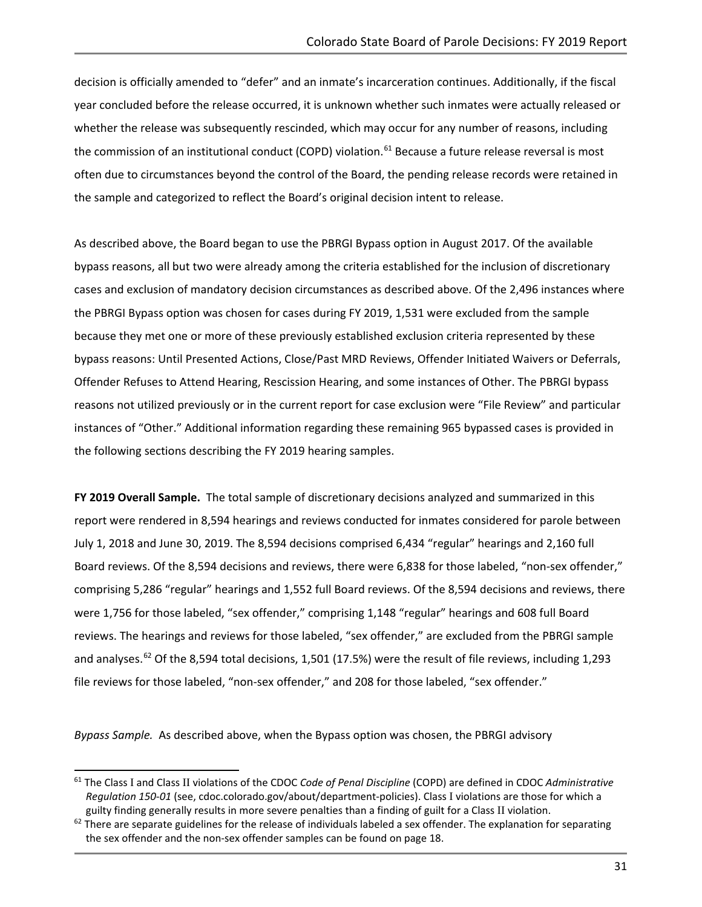decision is officially amended to "defer" and an inmate's incarceration continues. Additionally, if the fiscal year concluded before the release occurred, it is unknown whether such inmates were actually released or whether the release was subsequently rescinded, which may occur for any number of reasons, including the commission of an institutional conduct (COPD) violation.<sup>[61](#page-36-0)</sup> Because a future release reversal is most often due to circumstances beyond the control of the Board, the pending release records were retained in the sample and categorized to reflect the Board's original decision intent to release.

As described above, the Board began to use the PBRGI Bypass option in August 2017. Of the available bypass reasons, all but two were already among the criteria established for the inclusion of discretionary cases and exclusion of mandatory decision circumstances as described above. Of the 2,496 instances where the PBRGI Bypass option was chosen for cases during FY 2019, 1,531 were excluded from the sample because they met one or more of these previously established exclusion criteria represented by these bypass reasons: Until Presented Actions, Close/Past MRD Reviews, Offender Initiated Waivers or Deferrals, Offender Refuses to Attend Hearing, Rescission Hearing, and some instances of Other. The PBRGI bypass reasons not utilized previously or in the current report for case exclusion were "File Review" and particular instances of "Other." Additional information regarding these remaining 965 bypassed cases is provided in the following sections describing the FY 2019 hearing samples.

**FY 2019 Overall Sample.** The total sample of discretionary decisions analyzed and summarized in this report were rendered in 8,594 hearings and reviews conducted for inmates considered for parole between July 1, 2018 and June 30, 2019. The 8,594 decisions comprised 6,434 "regular" hearings and 2,160 full Board reviews. Of the 8,594 decisions and reviews, there were 6,838 for those labeled, "non-sex offender," comprising 5,286 "regular" hearings and 1,552 full Board reviews. Of the 8,594 decisions and reviews, there were 1,756 for those labeled, "sex offender," comprising 1,148 "regular" hearings and 608 full Board reviews. The hearings and reviews for those labeled, "sex offender," are excluded from the PBRGI sample and analyses.<sup>[62](#page-36-1)</sup> Of the 8,594 total decisions, 1,501 (17.5%) were the result of file reviews, including 1,293 file reviews for those labeled, "non-sex offender," and 208 for those labeled, "sex offender."

*Bypass Sample.* As described above, when the Bypass option was chosen, the PBRGI advisory

<span id="page-36-0"></span> <sup>61</sup> The Class <sup>I</sup> and Class II violations of the CDOC *Code of Penal Discipline* (COPD) are defined in CDOC *Administrative Regulation 150-01* (see, cdoc.colorado.gov/about/department-policies). Class I violations are those for which a guilty finding generally results in more severe penalties than a finding of guilt for a Class II violation.

<span id="page-36-1"></span> $62$  There are separate guidelines for the release of individuals labeled a sex offender. The explanation for separating the sex offender and the non-sex offender samples can be found on page 18.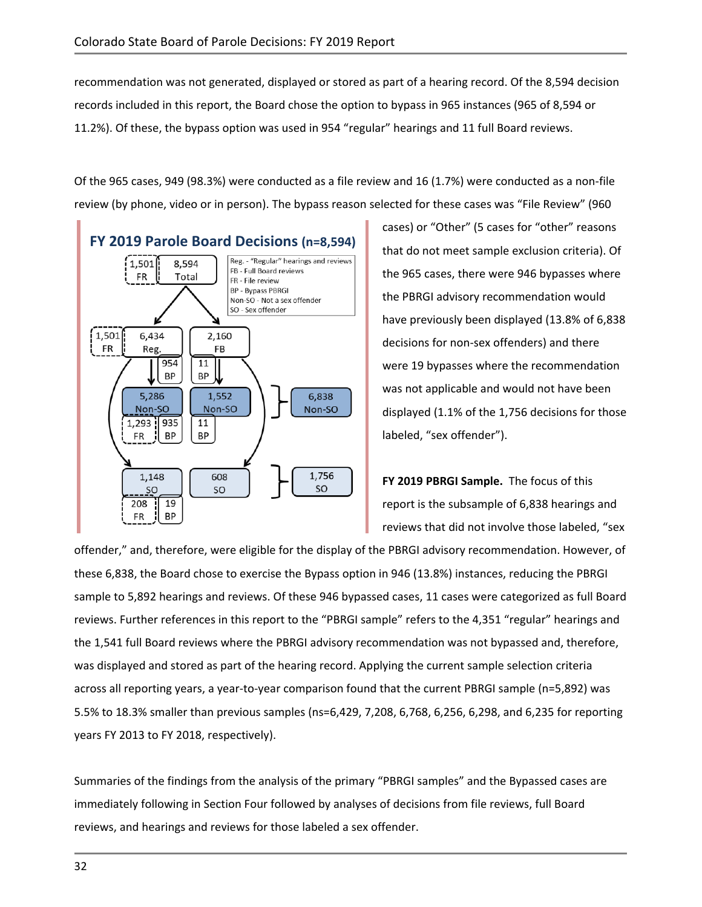recommendation was not generated, displayed or stored as part of a hearing record. Of the 8,594 decision records included in this report, the Board chose the option to bypass in 965 instances (965 of 8,594 or 11.2%). Of these, the bypass option was used in 954 "regular" hearings and 11 full Board reviews.

Of the 965 cases, 949 (98.3%) were conducted as a file review and 16 (1.7%) were conducted as a non-file review (by phone, video or in person). The bypass reason selected for these cases was "File Review" (960



cases) or "Other" (5 cases for "other" reasons that do not meet sample exclusion criteria). Of the 965 cases, there were 946 bypasses where the PBRGI advisory recommendation would have previously been displayed (13.8% of 6,838 decisions for non-sex offenders) and there were 19 bypasses where the recommendation was not applicable and would not have been displayed (1.1% of the 1,756 decisions for those labeled, "sex offender").

**FY 2019 PBRGI Sample.** The focus of this report is the subsample of 6,838 hearings and reviews that did not involve those labeled, "sex

offender," and, therefore, were eligible for the display of the PBRGI advisory recommendation. However, of these 6,838, the Board chose to exercise the Bypass option in 946 (13.8%) instances, reducing the PBRGI sample to 5,892 hearings and reviews. Of these 946 bypassed cases, 11 cases were categorized as full Board reviews. Further references in this report to the "PBRGI sample" refers to the 4,351 "regular" hearings and the 1,541 full Board reviews where the PBRGI advisory recommendation was not bypassed and, therefore, was displayed and stored as part of the hearing record. Applying the current sample selection criteria across all reporting years, a year-to-year comparison found that the current PBRGI sample (n=5,892) was 5.5% to 18.3% smaller than previous samples (ns=6,429, 7,208, 6,768, 6,256, 6,298, and 6,235 for reporting years FY 2013 to FY 2018, respectively).

Summaries of the findings from the analysis of the primary "PBRGI samples" and the Bypassed cases are immediately following in Section Four followed by analyses of decisions from file reviews, full Board reviews, and hearings and reviews for those labeled a sex offender.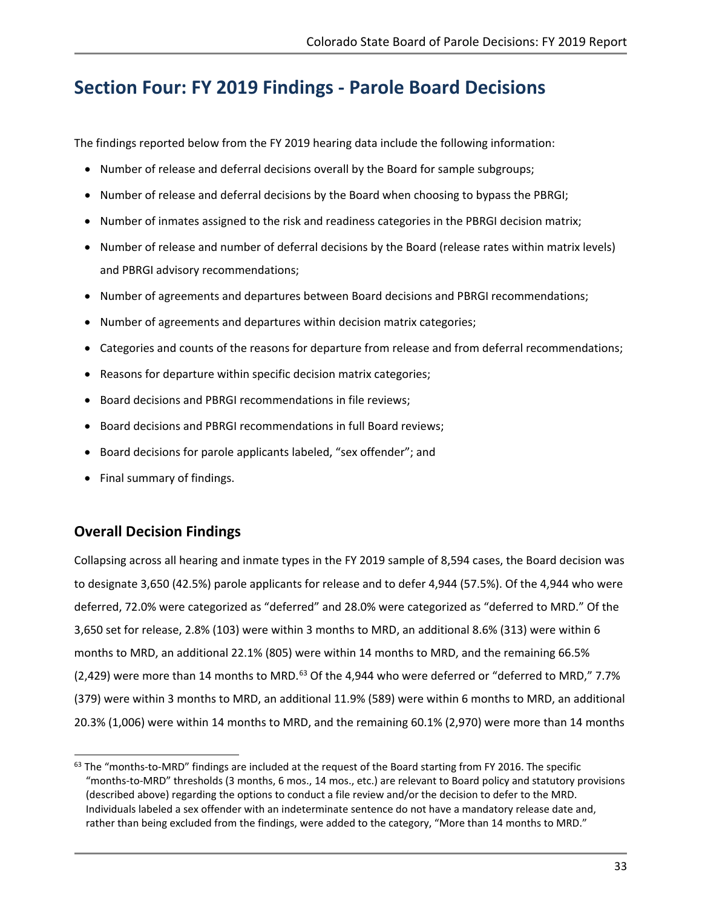# **Section Four: FY 2019 Findings - Parole Board Decisions**

The findings reported below from the FY 2019 hearing data include the following information:

- Number of release and deferral decisions overall by the Board for sample subgroups;
- Number of release and deferral decisions by the Board when choosing to bypass the PBRGI;
- Number of inmates assigned to the risk and readiness categories in the PBRGI decision matrix;
- Number of release and number of deferral decisions by the Board (release rates within matrix levels) and PBRGI advisory recommendations;
- Number of agreements and departures between Board decisions and PBRGI recommendations;
- Number of agreements and departures within decision matrix categories;
- Categories and counts of the reasons for departure from release and from deferral recommendations;
- Reasons for departure within specific decision matrix categories;
- Board decisions and PBRGI recommendations in file reviews;
- Board decisions and PBRGI recommendations in full Board reviews;
- Board decisions for parole applicants labeled, "sex offender"; and
- Final summary of findings.

## **Overall Decision Findings**

Collapsing across all hearing and inmate types in the FY 2019 sample of 8,594 cases, the Board decision was to designate 3,650 (42.5%) parole applicants for release and to defer 4,944 (57.5%). Of the 4,944 who were deferred, 72.0% were categorized as "deferred" and 28.0% were categorized as "deferred to MRD." Of the 3,650 set for release, 2.8% (103) were within 3 months to MRD, an additional 8.6% (313) were within 6 months to MRD, an additional 22.1% (805) were within 14 months to MRD, and the remaining 66.5% (2,429) were more than 14 months to MRD.<sup>[63](#page-38-0)</sup> Of the 4,944 who were deferred or "deferred to MRD," 7.7% (379) were within 3 months to MRD, an additional 11.9% (589) were within 6 months to MRD, an additional 20.3% (1,006) were within 14 months to MRD, and the remaining 60.1% (2,970) were more than 14 months

<span id="page-38-0"></span> $63$  The "months-to-MRD" findings are included at the request of the Board starting from FY 2016. The specific "months-to-MRD" thresholds (3 months, 6 mos., 14 mos., etc.) are relevant to Board policy and statutory provisions (described above) regarding the options to conduct a file review and/or the decision to defer to the MRD. Individuals labeled a sex offender with an indeterminate sentence do not have a mandatory release date and, rather than being excluded from the findings, were added to the category, "More than 14 months to MRD."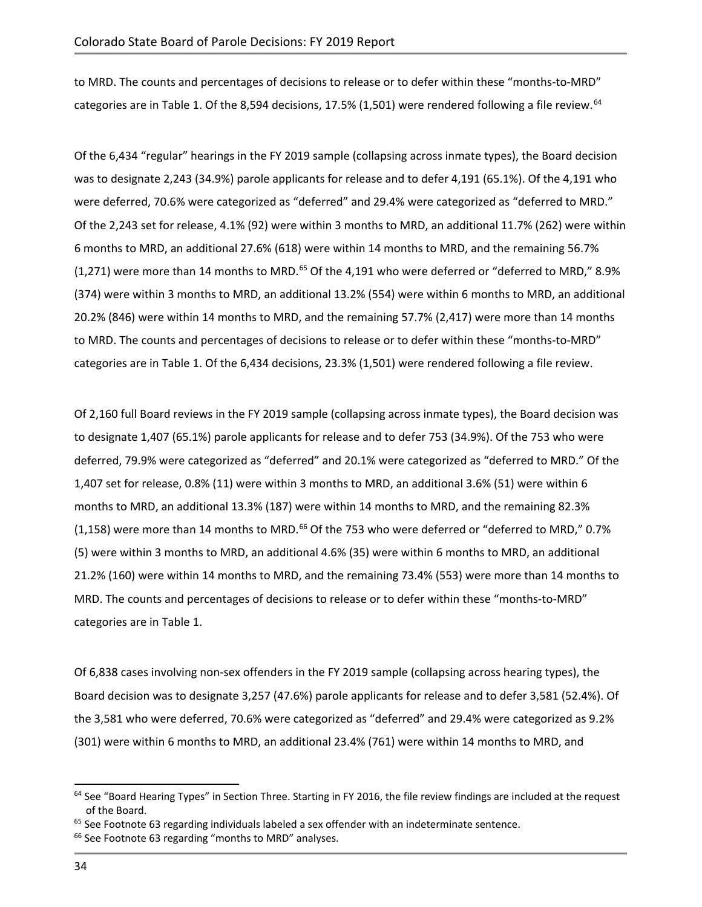to MRD. The counts and percentages of decisions to release or to defer within these "months-to-MRD" categories are in Table 1. Of the 8,594 decisions, 17.5% (1,501) were rendered following a file review.<sup>[64](#page-39-0)</sup>

Of the 6,434 "regular" hearings in the FY 2019 sample (collapsing across inmate types), the Board decision was to designate 2,243 (34.9%) parole applicants for release and to defer 4,191 (65.1%). Of the 4,191 who were deferred, 70.6% were categorized as "deferred" and 29.4% were categorized as "deferred to MRD." Of the 2,243 set for release, 4.1% (92) were within 3 months to MRD, an additional 11.7% (262) were within 6 months to MRD, an additional 27.6% (618) were within 14 months to MRD, and the remaining 56.7% (1,271) were more than 14 months to MRD. $^{65}$  $^{65}$  $^{65}$  Of the 4,191 who were deferred or "deferred to MRD," 8.9% (374) were within 3 months to MRD, an additional 13.2% (554) were within 6 months to MRD, an additional 20.2% (846) were within 14 months to MRD, and the remaining 57.7% (2,417) were more than 14 months to MRD. The counts and percentages of decisions to release or to defer within these "months-to-MRD" categories are in Table 1. Of the 6,434 decisions, 23.3% (1,501) were rendered following a file review.

Of 2,160 full Board reviews in the FY 2019 sample (collapsing across inmate types), the Board decision was to designate 1,407 (65.1%) parole applicants for release and to defer 753 (34.9%). Of the 753 who were deferred, 79.9% were categorized as "deferred" and 20.1% were categorized as "deferred to MRD." Of the 1,407 set for release, 0.8% (11) were within 3 months to MRD, an additional 3.6% (51) were within 6 months to MRD, an additional 13.3% (187) were within 14 months to MRD, and the remaining 82.3%  $(1,158)$  were more than 14 months to MRD.<sup>[66](#page-39-2)</sup> Of the 753 who were deferred or "deferred to MRD," 0.7% (5) were within 3 months to MRD, an additional 4.6% (35) were within 6 months to MRD, an additional 21.2% (160) were within 14 months to MRD, and the remaining 73.4% (553) were more than 14 months to MRD. The counts and percentages of decisions to release or to defer within these "months-to-MRD" categories are in Table 1.

Of 6,838 cases involving non-sex offenders in the FY 2019 sample (collapsing across hearing types), the Board decision was to designate 3,257 (47.6%) parole applicants for release and to defer 3,581 (52.4%). Of the 3,581 who were deferred, 70.6% were categorized as "deferred" and 29.4% were categorized as 9.2% (301) were within 6 months to MRD, an additional 23.4% (761) were within 14 months to MRD, and

<span id="page-39-0"></span><sup>&</sup>lt;sup>64</sup> See "Board Hearing Types" in Section Three. Starting in FY 2016, the file review findings are included at the request of the Board.

<span id="page-39-1"></span><sup>&</sup>lt;sup>65</sup> See Footnote 63 regarding individuals labeled a sex offender with an indeterminate sentence.

<span id="page-39-2"></span><sup>&</sup>lt;sup>66</sup> See Footnote 63 regarding "months to MRD" analyses.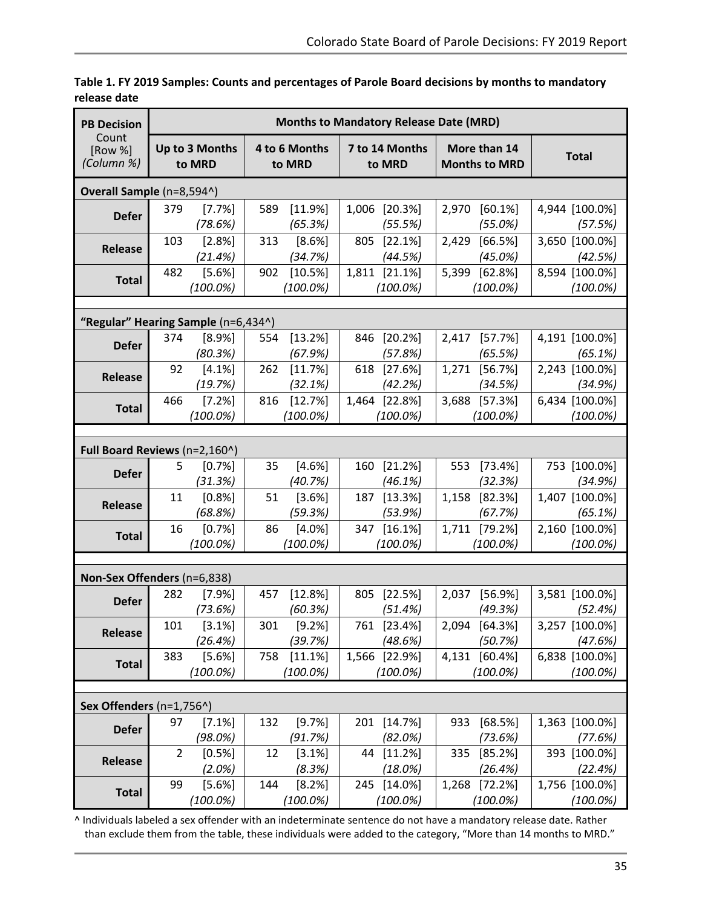| Table 1. FY 2019 Samples: Counts and percentages of Parole Board decisions by months to mandatory |  |
|---------------------------------------------------------------------------------------------------|--|
| release date                                                                                      |  |

| <b>PB Decision</b>             | <b>Months to Mandatory Release Date (MRD)</b> |                               |                                 |                                      |                               |  |  |  |
|--------------------------------|-----------------------------------------------|-------------------------------|---------------------------------|--------------------------------------|-------------------------------|--|--|--|
| Count<br>[Row %]<br>(Column %) | Up to 3 Months<br>to MRD                      |                               | 7 to 14 Months<br>to MRD        | More than 14<br><b>Months to MRD</b> | <b>Total</b>                  |  |  |  |
| Overall Sample (n=8,594^)      |                                               |                               |                                 |                                      |                               |  |  |  |
| <b>Defer</b>                   | 379<br>[7.7%]<br>(78.6%)                      | 589<br>[11.9%]<br>(65.3%)     | 1,006<br>[20.3%]<br>(55.5%)     | 2,970<br>$[60.1\%]$<br>(55.0%)       | 4,944 [100.0%]<br>(57.5%)     |  |  |  |
| Release                        | 103<br>[2.8%]<br>(21.4%)                      | [8.6%]<br>313<br>(34.7%)      | 805<br>$[22.1\%]$<br>(44.5%)    | 2,429<br>[66.5%]<br>(45.0%)          | 3,650 [100.0%]<br>(42.5%)     |  |  |  |
| <b>Total</b>                   | 482<br>[5.6%]<br>(100.0%)                     | 902<br>[10.5%]<br>(100.0%)    | 1,811 [21.1%]<br>$(100.0\%)$    | 5,399<br>[62.8%]<br>(100.0%)         | 8,594 [100.0%]<br>$(100.0\%)$ |  |  |  |
|                                |                                               |                               |                                 |                                      |                               |  |  |  |
|                                | "Regular" Hearing Sample (n=6,434^)           |                               |                                 |                                      |                               |  |  |  |
| <b>Defer</b>                   | [8.9%]<br>374                                 | [13.2%]<br>554                | [20.2%]<br>846<br>(57.8%)       | 2,417<br>[57.7%]                     | 4,191 [100.0%]<br>(65.1%)     |  |  |  |
|                                | (80.3%)<br>92<br>[4.1%]                       | (67.9%)<br>262<br>[11.7%]     | 618<br>[27.6%]                  | (65.5%)<br>1,271<br>[56.7%]          | 2,243 [100.0%]                |  |  |  |
| Release                        | (19.7%)                                       | (32.1%)                       | (42.2%)                         | (34.5%)                              | (34.9%)                       |  |  |  |
|                                | 466<br>[7.2%]                                 | 816<br>[12.7%]                | 1,464<br>[22.8%]                | 3,688<br>[57.3%]                     | 6,434 [100.0%]                |  |  |  |
| <b>Total</b>                   | $(100.0\%)$                                   | $(100.0\%)$                   | $(100.0\%)$                     | $(100.0\%)$                          | $(100.0\%)$                   |  |  |  |
|                                |                                               |                               |                                 |                                      |                               |  |  |  |
|                                | Full Board Reviews (n=2,160^)                 |                               |                                 |                                      |                               |  |  |  |
| <b>Defer</b>                   | 5<br>[0.7%]                                   | [4.6%]<br>35                  | 160<br>[21.2%]                  | 553<br>[73.4%]                       | 753 [100.0%]                  |  |  |  |
|                                | (31.3%)                                       | (40.7%)                       | (46.1%)                         | (32.3%)                              | (34.9%)                       |  |  |  |
| Release                        | 11<br>[0.8%]<br>(68.8%)                       | 51<br>[3.6%]<br>(59.3%)       | [13.3%]<br>187<br>(53.9%)       | 1,158<br>[82.3%]<br>(67.7%)          | 1,407 [100.0%]<br>(65.1%)     |  |  |  |
|                                | 16<br>[0.7%]                                  | 86<br>[4.0%]                  | 347 [16.1%]                     | 1,711 [79.2%]                        | 2,160 [100.0%]                |  |  |  |
| <b>Total</b>                   | $(100.0\%)$                                   | $(100.0\%)$                   | $(100.0\%)$                     | $(100.0\%)$                          | $(100.0\%)$                   |  |  |  |
|                                |                                               |                               |                                 |                                      |                               |  |  |  |
|                                | Non-Sex Offenders (n=6,838)                   |                               |                                 |                                      |                               |  |  |  |
| <b>Defer</b>                   | 282<br>[7.9%]                                 | 457<br>[12.8%]                | 805<br>[22.5%]                  | [56.9%]<br>2,037                     | 3,581 [100.0%]                |  |  |  |
|                                | (73.6%)                                       | (60.3%)                       | (51.4%)                         | (49.3%)                              | (52.4%)                       |  |  |  |
| Release                        | [3.1%]<br>101                                 | 301<br>[9.2%]                 | 761 [23.4%]                     | 2,094 [64.3%]                        | 3,257 [100.0%]                |  |  |  |
|                                | (26.4%)                                       | (39.7%)                       | (48.6%)                         | (50.7%)                              | (47.6%)                       |  |  |  |
| <b>Total</b>                   | 383<br>[5.6%]                                 | 758<br>[11.1%]<br>$(100.0\%)$ | 1,566<br>[22.9%]<br>$(100.0\%)$ | 4,131<br>[60.4%]                     | 6,838 [100.0%]<br>$(100.0\%)$ |  |  |  |
|                                | $(100.0\%)$                                   |                               |                                 | (100.0%)                             |                               |  |  |  |
| Sex Offenders (n=1,756^)       |                                               |                               |                                 |                                      |                               |  |  |  |
| <b>Defer</b>                   | 97<br>[7.1%]                                  | 132<br>[9.7%]                 | 201 [14.7%]                     | [68.5%]<br>933                       | 1,363 [100.0%]                |  |  |  |
|                                | (98.0%)<br>$\overline{2}$<br>[0.5%]           | (91.7%)<br>12                 | $(82.0\%)$                      | (73.6%)<br>335                       | (77.6%)<br>393 [100.0%]       |  |  |  |
| Release                        | (2.0%)                                        | [3.1%]<br>(8.3%)              | [11.2%]<br>44<br>(18.0%)        | [85.2%]<br>(26.4%)                   | (22.4%)                       |  |  |  |
|                                | [5.6%]<br>99                                  | [8.2%]<br>144                 | 245<br>$[14.0\%]$               | 1,268<br>[72.2%]                     | 1,756 [100.0%]                |  |  |  |
| <b>Total</b>                   | $(100.0\%)$                                   | $(100.0\%)$                   | $(100.0\%)$                     | $(100.0\%)$                          | $(100.0\%)$                   |  |  |  |

^ Individuals labeled a sex offender with an indeterminate sentence do not have a mandatory release date. Rather than exclude them from the table, these individuals were added to the category, "More than 14 months to MRD."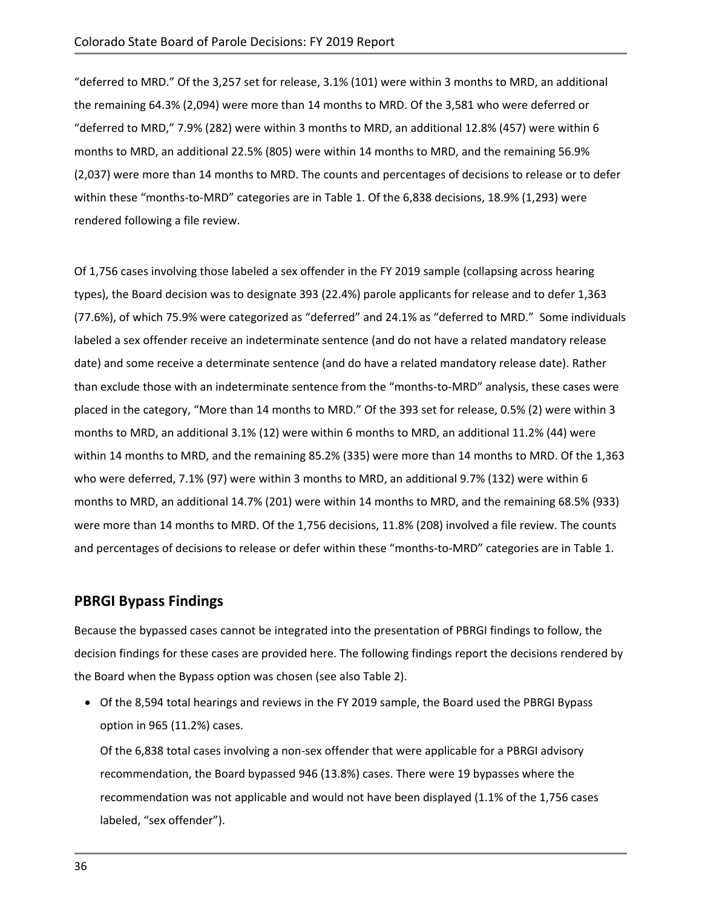"deferred to MRD." Of the 3,257 set for release, 3.1% (101) were within 3 months to MRD, an additional the remaining 64.3% (2,094) were more than 14 months to MRD. Of the 3,581 who were deferred or "deferred to MRD," 7.9% (282) were within 3 months to MRD, an additional 12.8% (457) were within 6 months to MRD, an additional 22.5% (805) were within 14 months to MRD, and the remaining 56.9% (2,037) were more than 14 months to MRD. The counts and percentages of decisions to release or to defer within these "months-to-MRD" categories are in Table 1. Of the 6,838 decisions, 18.9% (1,293) were rendered following a file review.

Of 1,756 cases involving those labeled a sex offender in the FY 2019 sample (collapsing across hearing types), the Board decision was to designate 393 (22.4%) parole applicants for release and to defer 1,363 (77.6%), of which 75.9% were categorized as "deferred" and 24.1% as "deferred to MRD." Some individuals labeled a sex offender receive an indeterminate sentence (and do not have a related mandatory release date) and some receive a determinate sentence (and do have a related mandatory release date). Rather than exclude those with an indeterminate sentence from the "months-to-MRD" analysis, these cases were placed in the category, "More than 14 months to MRD." Of the 393 set for release, 0.5% (2) were within 3 months to MRD, an additional 3.1% (12) were within 6 months to MRD, an additional 11.2% (44) were within 14 months to MRD, and the remaining 85.2% (335) were more than 14 months to MRD. Of the 1,363 who were deferred, 7.1% (97) were within 3 months to MRD, an additional 9.7% (132) were within 6 months to MRD, an additional 14.7% (201) were within 14 months to MRD, and the remaining 68.5% (933) were more than 14 months to MRD. Of the 1,756 decisions, 11.8% (208) involved a file review. The counts and percentages of decisions to release or defer within these "months-to-MRD" categories are in Table 1.

#### **PBRGI Bypass Findings**

Because the bypassed cases cannot be integrated into the presentation of PBRGI findings to follow, the decision findings for these cases are provided here. The following findings report the decisions rendered by the Board when the Bypass option was chosen (see also Table 2).

• Of the 8,594 total hearings and reviews in the FY 2019 sample, the Board used the PBRGI Bypass option in 965 (11.2%) cases.

Of the 6,838 total cases involving a non-sex offender that were applicable for a PBRGI advisory recommendation, the Board bypassed 946 (13.8%) cases. There were 19 bypasses where the recommendation was not applicable and would not have been displayed (1.1% of the 1,756 cases labeled, "sex offender").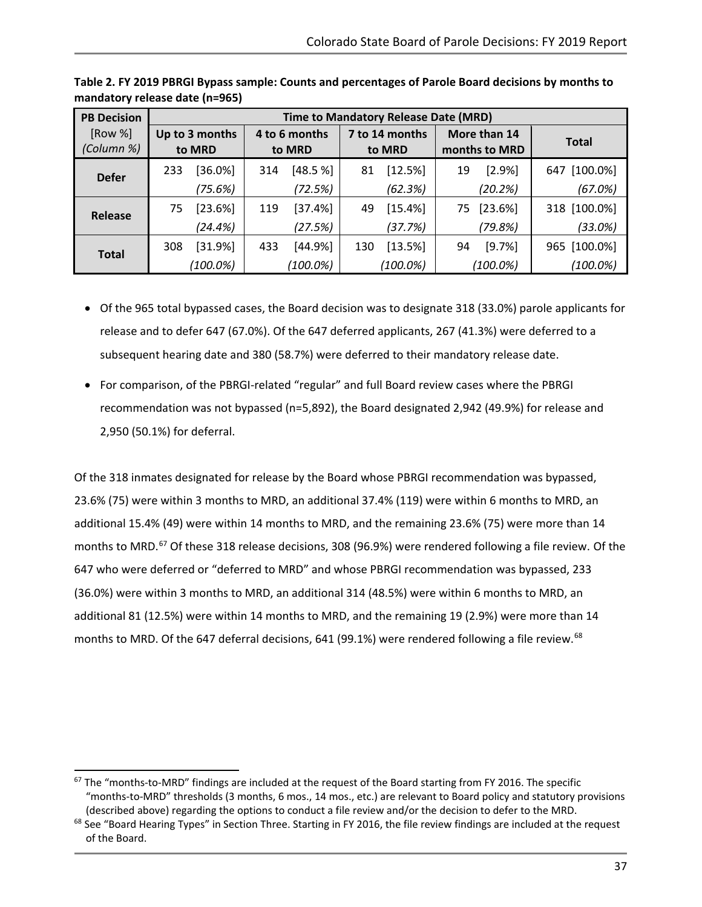| <b>PB Decision</b>       | Time to Mandatory Release Date (MRD) |                         |                          |                               |                    |  |  |  |
|--------------------------|--------------------------------------|-------------------------|--------------------------|-------------------------------|--------------------|--|--|--|
| $[Row \%]$<br>(Column %) | Up to 3 months<br>to MRD             | 4 to 6 months<br>to MRD | 7 to 14 months<br>to MRD | More than 14<br>months to MRD | <b>Total</b>       |  |  |  |
| <b>Defer</b>             | [36.0%]<br>233                       | [48.5%]<br>314          | [12.5%]<br>81            | [2.9%]<br>19                  | $[100.0\%]$<br>647 |  |  |  |
|                          | (75.6%)                              | (72.5%)                 | (62.3%)                  | (20.2%)                       | (67.0%)            |  |  |  |
| <b>Release</b>           | [23.6%]<br>75                        | [37.4%]<br>119          | [15.4%]<br>49            | [23.6%]<br>75                 | 318 [100.0%]       |  |  |  |
|                          | (24.4%)                              | (27.5%)                 | (37.7%)                  | (79.8%)                       | (33.0%)            |  |  |  |
| <b>Total</b>             | [31.9%]<br>308                       | [44.9%]<br>433          | [13.5%]<br>130           | [9.7%]<br>94                  | 965 [100.0%]       |  |  |  |
|                          | (100.0%)                             | (100.0%)                | (100.0%)                 | (100.0%)                      | (100.0%)           |  |  |  |

**Table 2. FY 2019 PBRGI Bypass sample: Counts and percentages of Parole Board decisions by months to mandatory release date (n=965)**

- Of the 965 total bypassed cases, the Board decision was to designate 318 (33.0%) parole applicants for release and to defer 647 (67.0%). Of the 647 deferred applicants, 267 (41.3%) were deferred to a subsequent hearing date and 380 (58.7%) were deferred to their mandatory release date.
- For comparison, of the PBRGI-related "regular" and full Board review cases where the PBRGI recommendation was not bypassed (n=5,892), the Board designated 2,942 (49.9%) for release and 2,950 (50.1%) for deferral.

Of the 318 inmates designated for release by the Board whose PBRGI recommendation was bypassed, 23.6% (75) were within 3 months to MRD, an additional 37.4% (119) were within 6 months to MRD, an additional 15.4% (49) were within 14 months to MRD, and the remaining 23.6% (75) were more than 14 months to MRD.<sup>[67](#page-42-0)</sup> Of these 318 release decisions, 308 (96.9%) were rendered following a file review. Of the 647 who were deferred or "deferred to MRD" and whose PBRGI recommendation was bypassed, 233 (36.0%) were within 3 months to MRD, an additional 314 (48.5%) were within 6 months to MRD, an additional 81 (12.5%) were within 14 months to MRD, and the remaining 19 (2.9%) were more than 14 months to MRD. Of the 647 deferral decisions, 641 (99.1%) were rendered following a file review.<sup>[68](#page-42-1)</sup>

<span id="page-42-0"></span> $67$  The "months-to-MRD" findings are included at the request of the Board starting from FY 2016. The specific "months-to-MRD" thresholds (3 months, 6 mos., 14 mos., etc.) are relevant to Board policy and statutory provisions (described above) regarding the options to conduct a file review and/or the decision to defer to the MRD.

<span id="page-42-1"></span><sup>&</sup>lt;sup>68</sup> See "Board Hearing Types" in Section Three. Starting in FY 2016, the file review findings are included at the request of the Board.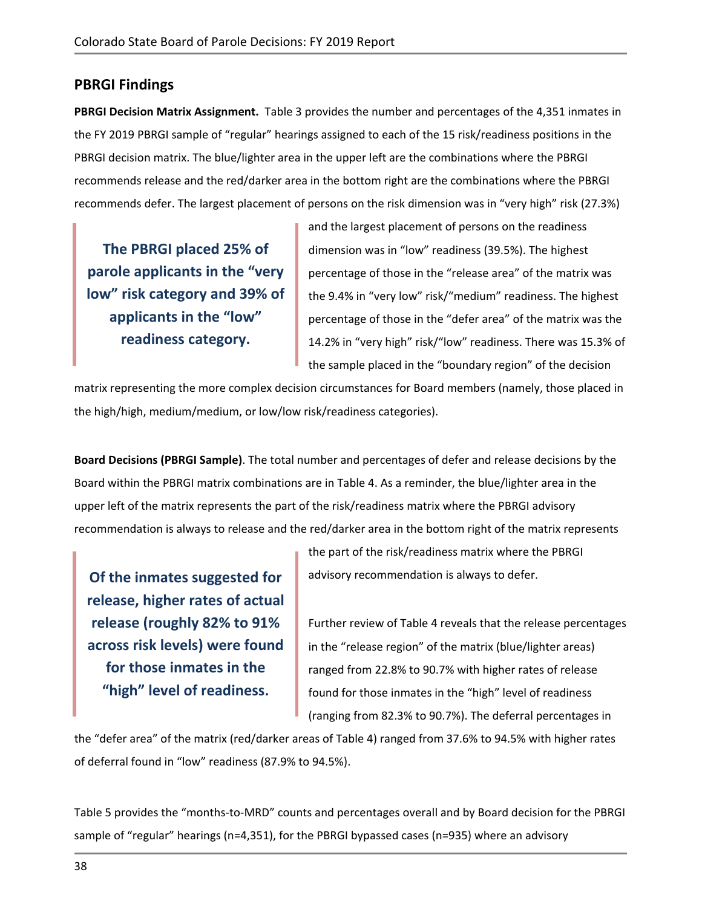## **PBRGI Findings**

**PBRGI Decision Matrix Assignment.** Table 3 provides the number and percentages of the 4,351 inmates in the FY 2019 PBRGI sample of "regular" hearings assigned to each of the 15 risk/readiness positions in the PBRGI decision matrix. The blue/lighter area in the upper left are the combinations where the PBRGI recommends release and the red/darker area in the bottom right are the combinations where the PBRGI recommends defer. The largest placement of persons on the risk dimension was in "very high" risk (27.3%)

**The PBRGI placed 25% of parole applicants in the "very low" risk category and 39% of applicants in the "low" readiness category.**

and the largest placement of persons on the readiness dimension was in "low" readiness (39.5%). The highest percentage of those in the "release area" of the matrix was the 9.4% in "very low" risk/"medium" readiness. The highest percentage of those in the "defer area" of the matrix was the 14.2% in "very high" risk/"low" readiness. There was 15.3% of the sample placed in the "boundary region" of the decision

matrix representing the more complex decision circumstances for Board members (namely, those placed in the high/high, medium/medium, or low/low risk/readiness categories).

**Board Decisions (PBRGI Sample)**. The total number and percentages of defer and release decisions by the Board within the PBRGI matrix combinations are in Table 4. As a reminder, the blue/lighter area in the upper left of the matrix represents the part of the risk/readiness matrix where the PBRGI advisory recommendation is always to release and the red/darker area in the bottom right of the matrix represents

**Of the inmates suggested for release, higher rates of actual release (roughly 82% to 91% across risk levels) were found for those inmates in the "high" level of readiness.**

the part of the risk/readiness matrix where the PBRGI advisory recommendation is always to defer.

Further review of Table 4 reveals that the release percentages in the "release region" of the matrix (blue/lighter areas) ranged from 22.8% to 90.7% with higher rates of release found for those inmates in the "high" level of readiness (ranging from 82.3% to 90.7%). The deferral percentages in

the "defer area" of the matrix (red/darker areas of Table 4) ranged from 37.6% to 94.5% with higher rates of deferral found in "low" readiness (87.9% to 94.5%).

Table 5 provides the "months-to-MRD" counts and percentages overall and by Board decision for the PBRGI sample of "regular" hearings (n=4,351), for the PBRGI bypassed cases (n=935) where an advisory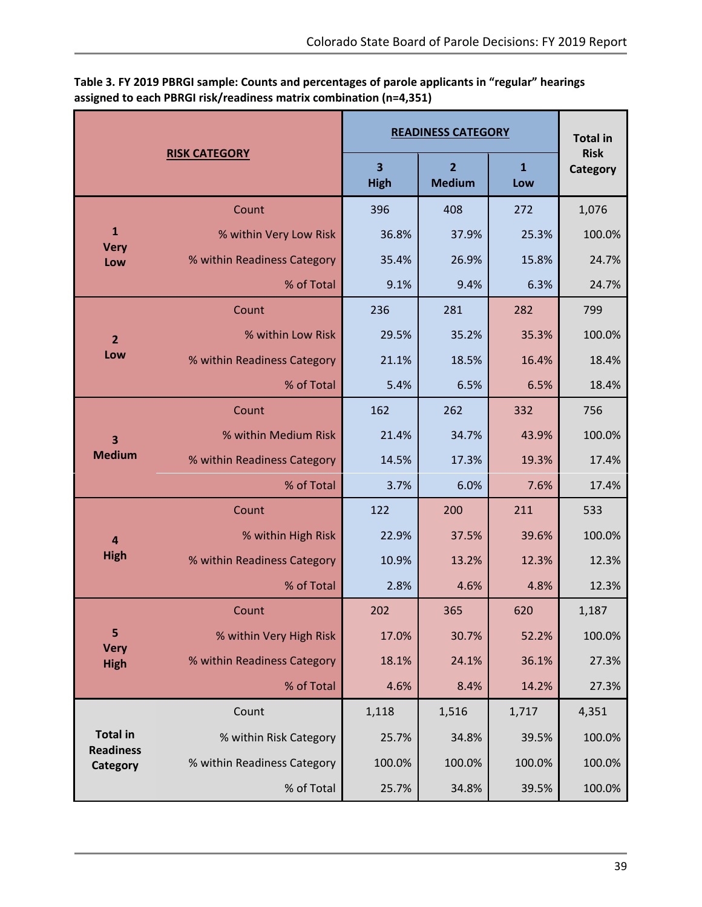| Table 3. FY 2019 PBRGI sample: Counts and percentages of parole applicants in "regular" hearings |  |
|--------------------------------------------------------------------------------------------------|--|
| assigned to each PBRGI risk/readiness matrix combination (n=4,351)                               |  |

|                                          |                             | <b>READINESS CATEGORY</b>              | <b>Total in</b>                 |                     |                         |
|------------------------------------------|-----------------------------|----------------------------------------|---------------------------------|---------------------|-------------------------|
|                                          | <b>RISK CATEGORY</b>        | $\overline{\mathbf{3}}$<br><b>High</b> | $\overline{2}$<br><b>Medium</b> | $\mathbf{1}$<br>Low | <b>Risk</b><br>Category |
|                                          | Count                       | 396                                    | 408                             | 272                 | 1,076                   |
| $\mathbf{1}$                             | % within Very Low Risk      | 36.8%                                  | 37.9%                           | 25.3%               | 100.0%                  |
| <b>Very</b><br>Low                       | % within Readiness Category | 35.4%                                  | 26.9%                           | 15.8%               | 24.7%                   |
|                                          | % of Total                  | 9.1%                                   | 9.4%                            | 6.3%                | 24.7%                   |
|                                          | Count                       | 236                                    | 281                             | 282                 | 799                     |
| $\overline{2}$                           | % within Low Risk           | 29.5%                                  | 35.2%                           | 35.3%               | 100.0%                  |
| Low                                      | % within Readiness Category | 21.1%                                  | 18.5%                           | 16.4%               | 18.4%                   |
|                                          | % of Total                  | 5.4%                                   | 6.5%                            | 6.5%                | 18.4%                   |
|                                          | Count                       | 162                                    | 262                             | 332                 | 756                     |
| $\overline{\mathbf{3}}$<br><b>Medium</b> | % within Medium Risk        | 21.4%                                  | 34.7%                           | 43.9%               | 100.0%                  |
|                                          | % within Readiness Category | 14.5%                                  | 17.3%                           | 19.3%               | 17.4%                   |
|                                          | % of Total                  | 3.7%                                   | 6.0%                            | 7.6%                | 17.4%                   |
|                                          | Count                       | 122                                    | 200                             | 211                 | 533                     |
| $\overline{4}$                           | % within High Risk          | 22.9%                                  | 37.5%                           | 39.6%               | 100.0%                  |
| <b>High</b>                              | % within Readiness Category | 10.9%                                  | 13.2%                           | 12.3%               | 12.3%                   |
|                                          | % of Total                  | 2.8%                                   | 4.6%                            | 4.8%                | 12.3%                   |
|                                          | Count                       | 202                                    | 365                             | 620                 | 1,187                   |
| 5<br><b>Very</b>                         | % within Very High Risk     | 17.0%                                  | 30.7%                           | 52.2%               | 100.0%                  |
| <b>High</b>                              | % within Readiness Category | 18.1%                                  | 24.1%                           | 36.1%               | 27.3%                   |
|                                          | % of Total                  | 4.6%                                   | 8.4%                            | 14.2%               | 27.3%                   |
|                                          | Count                       | 1,118                                  | 1,516                           | 1,717               | 4,351                   |
| <b>Total in</b><br><b>Readiness</b>      | % within Risk Category      | 25.7%                                  | 34.8%                           | 39.5%               | 100.0%                  |
| Category                                 | % within Readiness Category | 100.0%                                 | 100.0%                          | 100.0%              | 100.0%                  |
|                                          | % of Total                  | 25.7%                                  | 34.8%                           | 39.5%               | 100.0%                  |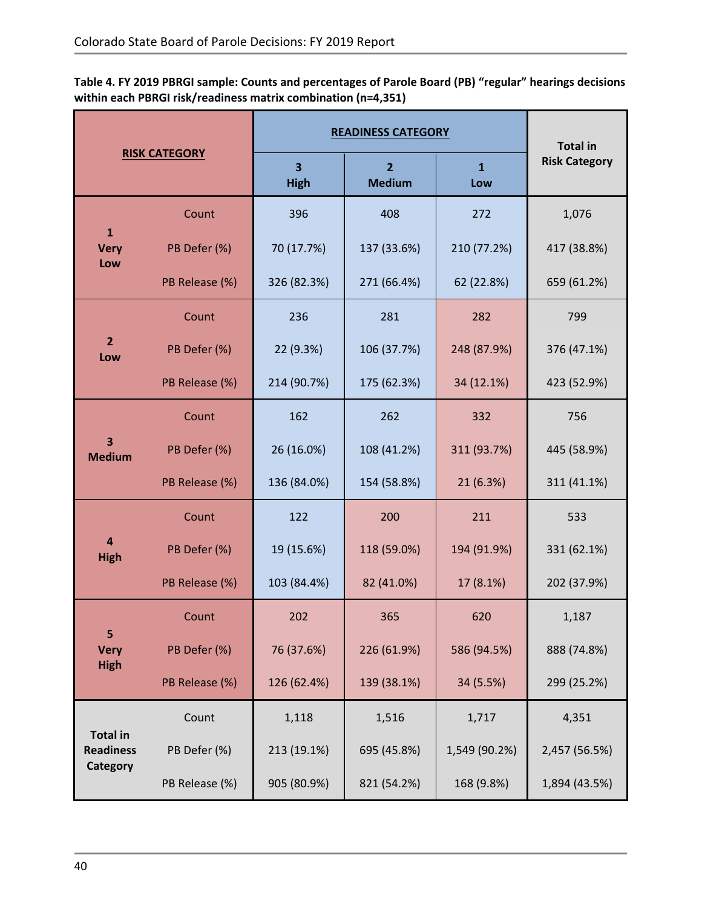**Table 4. FY 2019 PBRGI sample: Counts and percentages of Parole Board (PB) "regular" hearings decisions within each PBRGI risk/readiness matrix combination (n=4,351)**

| <b>RISK CATEGORY</b>               |                | <b>READINESS CATEGORY</b>              | <b>Total in</b>                 |                     |                      |
|------------------------------------|----------------|----------------------------------------|---------------------------------|---------------------|----------------------|
|                                    |                | $\overline{\mathbf{3}}$<br><b>High</b> | $\overline{2}$<br><b>Medium</b> | $\mathbf{1}$<br>Low | <b>Risk Category</b> |
|                                    | Count          | 396                                    | 408                             | 272                 | 1,076                |
| $\mathbf{1}$<br><b>Very</b><br>Low | PB Defer (%)   | 70 (17.7%)                             | 137 (33.6%)                     | 210 (77.2%)         | 417 (38.8%)          |
|                                    | PB Release (%) | 326 (82.3%)                            | 271 (66.4%)                     | 62 (22.8%)          | 659 (61.2%)          |
|                                    | Count          | 236                                    | 281                             | 282                 | 799                  |
| $\overline{2}$<br>Low              | PB Defer (%)   | 22 (9.3%)                              | 106 (37.7%)                     | 248 (87.9%)         | 376 (47.1%)          |
|                                    | PB Release (%) | 214 (90.7%)                            | 175 (62.3%)                     | 34 (12.1%)          | 423 (52.9%)          |
|                                    | Count          | 162                                    | 262                             | 332                 | 756                  |
| 3<br><b>Medium</b>                 | PB Defer (%)   | 26 (16.0%)                             | 108 (41.2%)                     | 311 (93.7%)         | 445 (58.9%)          |
|                                    | PB Release (%) | 136 (84.0%)                            | 154 (58.8%)                     | 21 (6.3%)           | 311 (41.1%)          |
|                                    | Count          | 122                                    | 200                             | 211                 | 533                  |
| 4<br><b>High</b>                   | PB Defer (%)   | 19 (15.6%)                             | 118 (59.0%)                     | 194 (91.9%)         | 331 (62.1%)          |
|                                    | PB Release (%) | 103 (84.4%)                            | 82 (41.0%)<br>17 (8.1%)         |                     | 202 (37.9%)          |
| 5                                  | Count          | 202                                    | 365                             | 620                 | 1,187                |
| <b>Very</b><br><b>High</b>         | PB Defer (%)   | 76 (37.6%)                             | 226 (61.9%)                     | 586 (94.5%)         | 888 (74.8%)          |
|                                    | PB Release (%) | 126 (62.4%)                            | 139 (38.1%)                     | 34 (5.5%)           | 299 (25.2%)          |
| <b>Total in</b>                    | Count          | 1,118                                  | 1,516                           | 1,717               | 4,351                |
| <b>Readiness</b>                   | PB Defer (%)   | 213 (19.1%)                            | 695 (45.8%)                     | 1,549 (90.2%)       | 2,457 (56.5%)        |
| Category                           | PB Release (%) | 905 (80.9%)                            | 821 (54.2%)                     | 168 (9.8%)          | 1,894 (43.5%)        |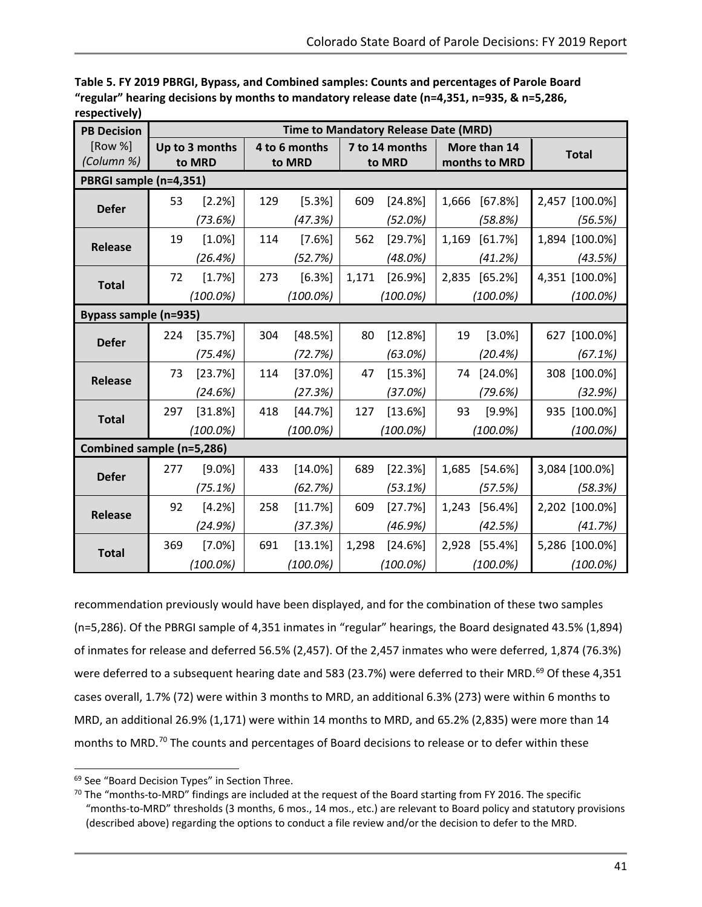| Table 5. FY 2019 PBRGI, Bypass, and Combined samples: Counts and percentages of Parole Board |
|----------------------------------------------------------------------------------------------|
| "regular" hearing decisions by months to mandatory release date (n=4,351, n=935, & n=5,286,  |
| respectively)                                                                                |

| <b>PB Decision</b>           | <b>Time to Mandatory Release Date (MRD)</b> |                          |     |                         |                          |             |                               |                |
|------------------------------|---------------------------------------------|--------------------------|-----|-------------------------|--------------------------|-------------|-------------------------------|----------------|
| [Row %]<br>(Column %)        |                                             | Up to 3 months<br>to MRD |     | 4 to 6 months<br>to MRD | 7 to 14 months<br>to MRD |             | More than 14<br>months to MRD | <b>Total</b>   |
| PBRGI sample (n=4,351)       |                                             |                          |     |                         |                          |             |                               |                |
|                              | 53                                          | [2.2%]                   | 129 | [5.3%]                  | 609                      | [24.8%]     | 1,666<br>[67.8%]              | 2,457 [100.0%] |
| <b>Defer</b>                 |                                             | (73.6%)                  |     | (47.3%)                 |                          | (52.0%)     | (58.8%)                       | (56.5%)        |
|                              | 19                                          | [1.0%]                   | 114 | [7.6%]                  | 562                      | [29.7%]     | 1,169<br>[61.7%]              | 1,894 [100.0%] |
| <b>Release</b>               |                                             | (26.4%)                  |     | (52.7%)                 |                          | (48.0%)     | (41.2%)                       | (43.5%)        |
|                              | 72                                          | [1.7%]                   | 273 | [6.3%]                  | 1,171                    | [26.9%]     | 2,835 [65.2%]                 | 4,351 [100.0%] |
| <b>Total</b>                 |                                             | $(100.0\%)$              |     | $(100.0\%)$             |                          | $(100.0\%)$ | $(100.0\%)$                   | $(100.0\%)$    |
| <b>Bypass sample (n=935)</b> |                                             |                          |     |                         |                          |             |                               |                |
|                              | 224                                         | [35.7%]                  | 304 | [48.5%]                 | 80                       | [12.8%]     | [3.0%]<br>19                  | 627 [100.0%]   |
| <b>Defer</b>                 |                                             | (75.4%)                  |     | (72.7%)                 |                          | (63.0%)     | (20.4%)                       | (67.1%)        |
| <b>Release</b>               | 73                                          | [23.7%]                  | 114 | [37.0%]                 | 47                       | [15.3%]     | $[24.0\%]$<br>74              | 308 [100.0%]   |
|                              |                                             | (24.6%)                  |     | (27.3%)                 |                          | (37.0%)     | (79.6%)                       | (32.9%)        |
| <b>Total</b>                 | 297                                         | [31.8%]                  | 418 | [44.7%]                 | 127                      | [13.6%]     | 93<br>[9.9%]                  | 935 [100.0%]   |
|                              |                                             | $(100.0\%)$              |     | $(100.0\%)$             |                          | $(100.0\%)$ | $(100.0\%)$                   | $(100.0\%)$    |
| Combined sample (n=5,286)    |                                             |                          |     |                         |                          |             |                               |                |
| <b>Defer</b>                 | 277                                         | [9.0%]                   | 433 | $[14.0\%]$              | 689                      | [22.3%]     | 1,685 [54.6%]                 | 3,084 [100.0%] |
|                              |                                             | (75.1%)                  |     | (62.7%)                 |                          | (53.1%)     | (57.5%)                       | (58.3%)        |
| <b>Release</b>               | 92                                          | [4.2%]                   | 258 | [11.7%]                 | 609                      | [27.7%]     | 1,243<br>[56.4%]              | 2,202 [100.0%] |
|                              |                                             | (24.9%)                  |     | (37.3%)                 |                          | (46.9%)     | (42.5%)                       | (41.7%)        |
| <b>Total</b>                 | 369                                         | [7.0%]                   | 691 | [13.1%]                 | 1,298                    | [24.6%]     | 2,928 [55.4%]                 | 5,286 [100.0%] |
|                              |                                             | $(100.0\%)$              |     | $(100.0\%)$             |                          | $(100.0\%)$ | $(100.0\%)$                   | $(100.0\%)$    |

recommendation previously would have been displayed, and for the combination of these two samples (n=5,286). Of the PBRGI sample of 4,351 inmates in "regular" hearings, the Board designated 43.5% (1,894) of inmates for release and deferred 56.5% (2,457). Of the 2,457 inmates who were deferred, 1,874 (76.3%) were deferred to a subsequent hearing date and 583 (23.7%) were deferred to their MRD.<sup>[69](#page-46-0)</sup> Of these 4,351 cases overall, 1.7% (72) were within 3 months to MRD, an additional 6.3% (273) were within 6 months to MRD, an additional 26.9% (1,171) were within 14 months to MRD, and 65.2% (2,835) were more than 14 months to MRD.<sup>[70](#page-46-1)</sup> The counts and percentages of Board decisions to release or to defer within these

<span id="page-46-0"></span><sup>&</sup>lt;sup>69</sup> See "Board Decision Types" in Section Three.

<span id="page-46-1"></span><sup>&</sup>lt;sup>70</sup> The "months-to-MRD" findings are included at the request of the Board starting from FY 2016. The specific "months-to-MRD" thresholds (3 months, 6 mos., 14 mos., etc.) are relevant to Board policy and statutory provisions (described above) regarding the options to conduct a file review and/or the decision to defer to the MRD.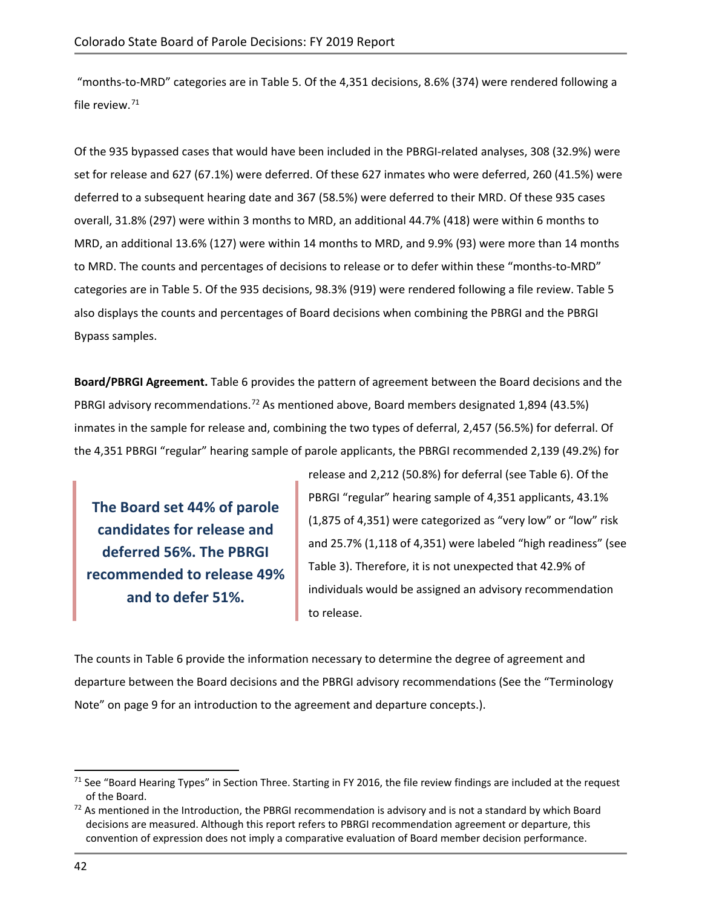"months-to-MRD" categories are in Table 5. Of the 4,351 decisions, 8.6% (374) were rendered following a file review. $71$ 

Of the 935 bypassed cases that would have been included in the PBRGI-related analyses, 308 (32.9%) were set for release and 627 (67.1%) were deferred. Of these 627 inmates who were deferred, 260 (41.5%) were deferred to a subsequent hearing date and 367 (58.5%) were deferred to their MRD. Of these 935 cases overall, 31.8% (297) were within 3 months to MRD, an additional 44.7% (418) were within 6 months to MRD, an additional 13.6% (127) were within 14 months to MRD, and 9.9% (93) were more than 14 months to MRD. The counts and percentages of decisions to release or to defer within these "months-to-MRD" categories are in Table 5. Of the 935 decisions, 98.3% (919) were rendered following a file review. Table 5 also displays the counts and percentages of Board decisions when combining the PBRGI and the PBRGI Bypass samples.

**Board/PBRGI Agreement.** Table 6 provides the pattern of agreement between the Board decisions and the PBRGI advisory recommendations.<sup>[72](#page-47-1)</sup> As mentioned above, Board members designated 1,894 (43.5%) inmates in the sample for release and, combining the two types of deferral, 2,457 (56.5%) for deferral. Of the 4,351 PBRGI "regular" hearing sample of parole applicants, the PBRGI recommended 2,139 (49.2%) for

**The Board set 44% of parole candidates for release and deferred 56%. The PBRGI recommended to release 49% and to defer 51%.**

release and 2,212 (50.8%) for deferral (see Table 6). Of the PBRGI "regular" hearing sample of 4,351 applicants, 43.1% (1,875 of 4,351) were categorized as "very low" or "low" risk and 25.7% (1,118 of 4,351) were labeled "high readiness" (see Table 3). Therefore, it is not unexpected that 42.9% of individuals would be assigned an advisory recommendation to release.

The counts in Table 6 provide the information necessary to determine the degree of agreement and departure between the Board decisions and the PBRGI advisory recommendations (See the "Terminology Note" on page 9 for an introduction to the agreement and departure concepts.).

<span id="page-47-0"></span> $71$  See "Board Hearing Types" in Section Three. Starting in FY 2016, the file review findings are included at the request of the Board.

<span id="page-47-1"></span> $72$  As mentioned in the Introduction, the PBRGI recommendation is advisory and is not a standard by which Board decisions are measured. Although this report refers to PBRGI recommendation agreement or departure, this convention of expression does not imply a comparative evaluation of Board member decision performance.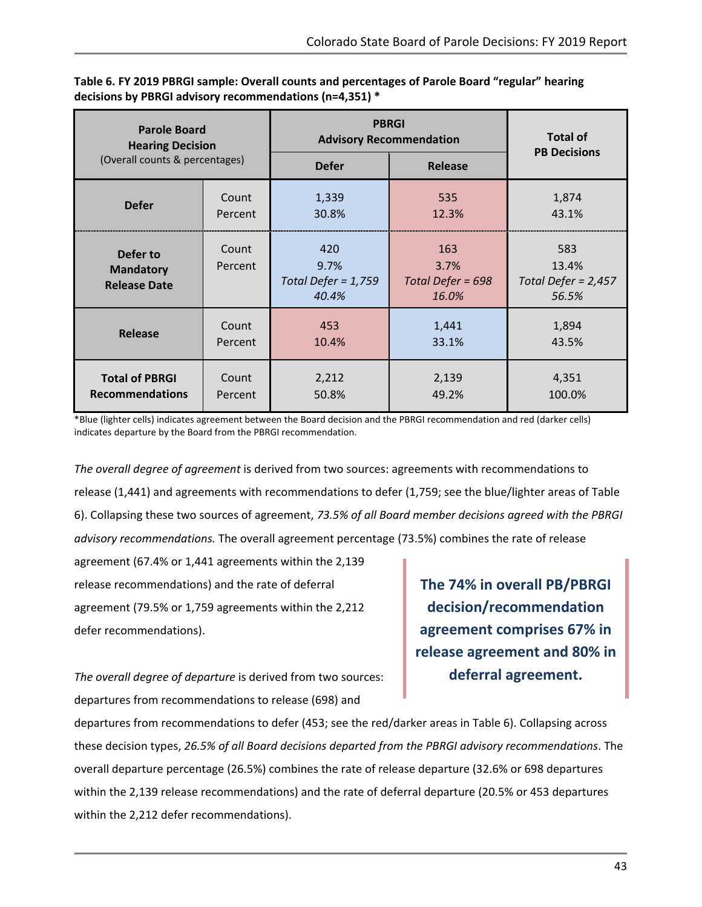| <b>Parole Board</b>                                 |                  | <b>PBRGI</b>                                  | <b>Total of</b>                           |                                                |
|-----------------------------------------------------|------------------|-----------------------------------------------|-------------------------------------------|------------------------------------------------|
| <b>Hearing Decision</b>                             |                  | <b>Advisory Recommendation</b>                | <b>PB Decisions</b>                       |                                                |
| (Overall counts & percentages)                      |                  | <b>Defer</b><br><b>Release</b>                |                                           |                                                |
| Count<br><b>Defer</b><br>Percent                    |                  | 1,339<br>30.8%                                | 535<br>12.3%                              | 1,874<br>43.1%                                 |
| Defer to<br><b>Mandatory</b><br><b>Release Date</b> | Count<br>Percent | 420<br>9.7%<br>Total Defer = $1,759$<br>40.4% | 163<br>3.7%<br>Total Defer = 698<br>16.0% | 583<br>13.4%<br>Total Defer = $2,457$<br>56.5% |
| Release                                             | Count            | 453                                           | 1,441                                     | 1,894                                          |
|                                                     | Percent          | 10.4%                                         | 33.1%                                     | 43.5%                                          |
| <b>Total of PBRGI</b>                               | Count            | 2,212                                         | 2,139                                     | 4,351                                          |
| <b>Recommendations</b>                              | Percent          | 50.8%                                         | 49.2%                                     | 100.0%                                         |

**Table 6. FY 2019 PBRGI sample: Overall counts and percentages of Parole Board "regular" hearing decisions by PBRGI advisory recommendations (n=4,351) \***

\*Blue (lighter cells) indicates agreement between the Board decision and the PBRGI recommendation and red (darker cells) indicates departure by the Board from the PBRGI recommendation.

*The overall degree of agreement* is derived from two sources: agreements with recommendations to release (1,441) and agreements with recommendations to defer (1,759; see the blue/lighter areas of Table 6). Collapsing these two sources of agreement, *73.5% of all Board member decisions agreed with the PBRGI advisory recommendations.* The overall agreement percentage (73.5%) combines the rate of release

agreement (67.4% or 1,441 agreements within the 2,139 release recommendations) and the rate of deferral agreement (79.5% or 1,759 agreements within the 2,212 defer recommendations).

**The 74% in overall PB/PBRGI decision/recommendation agreement comprises 67% in release agreement and 80% in deferral agreement.**

*The overall degree of departure* is derived from two sources: departures from recommendations to release (698) and

departures from recommendations to defer (453; see the red/darker areas in Table 6). Collapsing across these decision types, *26.5% of all Board decisions departed from the PBRGI advisory recommendations*. The overall departure percentage (26.5%) combines the rate of release departure (32.6% or 698 departures within the 2,139 release recommendations) and the rate of deferral departure (20.5% or 453 departures within the 2,212 defer recommendations).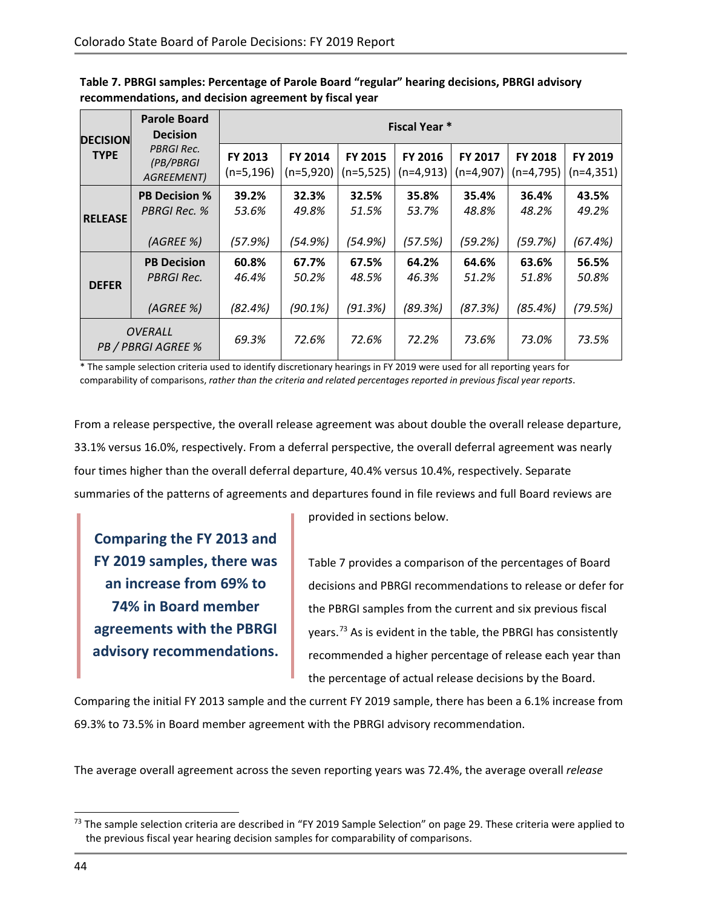| <b>DECISION</b>               | <b>Parole Board</b><br><b>Decision</b>              | <b>Fiscal Year *</b>    |                             |                        |                             |                        |                               |                                |
|-------------------------------|-----------------------------------------------------|-------------------------|-----------------------------|------------------------|-----------------------------|------------------------|-------------------------------|--------------------------------|
| <b>TYPE</b>                   | <b>PBRGI Rec.</b><br>(PB/PBRGI<br><b>AGREEMENT)</b> | FY 2013<br>$(n=5, 196)$ | <b>FY 2014</b><br>(n=5,920) | FY 2015<br>$(n=5,525)$ | <b>FY 2016</b><br>(n=4,913) | FY 2017<br>$(n=4,907)$ | <b>FY 2018</b><br>$(n=4,795)$ | <b>FY 2019</b><br>$(n=4, 351)$ |
|                               | <b>PB Decision %</b>                                | 39.2%                   | 32.3%                       | 32.5%                  | 35.8%                       | 35.4%                  | 36.4%                         | 43.5%                          |
| <b>RELEASE</b>                | PBRGI Rec. %                                        | 53.6%                   | 49.8%                       | 51.5%                  | 53.7%                       | 48.8%                  | 48.2%                         | 49.2%                          |
|                               |                                                     |                         |                             |                        |                             |                        |                               |                                |
|                               | (AGREE %)                                           | (57.9%)                 | (54.9%)                     | (54.9%)                | (57.5%)                     | (59.2%)                | (59.7%)                       | (67.4%)                        |
|                               | <b>PB Decision</b>                                  | 60.8%                   | 67.7%                       | 67.5%                  | 64.2%                       | 64.6%                  | 63.6%                         | 56.5%                          |
| <b>DEFER</b>                  | PBRGI Rec.                                          | 46.4%                   | 50.2%                       | 48.5%                  | 46.3%                       | 51.2%                  | 51.8%                         | 50.8%                          |
|                               | (AGREE %)                                           | (82.4%)                 | (90.1%)                     | (91.3%)                | (89.3%)                     | (87.3%)                | (85.4%)                       | (79.5%)                        |
| OVERALL<br>PB / PBRGI AGREE % |                                                     | 69.3%                   | 72.6%                       | 72.6%                  | 72.2%                       | 73.6%                  | 73.0%                         | 73.5%                          |

**Table 7. PBRGI samples: Percentage of Parole Board "regular" hearing decisions, PBRGI advisory recommendations, and decision agreement by fiscal year**

\* The sample selection criteria used to identify discretionary hearings in FY 2019 were used for all reporting years for comparability of comparisons, *rather than the criteria and related percentages reported in previous fiscal year reports*.

From a release perspective, the overall release agreement was about double the overall release departure, 33.1% versus 16.0%, respectively. From a deferral perspective, the overall deferral agreement was nearly four times higher than the overall deferral departure, 40.4% versus 10.4%, respectively. Separate summaries of the patterns of agreements and departures found in file reviews and full Board reviews are

**Comparing the FY 2013 and FY 2019 samples, there was an increase from 69% to 74% in Board member agreements with the PBRGI advisory recommendations.** provided in sections below.

Table 7 provides a comparison of the percentages of Board decisions and PBRGI recommendations to release or defer for the PBRGI samples from the current and six previous fiscal years.<sup>[73](#page-49-0)</sup> As is evident in the table, the PBRGI has consistently recommended a higher percentage of release each year than the percentage of actual release decisions by the Board.

Comparing the initial FY 2013 sample and the current FY 2019 sample, there has been a 6.1% increase from 69.3% to 73.5% in Board member agreement with the PBRGI advisory recommendation.

The average overall agreement across the seven reporting years was 72.4%, the average overall *release*

<span id="page-49-0"></span> $73$  The sample selection criteria are described in "FY 2019 Sample Selection" on page 29. These criteria were applied to the previous fiscal year hearing decision samples for comparability of comparisons.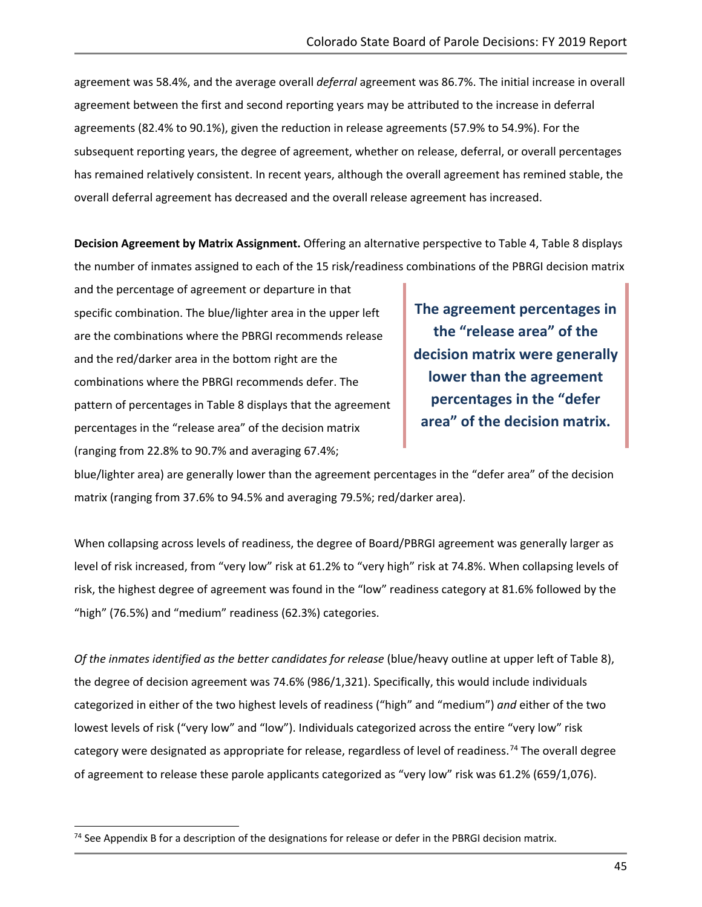agreement was 58.4%, and the average overall *deferral* agreement was 86.7%. The initial increase in overall agreement between the first and second reporting years may be attributed to the increase in deferral agreements (82.4% to 90.1%), given the reduction in release agreements (57.9% to 54.9%). For the subsequent reporting years, the degree of agreement, whether on release, deferral, or overall percentages has remained relatively consistent. In recent years, although the overall agreement has remined stable, the overall deferral agreement has decreased and the overall release agreement has increased.

**Decision Agreement by Matrix Assignment.** Offering an alternative perspective to Table 4, Table 8 displays the number of inmates assigned to each of the 15 risk/readiness combinations of the PBRGI decision matrix

and the percentage of agreement or departure in that specific combination. The blue/lighter area in the upper left are the combinations where the PBRGI recommends release and the red/darker area in the bottom right are the combinations where the PBRGI recommends defer. The pattern of percentages in Table 8 displays that the agreement percentages in the "release area" of the decision matrix (ranging from 22.8% to 90.7% and averaging 67.4%;

**The agreement percentages in the "release area" of the decision matrix were generally lower than the agreement percentages in the "defer area" of the decision matrix.**

blue/lighter area) are generally lower than the agreement percentages in the "defer area" of the decision matrix (ranging from 37.6% to 94.5% and averaging 79.5%; red/darker area).

When collapsing across levels of readiness, the degree of Board/PBRGI agreement was generally larger as level of risk increased, from "very low" risk at 61.2% to "very high" risk at 74.8%. When collapsing levels of risk, the highest degree of agreement was found in the "low" readiness category at 81.6% followed by the "high" (76.5%) and "medium" readiness (62.3%) categories.

*Of the inmates identified as the better candidates for release* (blue/heavy outline at upper left of Table 8), the degree of decision agreement was 74.6% (986/1,321). Specifically, this would include individuals categorized in either of the two highest levels of readiness ("high" and "medium") *and* either of the two lowest levels of risk ("very low" and "low"). Individuals categorized across the entire "very low" risk category were designated as appropriate for release, regardless of level of readiness.<sup>[74](#page-50-0)</sup> The overall degree of agreement to release these parole applicants categorized as "very low" risk was 61.2% (659/1,076).

<span id="page-50-0"></span> $74$  See Appendix B for a description of the designations for release or defer in the PBRGI decision matrix.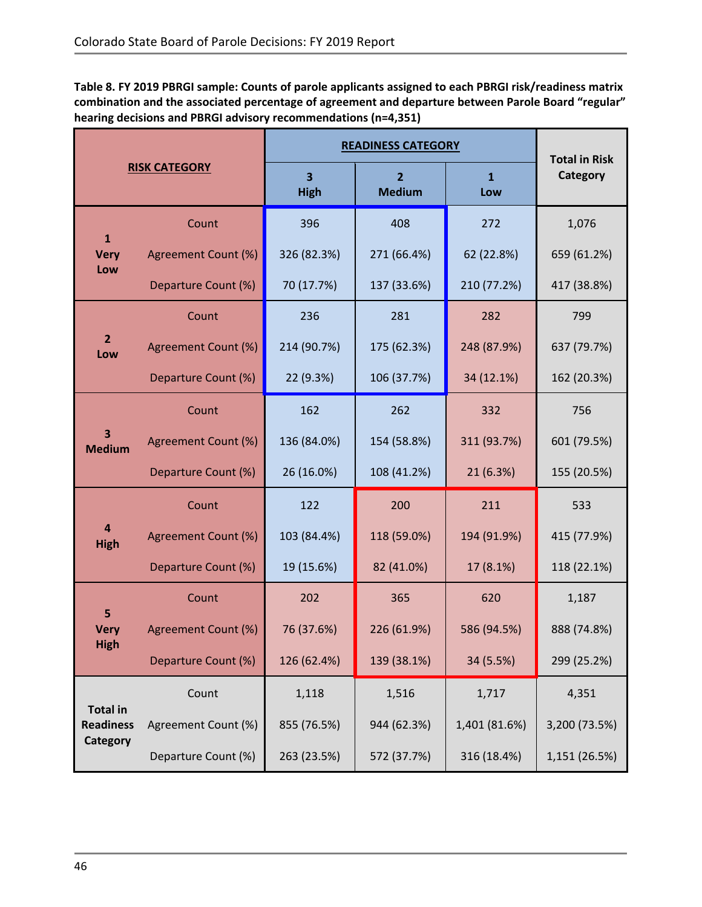**Table 8. FY 2019 PBRGI sample: Counts of parole applicants assigned to each PBRGI risk/readiness matrix combination and the associated percentage of agreement and departure between Parole Board "regular" hearing decisions and PBRGI advisory recommendations (n=4,351)**

|                                     |                      | <b>READINESS CATEGORY</b>              | <b>Total in Risk</b>            |                       |               |
|-------------------------------------|----------------------|----------------------------------------|---------------------------------|-----------------------|---------------|
|                                     | <b>RISK CATEGORY</b> | $\overline{\mathbf{3}}$<br><b>High</b> | $\overline{2}$<br><b>Medium</b> | $\overline{1}$<br>Low | Category      |
|                                     | Count                | 396                                    | 408                             | 272                   | 1,076         |
| $\mathbf{1}$<br><b>Very</b>         | Agreement Count (%)  | 326 (82.3%)                            | 271 (66.4%)                     | 62 (22.8%)            | 659 (61.2%)   |
| Low                                 | Departure Count (%)  | 70 (17.7%)                             | 137 (33.6%)                     | 210 (77.2%)           | 417 (38.8%)   |
|                                     | Count                | 236                                    | 281                             | 282                   | 799           |
| $\overline{2}$<br>Low               | Agreement Count (%)  | 214 (90.7%)                            | 175 (62.3%)                     | 248 (87.9%)           | 637 (79.7%)   |
|                                     | Departure Count (%)  | 22 (9.3%)                              | 106 (37.7%)                     | 34 (12.1%)            | 162 (20.3%)   |
|                                     | Count                | 162                                    | 262                             | 332                   | 756           |
| 3<br><b>Medium</b>                  | Agreement Count (%)  | 136 (84.0%)                            | 154 (58.8%)                     | 311 (93.7%)           | 601 (79.5%)   |
|                                     | Departure Count (%)  | 26 (16.0%)                             | 108 (41.2%)                     | 21 (6.3%)             | 155 (20.5%)   |
|                                     | Count                | 122                                    | 200                             | 211                   | 533           |
| 4<br><b>High</b>                    | Agreement Count (%)  | 103 (84.4%)                            | 118 (59.0%)                     | 194 (91.9%)           | 415 (77.9%)   |
|                                     | Departure Count (%)  | 19 (15.6%)                             | 82 (41.0%)                      | 17 (8.1%)             | 118 (22.1%)   |
|                                     | Count                | 202                                    | 365                             | 620                   | 1,187         |
| 5<br><b>Very</b>                    | Agreement Count (%)  | 76 (37.6%)                             | 226 (61.9%)                     | 586 (94.5%)           | 888 (74.8%)   |
| <b>High</b>                         | Departure Count (%)  | 126 (62.4%)                            | 139 (38.1%)                     | 34 (5.5%)             | 299 (25.2%)   |
|                                     | Count                | 1,118                                  | 1,516                           | 1,717                 | 4,351         |
| <b>Total in</b><br><b>Readiness</b> | Agreement Count (%)  | 855 (76.5%)                            | 944 (62.3%)                     | 1,401 (81.6%)         | 3,200 (73.5%) |
| Category                            | Departure Count (%)  | 263 (23.5%)                            | 572 (37.7%)                     | 316 (18.4%)           | 1,151 (26.5%) |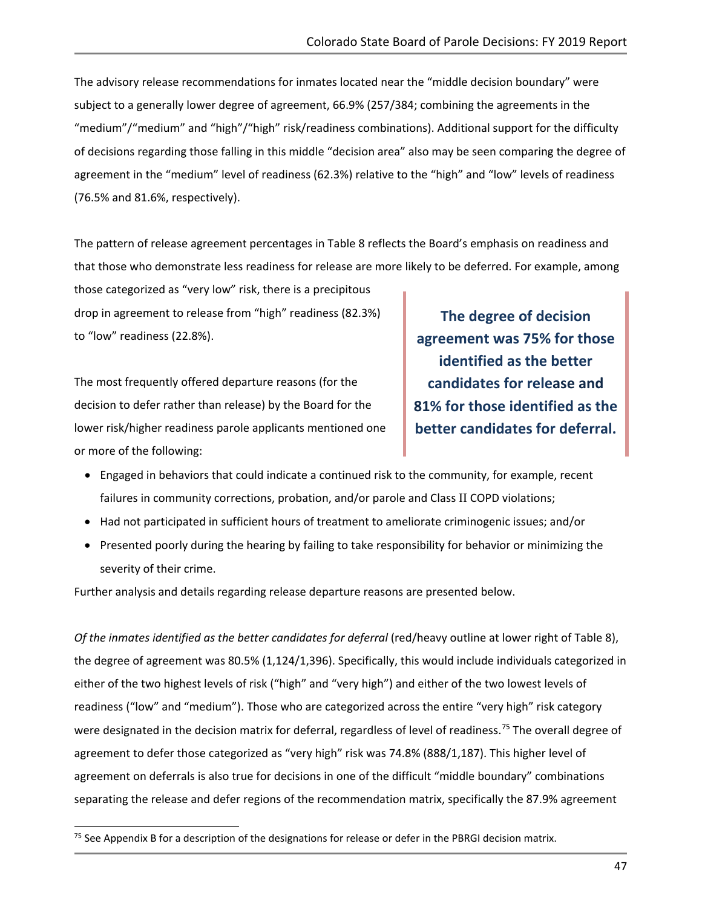The advisory release recommendations for inmates located near the "middle decision boundary" were subject to a generally lower degree of agreement, 66.9% (257/384; combining the agreements in the "medium"/"medium" and "high"/"high" risk/readiness combinations). Additional support for the difficulty of decisions regarding those falling in this middle "decision area" also may be seen comparing the degree of agreement in the "medium" level of readiness (62.3%) relative to the "high" and "low" levels of readiness (76.5% and 81.6%, respectively).

The pattern of release agreement percentages in Table 8 reflects the Board's emphasis on readiness and that those who demonstrate less readiness for release are more likely to be deferred. For example, among

those categorized as "very low" risk, there is a precipitous drop in agreement to release from "high" readiness (82.3%) to "low" readiness (22.8%).

The most frequently offered departure reasons (for the decision to defer rather than release) by the Board for the lower risk/higher readiness parole applicants mentioned one or more of the following:

**The degree of decision agreement was 75% for those identified as the better candidates for release and 81% for those identified as the better candidates for deferral.**

- Engaged in behaviors that could indicate a continued risk to the community, for example, recent failures in community corrections, probation, and/or parole and Class II COPD violations;
- Had not participated in sufficient hours of treatment to ameliorate criminogenic issues; and/or
- Presented poorly during the hearing by failing to take responsibility for behavior or minimizing the severity of their crime.

Further analysis and details regarding release departure reasons are presented below.

*Of the inmates identified as the better candidates for deferral* (red/heavy outline at lower right of Table 8), the degree of agreement was 80.5% (1,124/1,396). Specifically, this would include individuals categorized in either of the two highest levels of risk ("high" and "very high") and either of the two lowest levels of readiness ("low" and "medium"). Those who are categorized across the entire "very high" risk category were designated in the decision matrix for deferral, regardless of level of readiness.<sup>[75](#page-52-0)</sup> The overall degree of agreement to defer those categorized as "very high" risk was 74.8% (888/1,187). This higher level of agreement on deferrals is also true for decisions in one of the difficult "middle boundary" combinations separating the release and defer regions of the recommendation matrix, specifically the 87.9% agreement

<span id="page-52-0"></span> $75$  See Appendix B for a description of the designations for release or defer in the PBRGI decision matrix.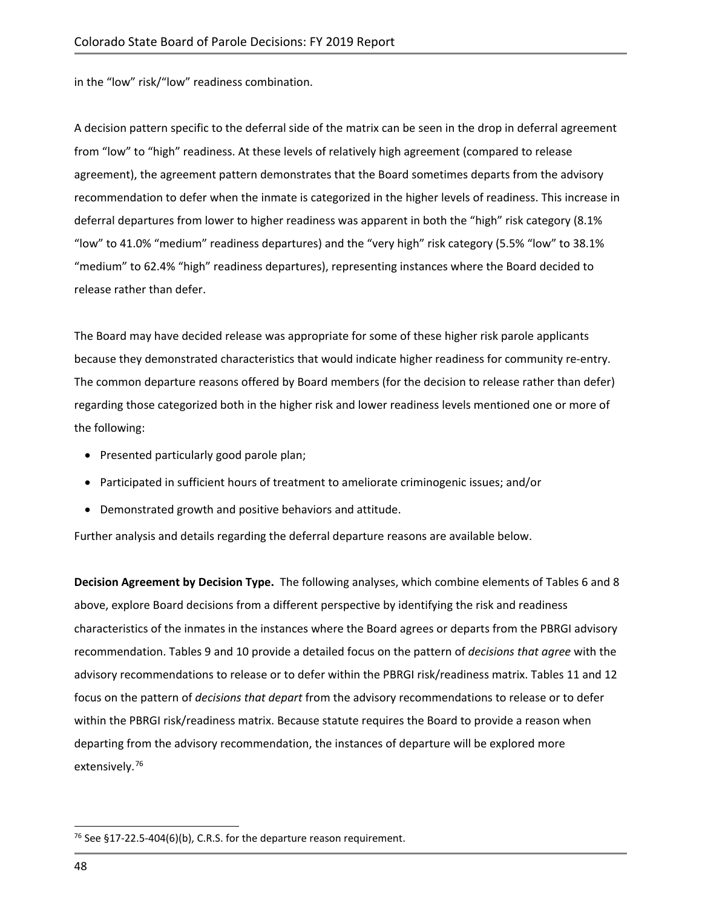in the "low" risk/"low" readiness combination.

A decision pattern specific to the deferral side of the matrix can be seen in the drop in deferral agreement from "low" to "high" readiness. At these levels of relatively high agreement (compared to release agreement), the agreement pattern demonstrates that the Board sometimes departs from the advisory recommendation to defer when the inmate is categorized in the higher levels of readiness. This increase in deferral departures from lower to higher readiness was apparent in both the "high" risk category (8.1% "low" to 41.0% "medium" readiness departures) and the "very high" risk category (5.5% "low" to 38.1% "medium" to 62.4% "high" readiness departures), representing instances where the Board decided to release rather than defer.

The Board may have decided release was appropriate for some of these higher risk parole applicants because they demonstrated characteristics that would indicate higher readiness for community re-entry. The common departure reasons offered by Board members (for the decision to release rather than defer) regarding those categorized both in the higher risk and lower readiness levels mentioned one or more of the following:

- Presented particularly good parole plan;
- Participated in sufficient hours of treatment to ameliorate criminogenic issues; and/or
- Demonstrated growth and positive behaviors and attitude.

Further analysis and details regarding the deferral departure reasons are available below.

**Decision Agreement by Decision Type.** The following analyses, which combine elements of Tables 6 and 8 above, explore Board decisions from a different perspective by identifying the risk and readiness characteristics of the inmates in the instances where the Board agrees or departs from the PBRGI advisory recommendation. Tables 9 and 10 provide a detailed focus on the pattern of *decisions that agree* with the advisory recommendations to release or to defer within the PBRGI risk/readiness matrix. Tables 11 and 12 focus on the pattern of *decisions that depart* from the advisory recommendations to release or to defer within the PBRGI risk/readiness matrix. Because statute requires the Board to provide a reason when departing from the advisory recommendation, the instances of departure will be explored more extensively.<sup>[76](#page-53-0)</sup>

<span id="page-53-0"></span> <sup>76</sup> See §17-22.5-404(6)(b), C.R.S. for the departure reason requirement.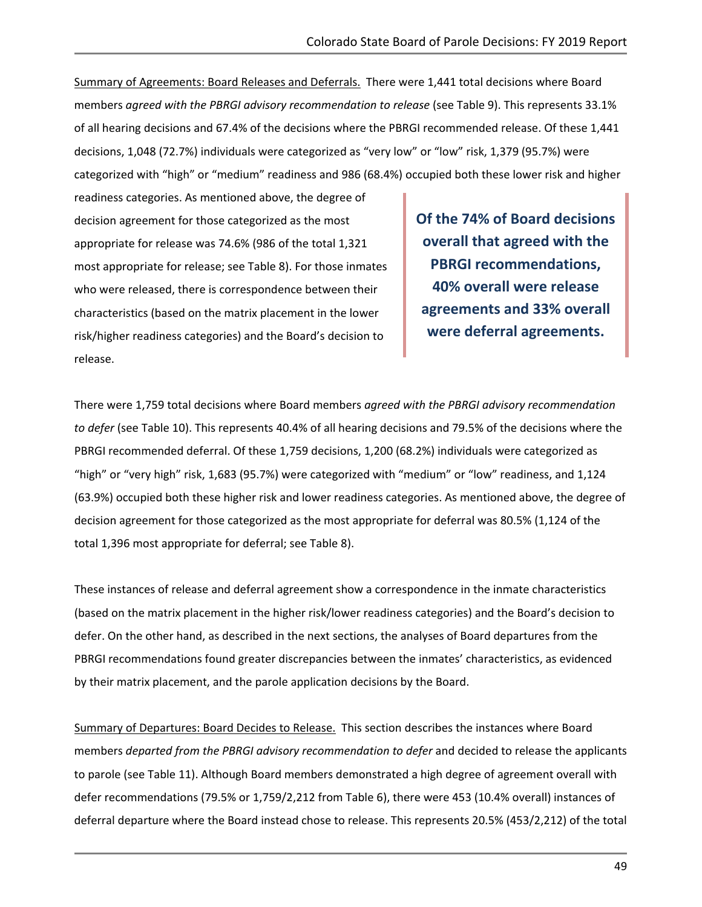Summary of Agreements: Board Releases and Deferrals. There were 1,441 total decisions where Board members *agreed with the PBRGI advisory recommendation to release* (see Table 9). This represents 33.1% of all hearing decisions and 67.4% of the decisions where the PBRGI recommended release. Of these 1,441 decisions, 1,048 (72.7%) individuals were categorized as "very low" or "low" risk, 1,379 (95.7%) were categorized with "high" or "medium" readiness and 986 (68.4%) occupied both these lower risk and higher

readiness categories. As mentioned above, the degree of decision agreement for those categorized as the most appropriate for release was 74.6% (986 of the total 1,321 most appropriate for release; see Table 8). For those inmates who were released, there is correspondence between their characteristics (based on the matrix placement in the lower risk/higher readiness categories) and the Board's decision to release.

**Of the 74% of Board decisions overall that agreed with the PBRGI recommendations, 40% overall were release agreements and 33% overall were deferral agreements.**

There were 1,759 total decisions where Board members *agreed with the PBRGI advisory recommendation to defer* (see Table 10). This represents 40.4% of all hearing decisions and 79.5% of the decisions where the PBRGI recommended deferral. Of these 1,759 decisions, 1,200 (68.2%) individuals were categorized as "high" or "very high" risk, 1,683 (95.7%) were categorized with "medium" or "low" readiness, and 1,124 (63.9%) occupied both these higher risk and lower readiness categories. As mentioned above, the degree of decision agreement for those categorized as the most appropriate for deferral was 80.5% (1,124 of the total 1,396 most appropriate for deferral; see Table 8).

These instances of release and deferral agreement show a correspondence in the inmate characteristics (based on the matrix placement in the higher risk/lower readiness categories) and the Board's decision to defer. On the other hand, as described in the next sections, the analyses of Board departures from the PBRGI recommendations found greater discrepancies between the inmates' characteristics, as evidenced by their matrix placement, and the parole application decisions by the Board.

Summary of Departures: Board Decides to Release. This section describes the instances where Board members *departed from the PBRGI advisory recommendation to defer* and decided to release the applicants to parole (see Table 11). Although Board members demonstrated a high degree of agreement overall with defer recommendations (79.5% or 1,759/2,212 from Table 6), there were 453 (10.4% overall) instances of deferral departure where the Board instead chose to release. This represents 20.5% (453/2,212) of the total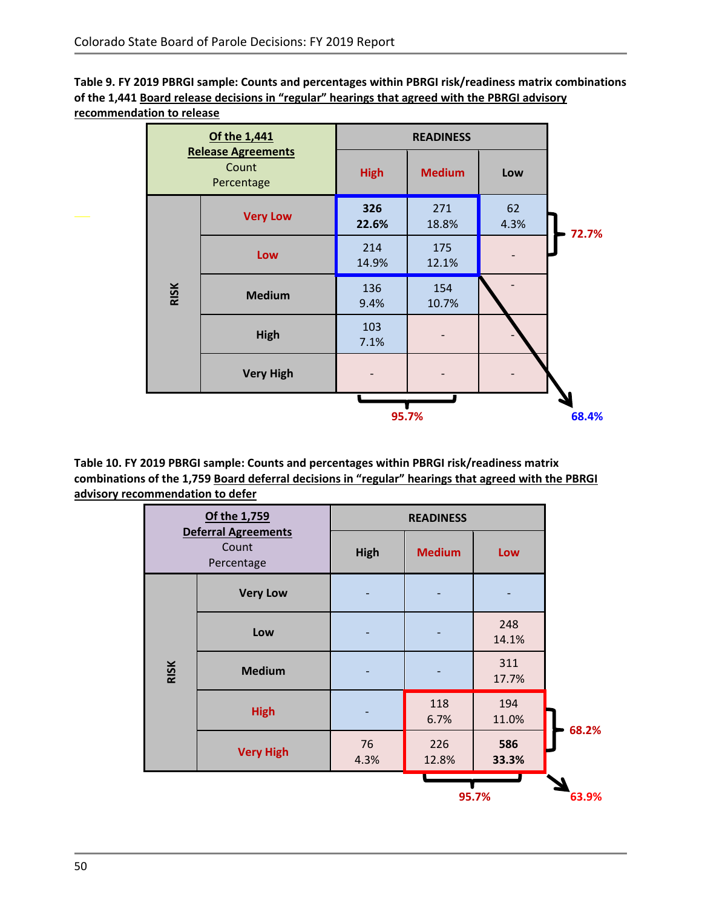**Table 9. FY 2019 PBRGI sample: Counts and percentages within PBRGI risk/readiness matrix combinations of the 1,441 Board release decisions in "regular" hearings that agreed with the PBRGI advisory recommendation to release**

|             | Of the 1,441                                     |              | <b>READINESS</b> |            |       |  |  |
|-------------|--------------------------------------------------|--------------|------------------|------------|-------|--|--|
|             | <b>Release Agreements</b><br>Count<br>Percentage |              | <b>Medium</b>    | Low        |       |  |  |
|             | <b>Very Low</b>                                  | 326<br>22.6% | 271<br>18.8%     | 62<br>4.3% | 72.7% |  |  |
|             | Low                                              | 214<br>14.9% | 175<br>12.1%     |            |       |  |  |
| <b>RISK</b> | <b>Medium</b>                                    | 136<br>9.4%  | 154<br>10.7%     |            |       |  |  |
|             | High                                             | 103<br>7.1%  |                  |            |       |  |  |
|             | <b>Very High</b>                                 |              |                  |            |       |  |  |
|             |                                                  |              | 95.7%            |            | 68.4% |  |  |

**Table 10. FY 2019 PBRGI sample: Counts and percentages within PBRGI risk/readiness matrix combinations of the 1,759 Board deferral decisions in "regular" hearings that agreed with the PBRGI advisory recommendation to defer**

| Of the 1,759<br><b>Deferral Agreements</b><br>Count<br>Percentage |                  |             |               |              |       |
|-------------------------------------------------------------------|------------------|-------------|---------------|--------------|-------|
|                                                                   |                  | <b>High</b> | <b>Medium</b> | Low          |       |
|                                                                   | <b>Very Low</b>  |             |               |              |       |
| RISK                                                              | Low              |             |               | 248<br>14.1% |       |
|                                                                   | <b>Medium</b>    |             |               | 311<br>17.7% |       |
|                                                                   | <b>High</b>      |             | 118<br>6.7%   | 194<br>11.0% |       |
|                                                                   | <b>Very High</b> | 76<br>4.3%  | 226<br>12.8%  | 586<br>33.3% | 68.2% |
| 95.7%                                                             |                  |             |               |              | 63.9% |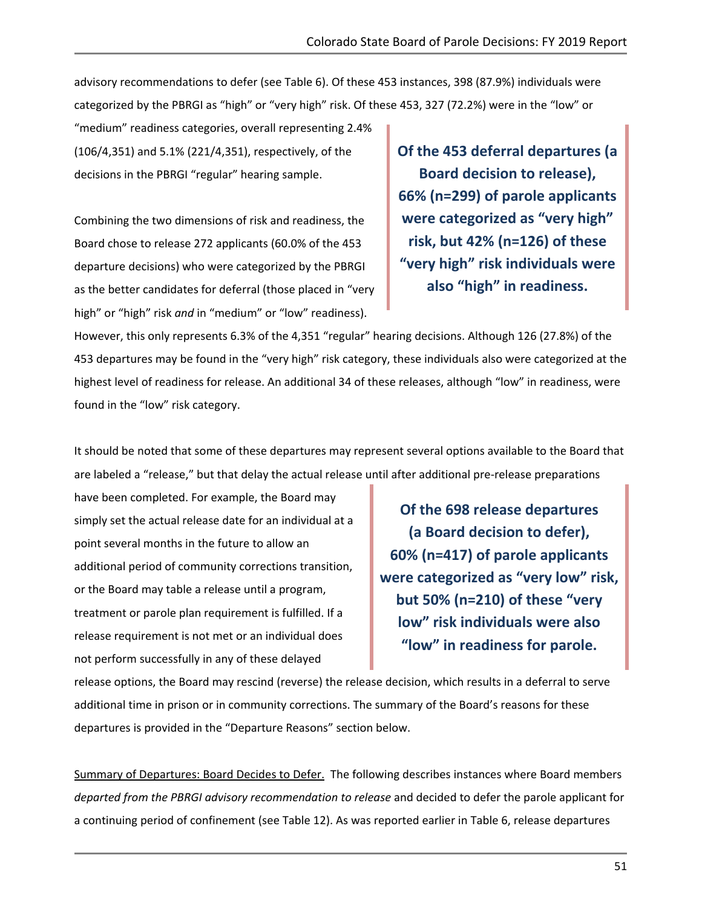advisory recommendations to defer (see Table 6). Of these 453 instances, 398 (87.9%) individuals were categorized by the PBRGI as "high" or "very high" risk. Of these 453, 327 (72.2%) were in the "low" or

"medium" readiness categories, overall representing 2.4% (106/4,351) and 5.1% (221/4,351), respectively, of the decisions in the PBRGI "regular" hearing sample.

Combining the two dimensions of risk and readiness, the Board chose to release 272 applicants (60.0% of the 453 departure decisions) who were categorized by the PBRGI as the better candidates for deferral (those placed in "very high" or "high" risk *and* in "medium" or "low" readiness).

**Of the 453 deferral departures (a Board decision to release), 66% (n=299) of parole applicants were categorized as "very high" risk, but 42% (n=126) of these "very high" risk individuals were also "high" in readiness.**

However, this only represents 6.3% of the 4,351 "regular" hearing decisions. Although 126 (27.8%) of the 453 departures may be found in the "very high" risk category, these individuals also were categorized at the highest level of readiness for release. An additional 34 of these releases, although "low" in readiness, were found in the "low" risk category.

It should be noted that some of these departures may represent several options available to the Board that are labeled a "release," but that delay the actual release until after additional pre-release preparations

have been completed. For example, the Board may simply set the actual release date for an individual at a point several months in the future to allow an additional period of community corrections transition, or the Board may table a release until a program, treatment or parole plan requirement is fulfilled. If a release requirement is not met or an individual does not perform successfully in any of these delayed

**Of the 698 release departures (a Board decision to defer), 60% (n=417) of parole applicants were categorized as "very low" risk, but 50% (n=210) of these "very low" risk individuals were also "low" in readiness for parole.**

release options, the Board may rescind (reverse) the release decision, which results in a deferral to serve additional time in prison or in community corrections. The summary of the Board's reasons for these departures is provided in the "Departure Reasons" section below.

Summary of Departures: Board Decides to Defer.The following describes instances where Board members *departed from the PBRGI advisory recommendation to release* and decided to defer the parole applicant for a continuing period of confinement (see Table 12). As was reported earlier in Table 6, release departures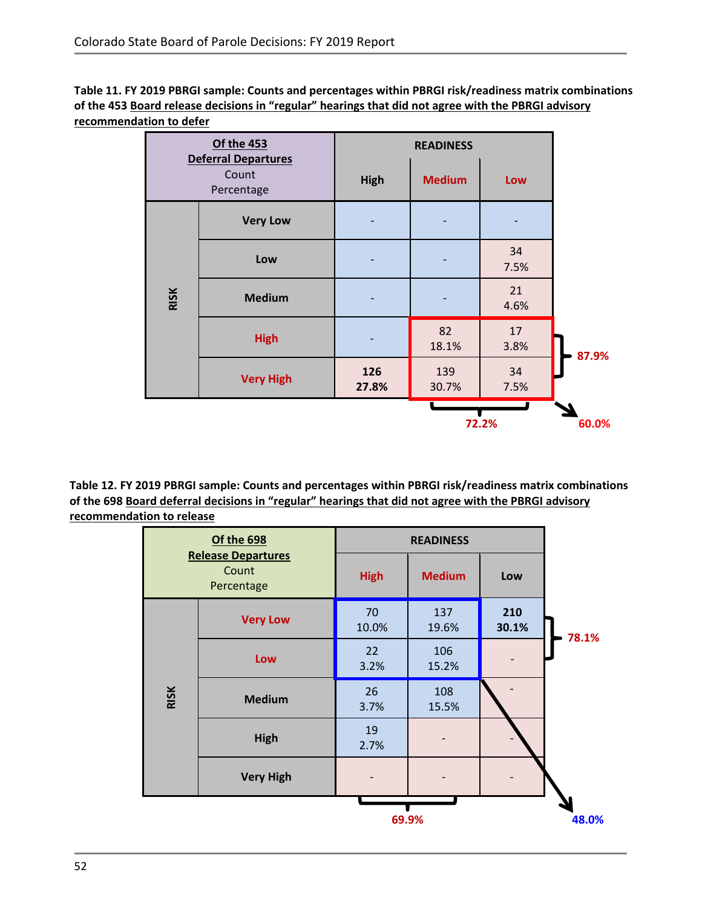**Table 11. FY 2019 PBRGI sample: Counts and percentages within PBRGI risk/readiness matrix combinations of the 453 Board release decisions in "regular" hearings that did not agree with the PBRGI advisory recommendation to defer**

| <b>Of the 453</b>                                 |                  |              |               |            |       |
|---------------------------------------------------|------------------|--------------|---------------|------------|-------|
| <b>Deferral Departures</b><br>Count<br>Percentage |                  | High         | <b>Medium</b> | Low        |       |
|                                                   | <b>Very Low</b>  |              |               |            |       |
| <b>RISK</b>                                       | Low              |              |               | 34<br>7.5% |       |
|                                                   | <b>Medium</b>    |              |               | 21<br>4.6% |       |
|                                                   | <b>High</b>      |              | 82<br>18.1%   | 17<br>3.8% | 87.9% |
|                                                   | <b>Very High</b> | 126<br>27.8% | 139<br>30.7%  | 34<br>7.5% |       |
|                                                   |                  |              | 72.2%         | 60.0%      |       |

**Table 12. FY 2019 PBRGI sample: Counts and percentages within PBRGI risk/readiness matrix combinations of the 698 Board deferral decisions in "regular" hearings that did not agree with the PBRGI advisory recommendation to release**

| <b>Of the 698</b>                                |                  |             |               |              |       |
|--------------------------------------------------|------------------|-------------|---------------|--------------|-------|
| <b>Release Departures</b><br>Count<br>Percentage |                  | <b>High</b> | <b>Medium</b> | Low          |       |
|                                                  | <b>Very Low</b>  | 70<br>10.0% | 137<br>19.6%  | 210<br>30.1% | 78.1% |
| RISK                                             | Low              | 22<br>3.2%  | 106<br>15.2%  |              |       |
|                                                  | <b>Medium</b>    | 26<br>3.7%  | 108<br>15.5%  |              |       |
|                                                  | <b>High</b>      | 19<br>2.7%  |               |              |       |
|                                                  | <b>Very High</b> |             |               |              |       |
| 69.9%                                            |                  |             |               |              | 48.0% |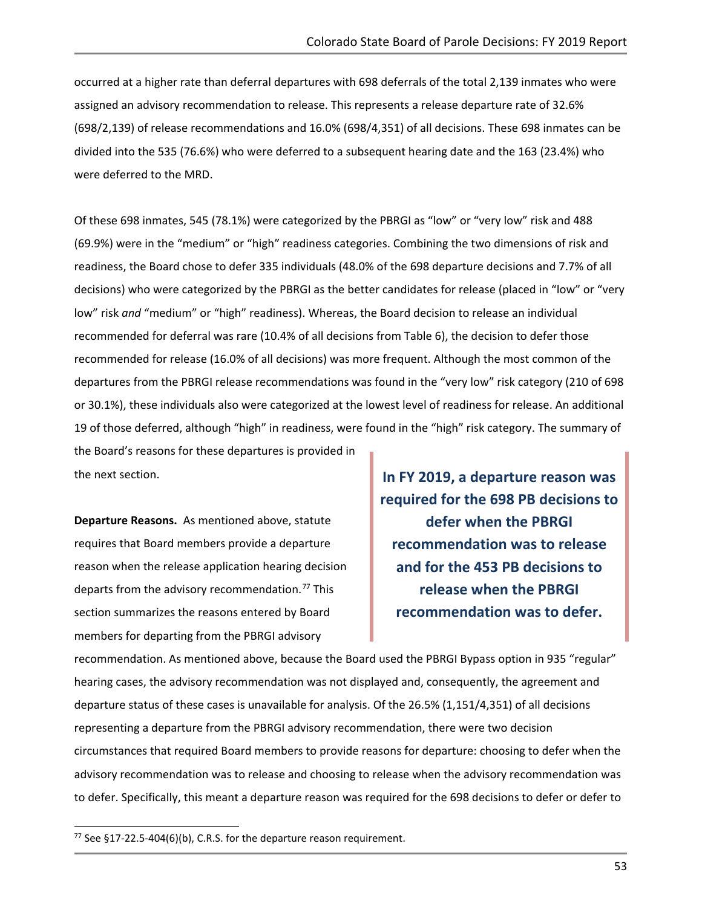occurred at a higher rate than deferral departures with 698 deferrals of the total 2,139 inmates who were assigned an advisory recommendation to release. This represents a release departure rate of 32.6% (698/2,139) of release recommendations and 16.0% (698/4,351) of all decisions. These 698 inmates can be divided into the 535 (76.6%) who were deferred to a subsequent hearing date and the 163 (23.4%) who were deferred to the MRD.

Of these 698 inmates, 545 (78.1%) were categorized by the PBRGI as "low" or "very low" risk and 488 (69.9%) were in the "medium" or "high" readiness categories. Combining the two dimensions of risk and readiness, the Board chose to defer 335 individuals (48.0% of the 698 departure decisions and 7.7% of all decisions) who were categorized by the PBRGI as the better candidates for release (placed in "low" or "very low" risk *and* "medium" or "high" readiness). Whereas, the Board decision to release an individual recommended for deferral was rare (10.4% of all decisions from Table 6), the decision to defer those recommended for release (16.0% of all decisions) was more frequent. Although the most common of the departures from the PBRGI release recommendations was found in the "very low" risk category (210 of 698 or 30.1%), these individuals also were categorized at the lowest level of readiness for release. An additional 19 of those deferred, although "high" in readiness, were found in the "high" risk category. The summary of

the Board's reasons for these departures is provided in the next section.

**Departure Reasons.** As mentioned above, statute requires that Board members provide a departure reason when the release application hearing decision departs from the advisory recommendation.<sup>[77](#page-58-0)</sup> This section summarizes the reasons entered by Board members for departing from the PBRGI advisory

**In FY 2019, a departure reason was required for the 698 PB decisions to defer when the PBRGI recommendation was to release and for the 453 PB decisions to release when the PBRGI recommendation was to defer.**

recommendation. As mentioned above, because the Board used the PBRGI Bypass option in 935 "regular" hearing cases, the advisory recommendation was not displayed and, consequently, the agreement and departure status of these cases is unavailable for analysis. Of the 26.5% (1,151/4,351) of all decisions representing a departure from the PBRGI advisory recommendation, there were two decision circumstances that required Board members to provide reasons for departure: choosing to defer when the advisory recommendation was to release and choosing to release when the advisory recommendation was to defer. Specifically, this meant a departure reason was required for the 698 decisions to defer or defer to

<span id="page-58-0"></span> $77$  See §17-22.5-404(6)(b), C.R.S. for the departure reason requirement.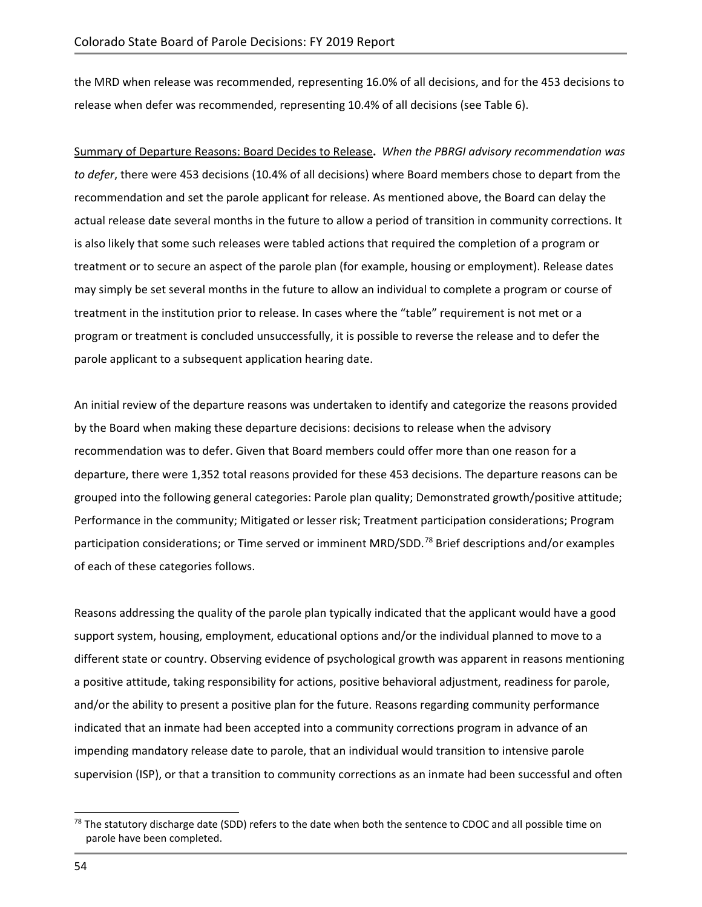the MRD when release was recommended, representing 16.0% of all decisions, and for the 453 decisions to release when defer was recommended, representing 10.4% of all decisions (see Table 6).

Summary of Departure Reasons: Board Decides to Release**.** *When the PBRGI advisory recommendation was to defer*, there were 453 decisions (10.4% of all decisions) where Board members chose to depart from the recommendation and set the parole applicant for release. As mentioned above, the Board can delay the actual release date several months in the future to allow a period of transition in community corrections. It is also likely that some such releases were tabled actions that required the completion of a program or treatment or to secure an aspect of the parole plan (for example, housing or employment). Release dates may simply be set several months in the future to allow an individual to complete a program or course of treatment in the institution prior to release. In cases where the "table" requirement is not met or a program or treatment is concluded unsuccessfully, it is possible to reverse the release and to defer the parole applicant to a subsequent application hearing date.

An initial review of the departure reasons was undertaken to identify and categorize the reasons provided by the Board when making these departure decisions: decisions to release when the advisory recommendation was to defer. Given that Board members could offer more than one reason for a departure, there were 1,352 total reasons provided for these 453 decisions. The departure reasons can be grouped into the following general categories: Parole plan quality; Demonstrated growth/positive attitude; Performance in the community; Mitigated or lesser risk; Treatment participation considerations; Program participation considerations; or Time served or imminent MRD/SDD.<sup>[78](#page-59-0)</sup> Brief descriptions and/or examples of each of these categories follows.

Reasons addressing the quality of the parole plan typically indicated that the applicant would have a good support system, housing, employment, educational options and/or the individual planned to move to a different state or country. Observing evidence of psychological growth was apparent in reasons mentioning a positive attitude, taking responsibility for actions, positive behavioral adjustment, readiness for parole, and/or the ability to present a positive plan for the future. Reasons regarding community performance indicated that an inmate had been accepted into a community corrections program in advance of an impending mandatory release date to parole, that an individual would transition to intensive parole supervision (ISP), or that a transition to community corrections as an inmate had been successful and often

<span id="page-59-0"></span> $^{78}$  The statutory discharge date (SDD) refers to the date when both the sentence to CDOC and all possible time on parole have been completed.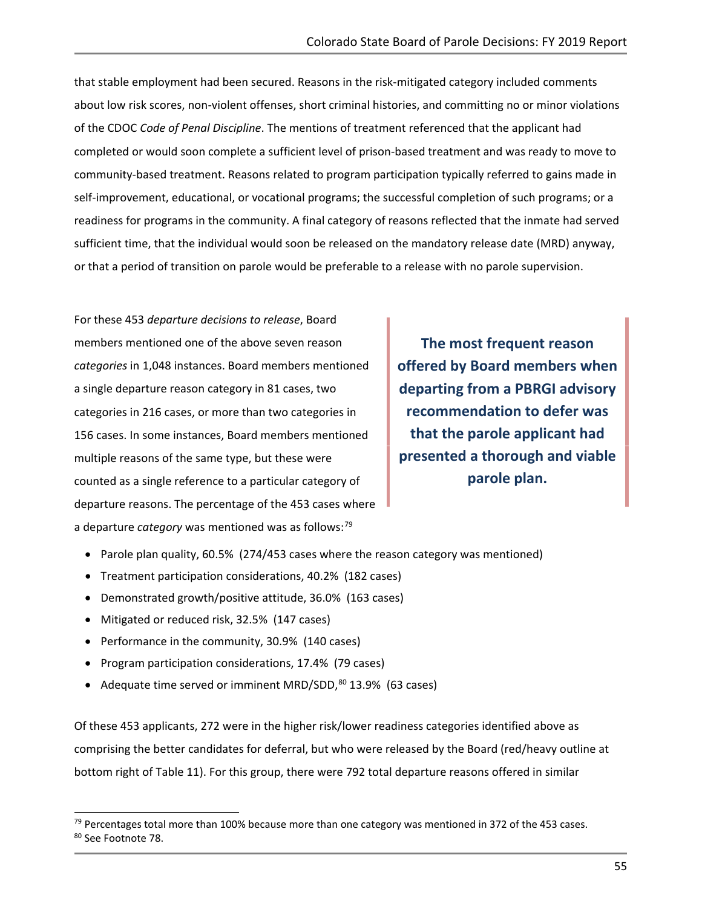that stable employment had been secured. Reasons in the risk-mitigated category included comments about low risk scores, non-violent offenses, short criminal histories, and committing no or minor violations of the CDOC *Code of Penal Discipline*. The mentions of treatment referenced that the applicant had completed or would soon complete a sufficient level of prison-based treatment and was ready to move to community-based treatment. Reasons related to program participation typically referred to gains made in self-improvement, educational, or vocational programs; the successful completion of such programs; or a readiness for programs in the community. A final category of reasons reflected that the inmate had served sufficient time, that the individual would soon be released on the mandatory release date (MRD) anyway, or that a period of transition on parole would be preferable to a release with no parole supervision.

For these 453 *departure decisions to release*, Board members mentioned one of the above seven reason *categories* in 1,048 instances. Board members mentioned a single departure reason category in 81 cases, two categories in 216 cases, or more than two categories in 156 cases. In some instances, Board members mentioned multiple reasons of the same type, but these were counted as a single reference to a particular category of departure reasons. The percentage of the 453 cases where a departure *category* was mentioned was as follows:[79](#page-60-0)

**The most frequent reason offered by Board members when departing from a PBRGI advisory recommendation to defer was that the parole applicant had presented a thorough and viable parole plan.**

- Parole plan quality, 60.5% (274/453 cases where the reason category was mentioned)
- Treatment participation considerations, 40.2% (182 cases)
- Demonstrated growth/positive attitude, 36.0% (163 cases)
- Mitigated or reduced risk, 32.5% (147 cases)
- Performance in the community, 30.9% (140 cases)
- Program participation considerations, 17.4% (79 cases)
- Adequate time served or imminent MRD/SDD, $80$  13.9% (63 cases)

Of these 453 applicants, 272 were in the higher risk/lower readiness categories identified above as comprising the better candidates for deferral, but who were released by the Board (red/heavy outline at bottom right of Table 11). For this group, there were 792 total departure reasons offered in similar

<span id="page-60-1"></span><span id="page-60-0"></span> $^{79}$  Percentages total more than 100% because more than one category was mentioned in 372 of the 453 cases. 80 See Footnote 78.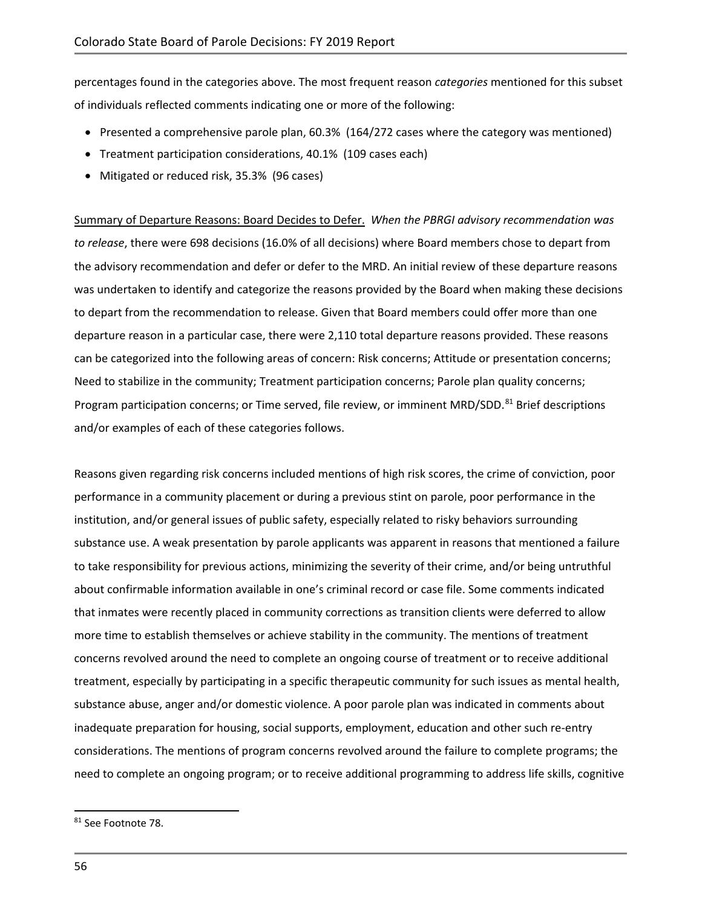percentages found in the categories above. The most frequent reason *categories* mentioned for this subset of individuals reflected comments indicating one or more of the following:

- Presented a comprehensive parole plan, 60.3% (164/272 cases where the category was mentioned)
- Treatment participation considerations, 40.1% (109 cases each)
- Mitigated or reduced risk, 35.3% (96 cases)

Summary of Departure Reasons: Board Decides to Defer. *When the PBRGI advisory recommendation was to release*, there were 698 decisions (16.0% of all decisions) where Board members chose to depart from the advisory recommendation and defer or defer to the MRD. An initial review of these departure reasons was undertaken to identify and categorize the reasons provided by the Board when making these decisions to depart from the recommendation to release. Given that Board members could offer more than one departure reason in a particular case, there were 2,110 total departure reasons provided. These reasons can be categorized into the following areas of concern: Risk concerns; Attitude or presentation concerns; Need to stabilize in the community; Treatment participation concerns; Parole plan quality concerns; Program participation concerns; or Time served, file review, or imminent MRD/SDD.<sup>[81](#page-61-0)</sup> Brief descriptions and/or examples of each of these categories follows.

Reasons given regarding risk concerns included mentions of high risk scores, the crime of conviction, poor performance in a community placement or during a previous stint on parole, poor performance in the institution, and/or general issues of public safety, especially related to risky behaviors surrounding substance use. A weak presentation by parole applicants was apparent in reasons that mentioned a failure to take responsibility for previous actions, minimizing the severity of their crime, and/or being untruthful about confirmable information available in one's criminal record or case file. Some comments indicated that inmates were recently placed in community corrections as transition clients were deferred to allow more time to establish themselves or achieve stability in the community. The mentions of treatment concerns revolved around the need to complete an ongoing course of treatment or to receive additional treatment, especially by participating in a specific therapeutic community for such issues as mental health, substance abuse, anger and/or domestic violence. A poor parole plan was indicated in comments about inadequate preparation for housing, social supports, employment, education and other such re-entry considerations. The mentions of program concerns revolved around the failure to complete programs; the need to complete an ongoing program; or to receive additional programming to address life skills, cognitive

<span id="page-61-0"></span> <sup>81</sup> See Footnote 78.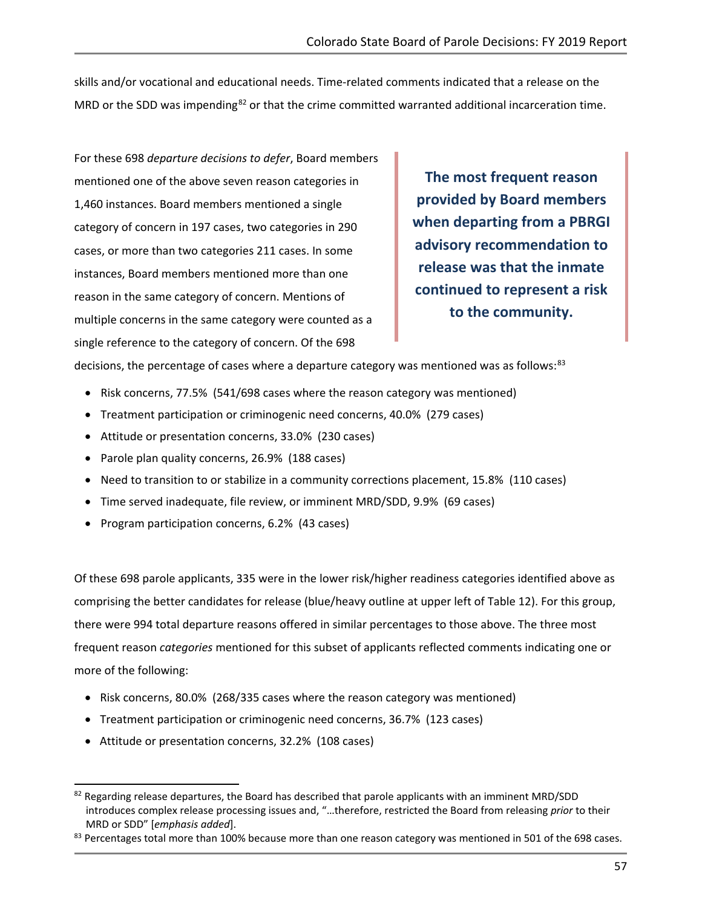skills and/or vocational and educational needs. Time-related comments indicated that a release on the MRD or the SDD was impending<sup>[82](#page-62-0)</sup> or that the crime committed warranted additional incarceration time.

For these 698 *departure decisions to defer*, Board members mentioned one of the above seven reason categories in 1,460 instances. Board members mentioned a single category of concern in 197 cases, two categories in 290 cases, or more than two categories 211 cases. In some instances, Board members mentioned more than one reason in the same category of concern. Mentions of multiple concerns in the same category were counted as a single reference to the category of concern. Of the 698

**The most frequent reason provided by Board members when departing from a PBRGI advisory recommendation to release was that the inmate continued to represent a risk to the community.**

decisions, the percentage of cases where a departure category was mentioned was as follows:<sup>[83](#page-62-1)</sup>

- Risk concerns, 77.5% (541/698 cases where the reason category was mentioned)
- Treatment participation or criminogenic need concerns, 40.0% (279 cases)
- Attitude or presentation concerns, 33.0% (230 cases)
- Parole plan quality concerns, 26.9% (188 cases)
- Need to transition to or stabilize in a community corrections placement, 15.8% (110 cases)
- Time served inadequate, file review, or imminent MRD/SDD, 9.9% (69 cases)
- Program participation concerns, 6.2% (43 cases)

Of these 698 parole applicants, 335 were in the lower risk/higher readiness categories identified above as comprising the better candidates for release (blue/heavy outline at upper left of Table 12). For this group, there were 994 total departure reasons offered in similar percentages to those above. The three most frequent reason *categories* mentioned for this subset of applicants reflected comments indicating one or more of the following:

- Risk concerns, 80.0% (268/335 cases where the reason category was mentioned)
- Treatment participation or criminogenic need concerns, 36.7% (123 cases)
- Attitude or presentation concerns, 32.2% (108 cases)

<span id="page-62-0"></span> $82$  Regarding release departures, the Board has described that parole applicants with an imminent MRD/SDD introduces complex release processing issues and, "…therefore, restricted the Board from releasing *prior* to their MRD or SDD" [*emphasis added*].

<span id="page-62-1"></span> $83$  Percentages total more than 100% because more than one reason category was mentioned in 501 of the 698 cases.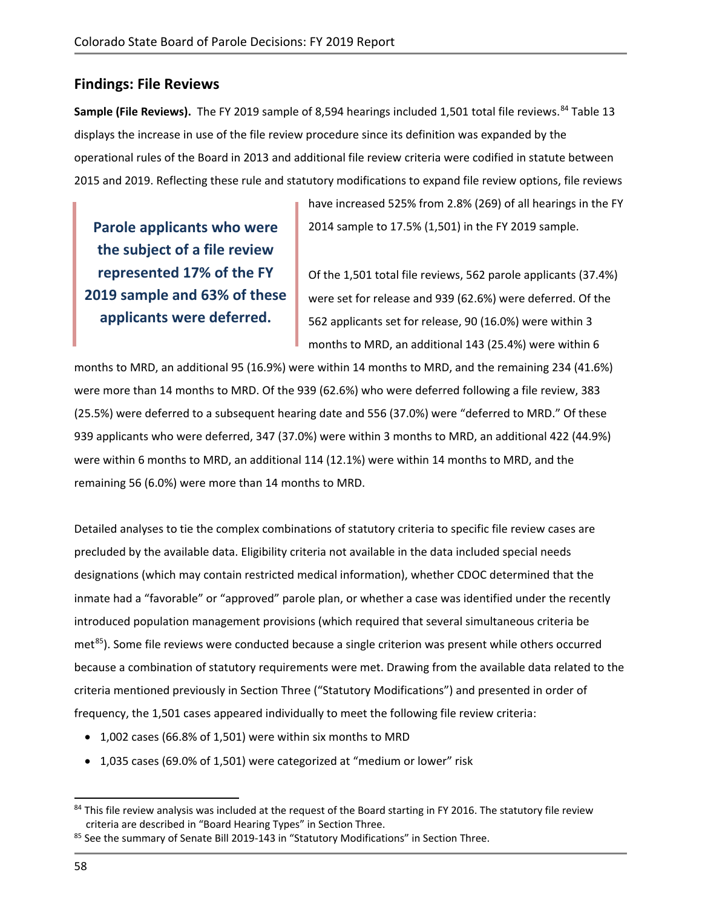#### **Findings: File Reviews**

Sample (File Reviews). The FY 2019 sample of 8,594 hearings included 1,501 total file reviews.<sup>[84](#page-63-0)</sup> Table 13 displays the increase in use of the file review procedure since its definition was expanded by the operational rules of the Board in 2013 and additional file review criteria were codified in statute between 2015 and 2019. Reflecting these rule and statutory modifications to expand file review options, file reviews

**Parole applicants who were the subject of a file review represented 17% of the FY 2019 sample and 63% of these applicants were deferred.**

have increased 525% from 2.8% (269) of all hearings in the FY 2014 sample to 17.5% (1,501) in the FY 2019 sample.

Of the 1,501 total file reviews, 562 parole applicants (37.4%) were set for release and 939 (62.6%) were deferred. Of the 562 applicants set for release, 90 (16.0%) were within 3 months to MRD, an additional 143 (25.4%) were within 6

months to MRD, an additional 95 (16.9%) were within 14 months to MRD, and the remaining 234 (41.6%) were more than 14 months to MRD. Of the 939 (62.6%) who were deferred following a file review, 383 (25.5%) were deferred to a subsequent hearing date and 556 (37.0%) were "deferred to MRD." Of these 939 applicants who were deferred, 347 (37.0%) were within 3 months to MRD, an additional 422 (44.9%) were within 6 months to MRD, an additional 114 (12.1%) were within 14 months to MRD, and the remaining 56 (6.0%) were more than 14 months to MRD.

Detailed analyses to tie the complex combinations of statutory criteria to specific file review cases are precluded by the available data. Eligibility criteria not available in the data included special needs designations (which may contain restricted medical information), whether CDOC determined that the inmate had a "favorable" or "approved" parole plan, or whether a case was identified under the recently introduced population management provisions (which required that several simultaneous criteria be met<sup>[85](#page-63-1)</sup>). Some file reviews were conducted because a single criterion was present while others occurred because a combination of statutory requirements were met. Drawing from the available data related to the criteria mentioned previously in Section Three ("Statutory Modifications") and presented in order of frequency, the 1,501 cases appeared individually to meet the following file review criteria:

- 1,002 cases (66.8% of 1,501) were within six months to MRD
- 1,035 cases (69.0% of 1,501) were categorized at "medium or lower" risk

<span id="page-63-0"></span><sup>&</sup>lt;sup>84</sup> This file review analysis was included at the request of the Board starting in FY 2016. The statutory file review criteria are described in "Board Hearing Types" in Section Three.

<span id="page-63-1"></span><sup>85</sup> See the summary of Senate Bill 2019-143 in "Statutory Modifications" in Section Three.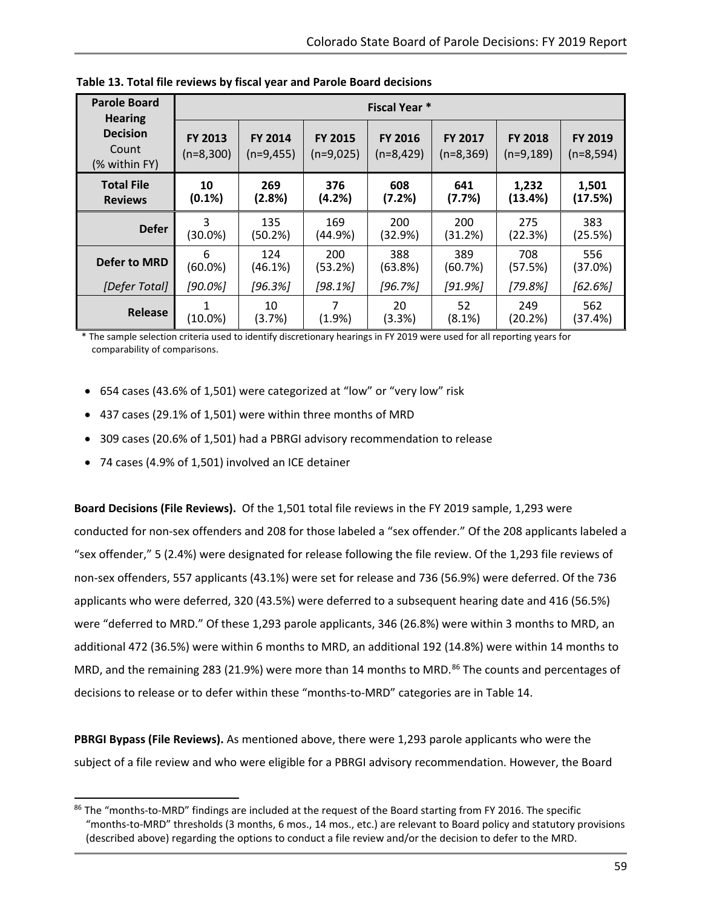| <b>Parole Board</b><br><b>Hearing</b>     | <b>Fiscal Year *</b>   |                        |                        |                               |                         |                               |                        |  |
|-------------------------------------------|------------------------|------------------------|------------------------|-------------------------------|-------------------------|-------------------------------|------------------------|--|
| <b>Decision</b><br>Count<br>(% within FY) | FY 2013<br>$(n=8,300)$ | FY 2014<br>$(n=9,455)$ | FY 2015<br>$(n=9,025)$ | <b>FY 2016</b><br>$(n=8,429)$ | FY 2017<br>$(n=8, 369)$ | <b>FY 2018</b><br>$(n=9,189)$ | FY 2019<br>$(n=8,594)$ |  |
| <b>Total File</b>                         | 10                     | 269                    | 376                    | 608                           | 641                     | 1,232                         | 1,501                  |  |
| <b>Reviews</b>                            | $(0.1\%)$              | (2.8%)                 | (4.2%)                 | (7.2%)                        | (7.7%)                  | (13.4%)                       | (17.5%)                |  |
| <b>Defer</b>                              | 3                      | 135                    | 169                    | 200                           | 200                     | 275                           | 383                    |  |
|                                           | (30.0%)                | (50.2%)                | (44.9%)                | (32.9%)                       | (31.2%)                 | (22.3%)                       | (25.5%)                |  |
| <b>Defer to MRD</b>                       | 6                      | 124                    | 200                    | 388                           | 389                     | 708                           | 556                    |  |
|                                           | $(60.0\%)$             | (46.1%)                | (53.2%)                | (63.8%)                       | (60.7%)                 | (57.5%)                       | (37.0%)                |  |
| [Defer Total]                             | [90.0%]                | [96.3%]                | $[98.1\%]$             | [96.7%]                       | [91.9%]                 | [79.8%]                       | $[62.6\%]$             |  |
| <b>Release</b>                            | 1                      | 10                     | 7                      | 20                            | 52                      | 249                           | 562                    |  |
|                                           | (10.0%)                | (3.7%)                 | (1.9%                  | (3.3%)                        | (8.1%)                  | (20.2%)                       | (37.4%)                |  |

**Table 13. Total file reviews by fiscal year and Parole Board decisions**

\* The sample selection criteria used to identify discretionary hearings in FY 2019 were used for all reporting years for comparability of comparisons.

- 654 cases (43.6% of 1,501) were categorized at "low" or "very low" risk
- 437 cases (29.1% of 1,501) were within three months of MRD
- 309 cases (20.6% of 1,501) had a PBRGI advisory recommendation to release
- 74 cases (4.9% of 1,501) involved an ICE detainer

**Board Decisions (File Reviews).** Of the 1,501 total file reviews in the FY 2019 sample, 1,293 were conducted for non-sex offenders and 208 for those labeled a "sex offender." Of the 208 applicants labeled a "sex offender," 5 (2.4%) were designated for release following the file review. Of the 1,293 file reviews of non-sex offenders, 557 applicants (43.1%) were set for release and 736 (56.9%) were deferred. Of the 736 applicants who were deferred, 320 (43.5%) were deferred to a subsequent hearing date and 416 (56.5%) were "deferred to MRD." Of these 1,293 parole applicants, 346 (26.8%) were within 3 months to MRD, an additional 472 (36.5%) were within 6 months to MRD, an additional 192 (14.8%) were within 14 months to MRD, and the remaining 283 (21.9%) were more than 14 months to MRD.<sup>[86](#page-64-0)</sup> The counts and percentages of decisions to release or to defer within these "months-to-MRD" categories are in Table 14.

**PBRGI Bypass (File Reviews).** As mentioned above, there were 1,293 parole applicants who were the subject of a file review and who were eligible for a PBRGI advisory recommendation. However, the Board

<span id="page-64-0"></span><sup>&</sup>lt;sup>86</sup> The "months-to-MRD" findings are included at the request of the Board starting from FY 2016. The specific "months-to-MRD" thresholds (3 months, 6 mos., 14 mos., etc.) are relevant to Board policy and statutory provisions (described above) regarding the options to conduct a file review and/or the decision to defer to the MRD.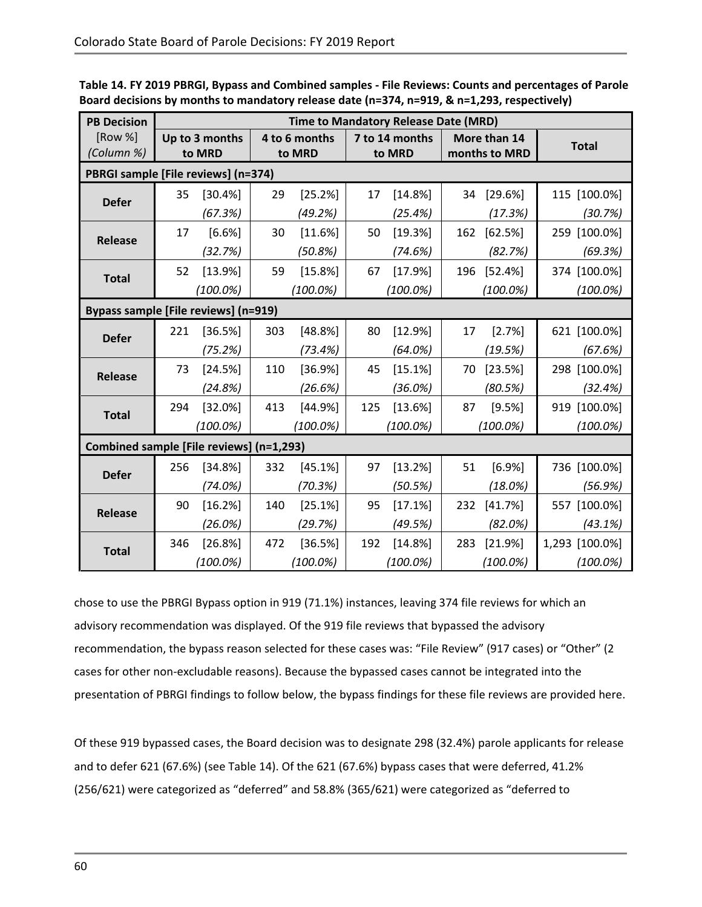| <b>PB Decision</b>                   | <b>Time to Mandatory Release Date (MRD)</b> |                         |                          |                               |                |  |  |
|--------------------------------------|---------------------------------------------|-------------------------|--------------------------|-------------------------------|----------------|--|--|
| $[Row \%]$<br>(Column %)             | Up to 3 months<br>to MRD                    | 4 to 6 months<br>to MRD | 7 to 14 months<br>to MRD | More than 14<br>months to MRD | <b>Total</b>   |  |  |
| PBRGI sample [File reviews] (n=374)  |                                             |                         |                          |                               |                |  |  |
| <b>Defer</b>                         | 35<br>[30.4%]                               | 29<br>[25.2%]           | 17<br>[14.8%]            | [29.6%]<br>34                 | 115 [100.0%]   |  |  |
|                                      | (67.3%)                                     | (49.2%)                 | (25.4%)                  | (17.3%)                       | (30.7%)        |  |  |
| Release                              | 17<br>[6.6%]                                | [11.6%]<br>30           | 50<br>[19.3%]            | 162<br>[62.5%]                | 259 [100.0%]   |  |  |
|                                      | (32.7%)                                     | (50.8%)                 | (74.6%)                  | (82.7%)                       | (69.3%)        |  |  |
| <b>Total</b>                         | 52<br>[13.9%]                               | 59<br>[15.8%]           | 67<br>[17.9%]            | 196<br>[52.4%]                | 374 [100.0%]   |  |  |
|                                      | $(100.0\%)$                                 | $(100.0\%)$             | $(100.0\%)$              | $(100.0\%)$                   | $(100.0\%)$    |  |  |
| Bypass sample [File reviews] (n=919) |                                             |                         |                          |                               |                |  |  |
| <b>Defer</b>                         | 221<br>[36.5%]                              | 303<br>[48.8%]          | 80<br>[12.9%]            | [2.7%]<br>17                  | 621 [100.0%]   |  |  |
|                                      | (75.2%)                                     | (73.4%)                 | (64.0%)                  | (19.5%)                       | (67.6%)        |  |  |
| Release                              | 73<br>[24.5%]                               | 110<br>[36.9%]          | 45<br>[15.1%]            | [23.5%]<br>70                 | 298 [100.0%]   |  |  |
|                                      | (24.8%)                                     | (26.6%)                 | (36.0%)                  | (80.5%)                       | (32.4%)        |  |  |
| <b>Total</b>                         | 294<br>[32.0%]                              | 413<br>[44.9%]          | 125<br>[13.6%]           | 87<br>[9.5%]                  | 919 [100.0%]   |  |  |
|                                      | $(100.0\%)$                                 | $(100.0\%)$             | $(100.0\%)$              | $(100.0\%)$                   | $(100.0\%)$    |  |  |
|                                      | Combined sample [File reviews] (n=1,293)    |                         |                          |                               |                |  |  |
| <b>Defer</b>                         | 256<br>[34.8%]                              | 332<br>$[45.1\%]$       | 97<br>[13.2%]            | [6.9%]<br>51                  | 736 [100.0%]   |  |  |
|                                      | (74.0%)                                     | (70.3%)                 | (50.5%)                  | (18.0%)                       | (56.9%)        |  |  |
| Release                              | 90<br>[16.2%]                               | $[25.1\%]$<br>140       | 95<br>[17.1%]            | 232<br>[41.7%]                | 557 [100.0%]   |  |  |
|                                      | (26.0%)                                     | (29.7%)                 | (49.5%)                  | (82.0%)                       | (43.1%)        |  |  |
| <b>Total</b>                         | 346<br>[26.8%]                              | 472<br>[36.5%]          | 192<br>[14.8%]           | 283<br>[21.9%]                | 1,293 [100.0%] |  |  |
|                                      | $(100.0\%)$                                 | $(100.0\%)$             | $(100.0\%)$              | $(100.0\%)$                   | $(100.0\%)$    |  |  |

**Table 14. FY 2019 PBRGI, Bypass and Combined samples - File Reviews: Counts and percentages of Parole Board decisions by months to mandatory release date (n=374, n=919, & n=1,293, respectively)**

chose to use the PBRGI Bypass option in 919 (71.1%) instances, leaving 374 file reviews for which an advisory recommendation was displayed. Of the 919 file reviews that bypassed the advisory recommendation, the bypass reason selected for these cases was: "File Review" (917 cases) or "Other" (2 cases for other non-excludable reasons). Because the bypassed cases cannot be integrated into the presentation of PBRGI findings to follow below, the bypass findings for these file reviews are provided here.

<span id="page-65-0"></span>Of these 919 bypassed cases, the Board decision was to designate 298 (32.4%) parole applicants for release and to defer 621 (67.6%) (see Table 14). Of the 621 (67.6%) bypass cases that were deferred, 41.2% (256/621) were categorized as "deferred" and 58.8% (365/621) were categorized as "deferred to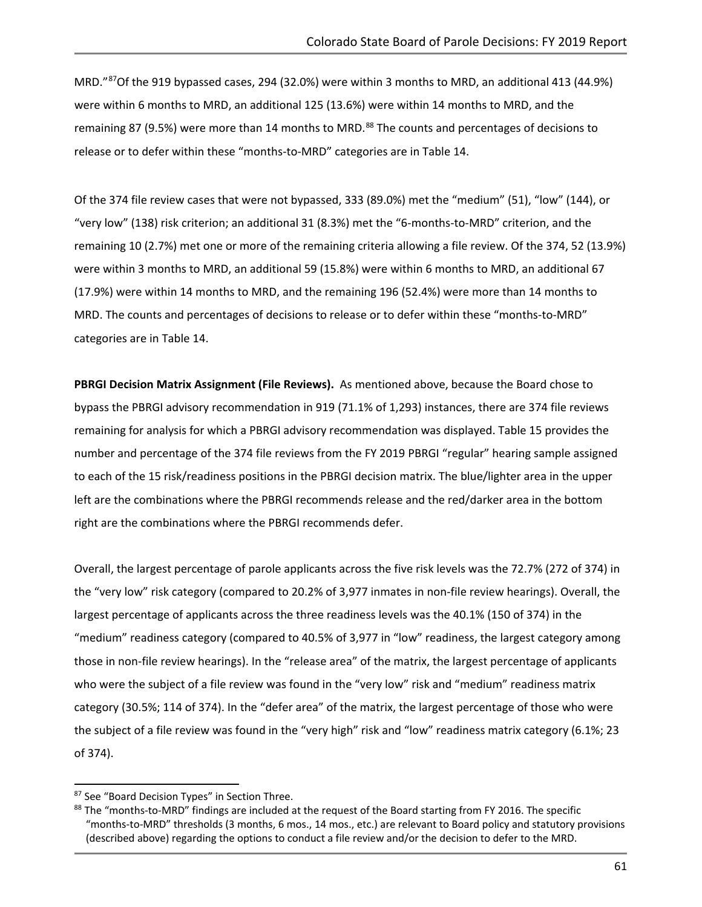MRD."[87O](#page-65-0)f the 919 bypassed cases, 294 (32.0%) were within 3 months to MRD, an additional 413 (44.9%) were within 6 months to MRD, an additional 125 (13.6%) were within 14 months to MRD, and the remaining 87 (9.5%) were more than 14 months to MRD.<sup>[88](#page-66-0)</sup> The counts and percentages of decisions to release or to defer within these "months-to-MRD" categories are in Table 14.

Of the 374 file review cases that were not bypassed, 333 (89.0%) met the "medium" (51), "low" (144), or "very low" (138) risk criterion; an additional 31 (8.3%) met the "6-months-to-MRD" criterion, and the remaining 10 (2.7%) met one or more of the remaining criteria allowing a file review. Of the 374, 52 (13.9%) were within 3 months to MRD, an additional 59 (15.8%) were within 6 months to MRD, an additional 67 (17.9%) were within 14 months to MRD, and the remaining 196 (52.4%) were more than 14 months to MRD. The counts and percentages of decisions to release or to defer within these "months-to-MRD" categories are in Table 14.

**PBRGI Decision Matrix Assignment (File Reviews).** As mentioned above, because the Board chose to bypass the PBRGI advisory recommendation in 919 (71.1% of 1,293) instances, there are 374 file reviews remaining for analysis for which a PBRGI advisory recommendation was displayed. Table 15 provides the number and percentage of the 374 file reviews from the FY 2019 PBRGI "regular" hearing sample assigned to each of the 15 risk/readiness positions in the PBRGI decision matrix. The blue/lighter area in the upper left are the combinations where the PBRGI recommends release and the red/darker area in the bottom right are the combinations where the PBRGI recommends defer.

Overall, the largest percentage of parole applicants across the five risk levels was the 72.7% (272 of 374) in the "very low" risk category (compared to 20.2% of 3,977 inmates in non-file review hearings). Overall, the largest percentage of applicants across the three readiness levels was the 40.1% (150 of 374) in the "medium" readiness category (compared to 40.5% of 3,977 in "low" readiness, the largest category among those in non-file review hearings). In the "release area" of the matrix, the largest percentage of applicants who were the subject of a file review was found in the "very low" risk and "medium" readiness matrix category (30.5%; 114 of 374). In the "defer area" of the matrix, the largest percentage of those who were the subject of a file review was found in the "very high" risk and "low" readiness matrix category (6.1%; 23 of 374).

<sup>&</sup>lt;sup>87</sup> See "Board Decision Types" in Section Three.

<span id="page-66-0"></span><sup>&</sup>lt;sup>88</sup> The "months-to-MRD" findings are included at the request of the Board starting from FY 2016. The specific "months-to-MRD" thresholds (3 months, 6 mos., 14 mos., etc.) are relevant to Board policy and statutory provisions (described above) regarding the options to conduct a file review and/or the decision to defer to the MRD.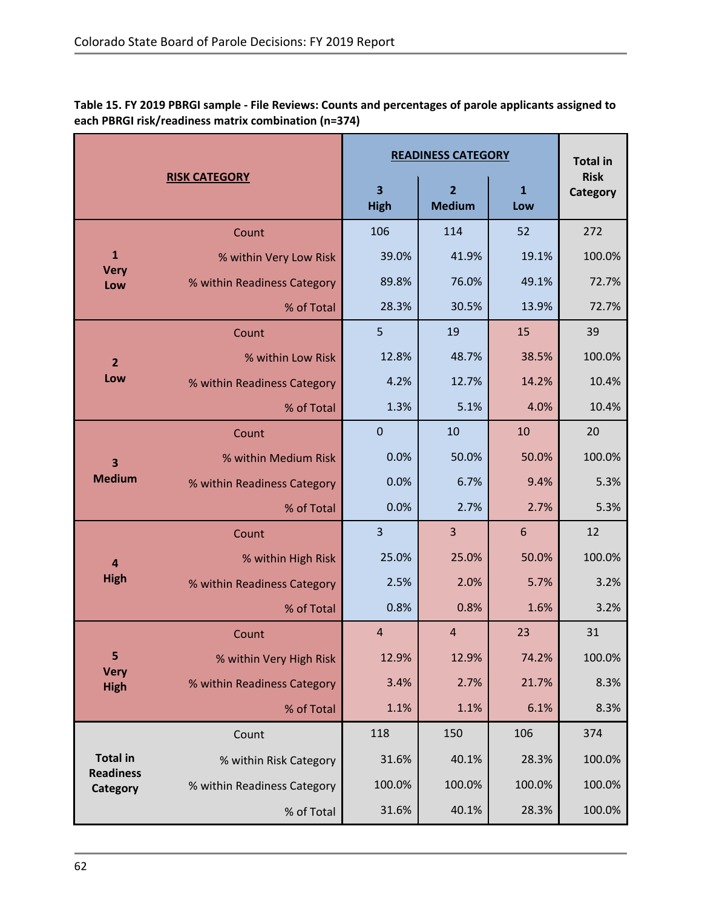|                                     |                             |                                        | <b>READINESS CATEGORY</b>       |                     |                         |  |
|-------------------------------------|-----------------------------|----------------------------------------|---------------------------------|---------------------|-------------------------|--|
|                                     | <b>RISK CATEGORY</b>        | $\overline{\mathbf{3}}$<br><b>High</b> | $\overline{2}$<br><b>Medium</b> | $\mathbf{1}$<br>Low | <b>Risk</b><br>Category |  |
|                                     | Count                       | 106                                    | 114                             | 52                  | 272                     |  |
| $\mathbf{1}$                        | % within Very Low Risk      | 39.0%                                  | 41.9%                           | 19.1%               | 100.0%                  |  |
| <b>Very</b><br>Low                  | % within Readiness Category | 89.8%                                  | 76.0%                           | 49.1%               | 72.7%                   |  |
|                                     | % of Total                  | 28.3%                                  | 30.5%                           | 13.9%               | 72.7%                   |  |
|                                     | Count                       | 5                                      | 19                              | 15                  | 39                      |  |
| $\overline{2}$                      | % within Low Risk           | 12.8%                                  | 48.7%                           | 38.5%               | 100.0%                  |  |
| Low                                 | % within Readiness Category | 4.2%                                   | 12.7%                           | 14.2%               | 10.4%                   |  |
|                                     | % of Total                  | 1.3%                                   | 5.1%                            | 4.0%                | 10.4%                   |  |
|                                     | Count                       | $\mathbf 0$                            | 10                              | 10                  | 20                      |  |
| 3                                   | % within Medium Risk        | 0.0%                                   | 50.0%                           | 50.0%               | 100.0%                  |  |
| <b>Medium</b>                       | % within Readiness Category | 0.0%                                   | 6.7%                            | 9.4%                | 5.3%                    |  |
|                                     | % of Total                  | 0.0%                                   | 2.7%                            | 2.7%                | 5.3%                    |  |
|                                     | Count                       | $\overline{3}$                         | 3                               | $6\phantom{1}6$     | 12                      |  |
| $\overline{4}$                      | % within High Risk          | 25.0%                                  | 25.0%                           | 50.0%               | 100.0%                  |  |
| <b>High</b>                         | % within Readiness Category | 2.5%                                   | 2.0%                            | 5.7%                | 3.2%                    |  |
|                                     | % of Total                  | 0.8%                                   | 0.8%                            | 1.6%                | 3.2%                    |  |
|                                     | Count                       | $\overline{4}$                         | $\overline{a}$                  | 23                  | 31                      |  |
| 5                                   | % within Very High Risk     | 12.9%                                  | 12.9%                           | 74.2%               | 100.0%                  |  |
| <b>Very</b><br><b>High</b>          | % within Readiness Category | 3.4%                                   | 2.7%                            | 21.7%               | 8.3%                    |  |
|                                     | % of Total                  | 1.1%                                   | 1.1%                            | 6.1%                | 8.3%                    |  |
|                                     | Count                       | 118                                    | 150                             | 106                 | 374                     |  |
| <b>Total in</b>                     | % within Risk Category      | 31.6%                                  | 40.1%                           | 28.3%               | 100.0%                  |  |
| <b>Readiness</b><br><b>Category</b> | % within Readiness Category | 100.0%                                 | 100.0%                          | 100.0%              | 100.0%                  |  |
|                                     | % of Total                  | 31.6%                                  | 40.1%                           | 28.3%               | 100.0%                  |  |

**Table 15. FY 2019 PBRGI sample - File Reviews: Counts and percentages of parole applicants assigned to each PBRGI risk/readiness matrix combination (n=374)**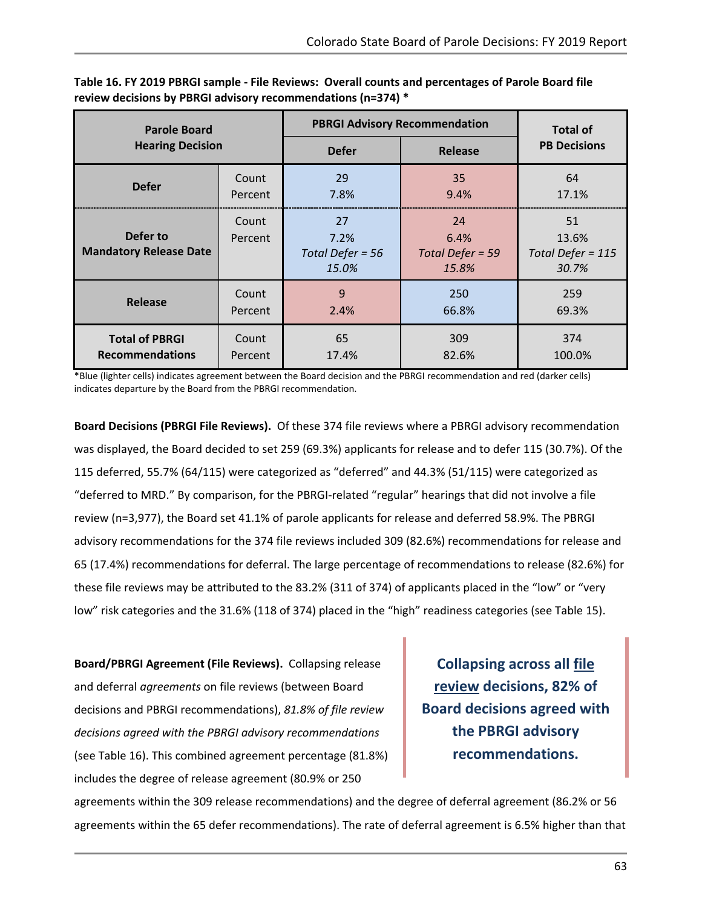| <b>Parole Board</b><br><b>Hearing Decision</b> |                  | <b>PBRGI Advisory Recommendation</b>    | <b>Total of</b>                         |                                           |
|------------------------------------------------|------------------|-----------------------------------------|-----------------------------------------|-------------------------------------------|
|                                                |                  | <b>Defer</b>                            | Release                                 | <b>PB Decisions</b>                       |
| <b>Defer</b>                                   | Count            | 29                                      | 35                                      | 64                                        |
|                                                | Percent          | 7.8%                                    | 9.4%                                    | 17.1%                                     |
| Defer to<br><b>Mandatory Release Date</b>      | Count<br>Percent | 27<br>7.2%<br>Total Defer = 56<br>15.0% | 24<br>6.4%<br>Total Defer = 59<br>15.8% | 51<br>13.6%<br>Total Defer = 115<br>30.7% |
| <b>Release</b>                                 | Count            | 9                                       | 250                                     | 259                                       |
|                                                | Percent          | 2.4%                                    | 66.8%                                   | 69.3%                                     |
| <b>Total of PBRGI</b>                          | Count            | 65                                      | 309                                     | 374                                       |
| <b>Recommendations</b>                         | Percent          | 17.4%                                   | 82.6%                                   | 100.0%                                    |

**Table 16. FY 2019 PBRGI sample - File Reviews: Overall counts and percentages of Parole Board file review decisions by PBRGI advisory recommendations (n=374) \***

\*Blue (lighter cells) indicates agreement between the Board decision and the PBRGI recommendation and red (darker cells) indicates departure by the Board from the PBRGI recommendation.

**Board Decisions (PBRGI File Reviews).** Of these 374 file reviews where a PBRGI advisory recommendation was displayed, the Board decided to set 259 (69.3%) applicants for release and to defer 115 (30.7%). Of the 115 deferred, 55.7% (64/115) were categorized as "deferred" and 44.3% (51/115) were categorized as "deferred to MRD." By comparison, for the PBRGI-related "regular" hearings that did not involve a file review (n=3,977), the Board set 41.1% of parole applicants for release and deferred 58.9%. The PBRGI advisory recommendations for the 374 file reviews included 309 (82.6%) recommendations for release and 65 (17.4%) recommendations for deferral. The large percentage of recommendations to release (82.6%) for these file reviews may be attributed to the 83.2% (311 of 374) of applicants placed in the "low" or "very low" risk categories and the 31.6% (118 of 374) placed in the "high" readiness categories (see Table 15).

**Board/PBRGI Agreement (File Reviews).** Collapsing release and deferral *agreements* on file reviews (between Board decisions and PBRGI recommendations), *81.8% of file review decisions agreed with the PBRGI advisory recommendations* (see Table 16). This combined agreement percentage (81.8%) includes the degree of release agreement (80.9% or 250

**Collapsing across all file review decisions, 82% of Board decisions agreed with the PBRGI advisory recommendations.**

agreements within the 309 release recommendations) and the degree of deferral agreement (86.2% or 56 agreements within the 65 defer recommendations). The rate of deferral agreement is 6.5% higher than that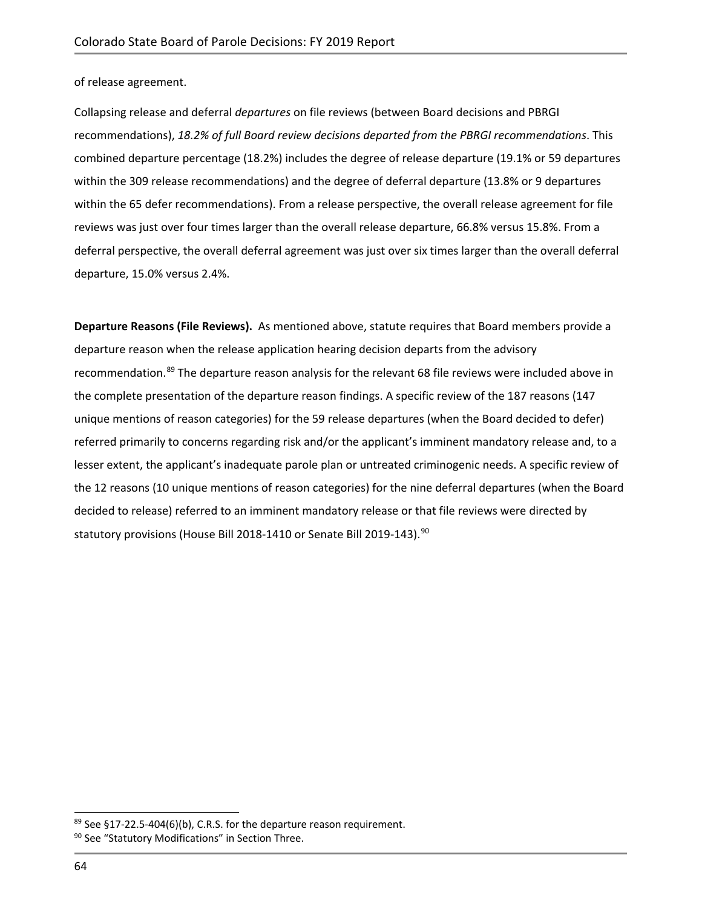#### of release agreement.

Collapsing release and deferral *departures* on file reviews (between Board decisions and PBRGI recommendations), *18.2% of full Board review decisions departed from the PBRGI recommendations*. This combined departure percentage (18.2%) includes the degree of release departure (19.1% or 59 departures within the 309 release recommendations) and the degree of deferral departure (13.8% or 9 departures within the 65 defer recommendations). From a release perspective, the overall release agreement for file reviews was just over four times larger than the overall release departure, 66.8% versus 15.8%. From a deferral perspective, the overall deferral agreement was just over six times larger than the overall deferral departure, 15.0% versus 2.4%.

**Departure Reasons (File Reviews).** As mentioned above, statute requires that Board members provide a departure reason when the release application hearing decision departs from the advisory recommendation.<sup>[89](#page-69-0)</sup> The departure reason analysis for the relevant 68 file reviews were included above in the complete presentation of the departure reason findings. A specific review of the 187 reasons (147 unique mentions of reason categories) for the 59 release departures (when the Board decided to defer) referred primarily to concerns regarding risk and/or the applicant's imminent mandatory release and, to a lesser extent, the applicant's inadequate parole plan or untreated criminogenic needs. A specific review of the 12 reasons (10 unique mentions of reason categories) for the nine deferral departures (when the Board decided to release) referred to an imminent mandatory release or that file reviews were directed by statutory provisions (House Bill 2018-1410 or Senate Bill 2019-143).<sup>[90](#page-69-1)</sup>

<span id="page-69-0"></span><sup>89</sup> See §17-22.5-404(6)(b), C.R.S. for the departure reason requirement.

<span id="page-69-1"></span><sup>90</sup> See "Statutory Modifications" in Section Three.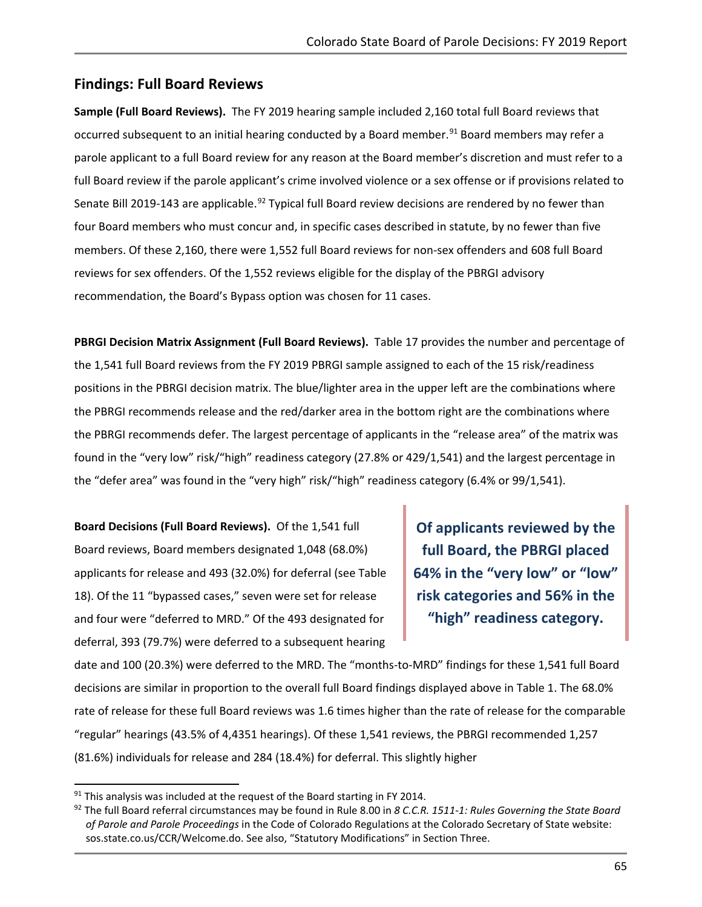#### **Findings: Full Board Reviews**

**Sample (Full Board Reviews).** The FY 2019 hearing sample included 2,160 total full Board reviews that occurred subsequent to an initial hearing conducted by a Board member.<sup>[91](#page-70-0)</sup> Board members may refer a parole applicant to a full Board review for any reason at the Board member's discretion and must refer to a full Board review if the parole applicant's crime involved violence or a sex offense or if provisions related to Senate Bill 2019-143 are applicable.<sup>[92](#page-70-1)</sup> Typical full Board review decisions are rendered by no fewer than four Board members who must concur and, in specific cases described in statute, by no fewer than five members. Of these 2,160, there were 1,552 full Board reviews for non-sex offenders and 608 full Board reviews for sex offenders. Of the 1,552 reviews eligible for the display of the PBRGI advisory recommendation, the Board's Bypass option was chosen for 11 cases.

**PBRGI Decision Matrix Assignment (Full Board Reviews).** Table 17 provides the number and percentage of the 1,541 full Board reviews from the FY 2019 PBRGI sample assigned to each of the 15 risk/readiness positions in the PBRGI decision matrix. The blue/lighter area in the upper left are the combinations where the PBRGI recommends release and the red/darker area in the bottom right are the combinations where the PBRGI recommends defer. The largest percentage of applicants in the "release area" of the matrix was found in the "very low" risk/"high" readiness category (27.8% or 429/1,541) and the largest percentage in the "defer area" was found in the "very high" risk/"high" readiness category (6.4% or 99/1,541).

**Board Decisions (Full Board Reviews).** Of the 1,541 full Board reviews, Board members designated 1,048 (68.0%) applicants for release and 493 (32.0%) for deferral (see Table 18). Of the 11 "bypassed cases," seven were set for release and four were "deferred to MRD." Of the 493 designated for deferral, 393 (79.7%) were deferred to a subsequent hearing

**Of applicants reviewed by the full Board, the PBRGI placed 64% in the "very low" or "low" risk categories and 56% in the "high" readiness category.**

date and 100 (20.3%) were deferred to the MRD. The "months-to-MRD" findings for these 1,541 full Board decisions are similar in proportion to the overall full Board findings displayed above in Table 1. The 68.0% rate of release for these full Board reviews was 1.6 times higher than the rate of release for the comparable "regular" hearings (43.5% of 4,4351 hearings). Of these 1,541 reviews, the PBRGI recommended 1,257 (81.6%) individuals for release and 284 (18.4%) for deferral. This slightly higher

<span id="page-70-0"></span> $91$  This analysis was included at the request of the Board starting in FY 2014.

<span id="page-70-1"></span><sup>92</sup> The full Board referral circumstances may be found in Rule 8.00 in *8 C.C.R. 1511-1: Rules Governing the State Board of Parole and Parole Proceedings* in the Code of Colorado Regulations at the Colorado Secretary of State website: sos.state.co.us/CCR/Welcome.do. See also, "Statutory Modifications" in Section Three.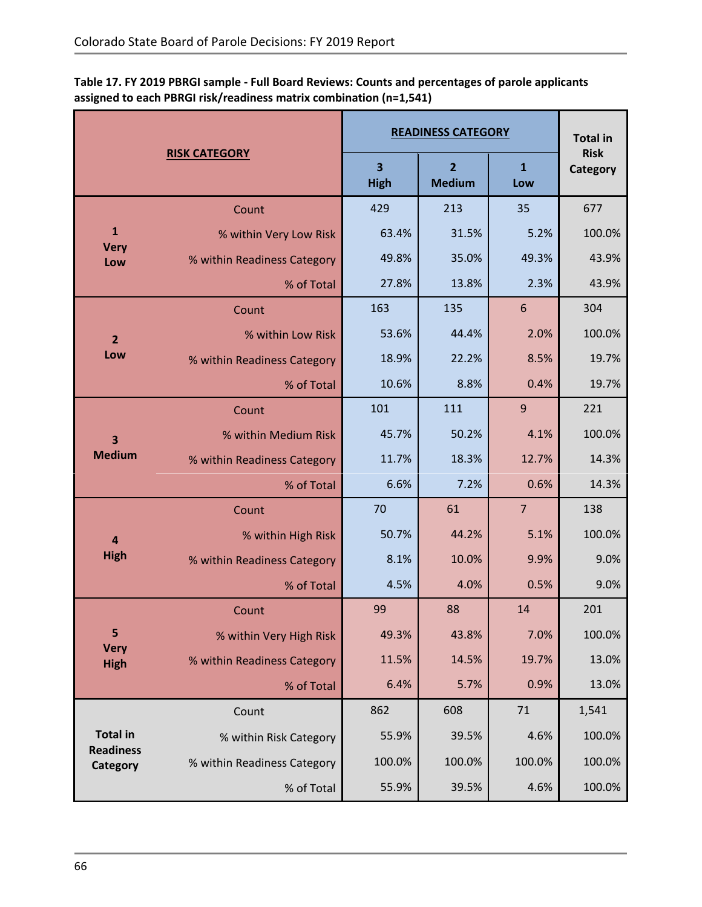**Table 17. FY 2019 PBRGI sample - Full Board Reviews: Counts and percentages of parole applicants assigned to each PBRGI risk/readiness matrix combination (n=1,541)**

|                              |                             |                                        | <b>READINESS CATEGORY</b>       |                     |                         |  |
|------------------------------|-----------------------------|----------------------------------------|---------------------------------|---------------------|-------------------------|--|
|                              | <b>RISK CATEGORY</b>        | $\overline{\mathbf{3}}$<br><b>High</b> | $\overline{2}$<br><b>Medium</b> | $\mathbf{1}$<br>Low | <b>Risk</b><br>Category |  |
|                              | Count                       | 429                                    | 213                             | 35                  | 677                     |  |
| $\mathbf{1}$                 | % within Very Low Risk      | 63.4%                                  | 31.5%                           | 5.2%                | 100.0%                  |  |
| <b>Very</b><br>Low           | % within Readiness Category | 49.8%                                  | 35.0%                           | 49.3%               | 43.9%                   |  |
|                              | % of Total                  | 27.8%                                  | 13.8%                           | 2.3%                | 43.9%                   |  |
|                              | Count                       | 163                                    | 135                             | 6                   | 304                     |  |
| $\overline{2}$               | % within Low Risk           | 53.6%                                  | 44.4%                           | 2.0%                | 100.0%                  |  |
| Low                          | % within Readiness Category | 18.9%                                  | 22.2%                           | 8.5%                | 19.7%                   |  |
|                              | % of Total                  | 10.6%                                  | 8.8%                            | 0.4%                | 19.7%                   |  |
|                              | Count                       | 101                                    | 111                             | 9                   | 221                     |  |
| $\overline{\mathbf{3}}$      | % within Medium Risk        | 45.7%                                  | 50.2%                           | 4.1%                | 100.0%                  |  |
| <b>Medium</b>                | % within Readiness Category | 11.7%                                  | 18.3%                           | 12.7%               | 14.3%                   |  |
|                              | % of Total                  | 6.6%                                   | 7.2%                            | 0.6%                | 14.3%                   |  |
|                              | Count                       | 70                                     | 61                              | $\overline{7}$      | 138                     |  |
| $\overline{4}$               | % within High Risk          | 50.7%                                  | 44.2%                           | 5.1%                | 100.0%                  |  |
| <b>High</b>                  | % within Readiness Category | 8.1%                                   | 10.0%                           | 9.9%                | 9.0%                    |  |
|                              | % of Total                  | 4.5%                                   | 4.0%                            | 0.5%                | 9.0%                    |  |
|                              | Count                       | 99                                     | 88                              | 14                  | 201                     |  |
| 5                            | % within Very High Risk     | 49.3%                                  | 43.8%                           | 7.0%                | 100.0%                  |  |
| <b>Very</b><br><b>High</b>   | % within Readiness Category | 11.5%                                  | 14.5%                           | 19.7%               | 13.0%                   |  |
|                              | % of Total                  | 6.4%                                   | 5.7%                            | 0.9%                | 13.0%                   |  |
|                              | Count                       | 862                                    | 608                             | 71                  | 1,541                   |  |
| <b>Total in</b>              | % within Risk Category      | 55.9%                                  | 39.5%                           | 4.6%                | 100.0%                  |  |
| <b>Readiness</b><br>Category | % within Readiness Category | 100.0%                                 | 100.0%                          | 100.0%              | 100.0%                  |  |
|                              | % of Total                  | 55.9%                                  | 39.5%                           | 4.6%                | 100.0%                  |  |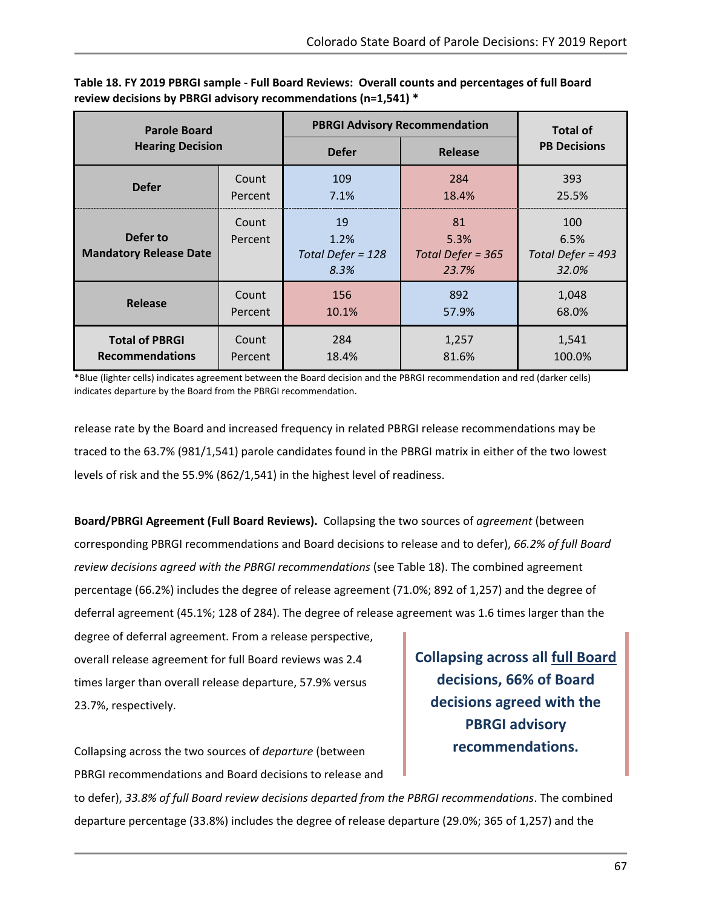| <b>Parole Board</b><br><b>Hearing Decision</b> |                  | <b>PBRGI Advisory Recommendation</b>    |                                          | <b>Total of</b>                           |
|------------------------------------------------|------------------|-----------------------------------------|------------------------------------------|-------------------------------------------|
|                                                |                  | <b>Defer</b>                            | Release                                  | <b>PB Decisions</b>                       |
| <b>Defer</b>                                   | Count            | 109                                     | 284                                      | 393                                       |
|                                                | Percent          | 7.1%                                    | 18.4%                                    | 25.5%                                     |
| Defer to<br><b>Mandatory Release Date</b>      | Count<br>Percent | 19<br>1.2%<br>Total Defer = 128<br>8.3% | 81<br>5.3%<br>Total Defer = 365<br>23.7% | 100<br>6.5%<br>Total Defer = 493<br>32.0% |
| Release                                        | Count            | 156                                     | 892                                      | 1,048                                     |
|                                                | Percent          | 10.1%                                   | 57.9%                                    | 68.0%                                     |
| <b>Total of PBRGI</b>                          | Count            | 284                                     | 1,257                                    | 1,541                                     |
| <b>Recommendations</b>                         | Percent          | 18.4%                                   | 81.6%                                    | 100.0%                                    |

**Table 18. FY 2019 PBRGI sample - Full Board Reviews: Overall counts and percentages of full Board review decisions by PBRGI advisory recommendations (n=1,541) \***

\*Blue (lighter cells) indicates agreement between the Board decision and the PBRGI recommendation and red (darker cells) indicates departure by the Board from the PBRGI recommendation.

release rate by the Board and increased frequency in related PBRGI release recommendations may be traced to the 63.7% (981/1,541) parole candidates found in the PBRGI matrix in either of the two lowest levels of risk and the 55.9% (862/1,541) in the highest level of readiness.

**Board/PBRGI Agreement (Full Board Reviews).** Collapsing the two sources of *agreement* (between corresponding PBRGI recommendations and Board decisions to release and to defer), *66.2% of full Board review decisions agreed with the PBRGI recommendations* (see Table 18). The combined agreement percentage (66.2%) includes the degree of release agreement (71.0%; 892 of 1,257) and the degree of deferral agreement (45.1%; 128 of 284). The degree of release agreement was 1.6 times larger than the

degree of deferral agreement. From a release perspective, overall release agreement for full Board reviews was 2.4 times larger than overall release departure, 57.9% versus 23.7%, respectively.

Collapsing across the two sources of *departure* (between PBRGI recommendations and Board decisions to release and **Collapsing across all full Board decisions, 66% of Board decisions agreed with the PBRGI advisory recommendations.**

to defer), *33.8% of full Board review decisions departed from the PBRGI recommendations*. The combined departure percentage (33.8%) includes the degree of release departure (29.0%; 365 of 1,257) and the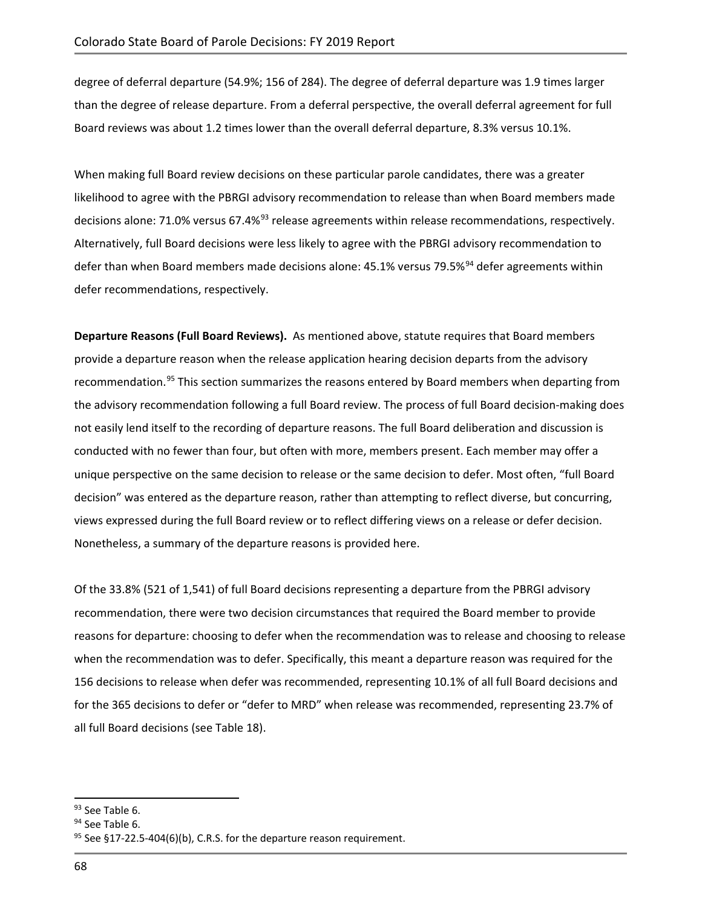degree of deferral departure (54.9%; 156 of 284). The degree of deferral departure was 1.9 times larger than the degree of release departure. From a deferral perspective, the overall deferral agreement for full Board reviews was about 1.2 times lower than the overall deferral departure, 8.3% versus 10.1%.

When making full Board review decisions on these particular parole candidates, there was a greater likelihood to agree with the PBRGI advisory recommendation to release than when Board members made decisions alone: 71.0% versus 67.4%<sup>[93](#page-73-0)</sup> release agreements within release recommendations, respectively. Alternatively, full Board decisions were less likely to agree with the PBRGI advisory recommendation to defer than when Board members made decisions alone: 45.1% versus 79.5%<sup>[94](#page-73-1)</sup> defer agreements within defer recommendations, respectively.

**Departure Reasons (Full Board Reviews).** As mentioned above, statute requires that Board members provide a departure reason when the release application hearing decision departs from the advisory recommendation.<sup>[95](#page-73-2)</sup> This section summarizes the reasons entered by Board members when departing from the advisory recommendation following a full Board review. The process of full Board decision-making does not easily lend itself to the recording of departure reasons. The full Board deliberation and discussion is conducted with no fewer than four, but often with more, members present. Each member may offer a unique perspective on the same decision to release or the same decision to defer. Most often, "full Board decision" was entered as the departure reason, rather than attempting to reflect diverse, but concurring, views expressed during the full Board review or to reflect differing views on a release or defer decision. Nonetheless, a summary of the departure reasons is provided here.

Of the 33.8% (521 of 1,541) of full Board decisions representing a departure from the PBRGI advisory recommendation, there were two decision circumstances that required the Board member to provide reasons for departure: choosing to defer when the recommendation was to release and choosing to release when the recommendation was to defer. Specifically, this meant a departure reason was required for the 156 decisions to release when defer was recommended, representing 10.1% of all full Board decisions and for the 365 decisions to defer or "defer to MRD" when release was recommended, representing 23.7% of all full Board decisions (see Table 18).

<span id="page-73-0"></span><sup>93</sup> See Table 6.

<span id="page-73-1"></span><sup>94</sup> See Table 6.

<span id="page-73-2"></span> $95$  See §17-22.5-404(6)(b), C.R.S. for the departure reason requirement.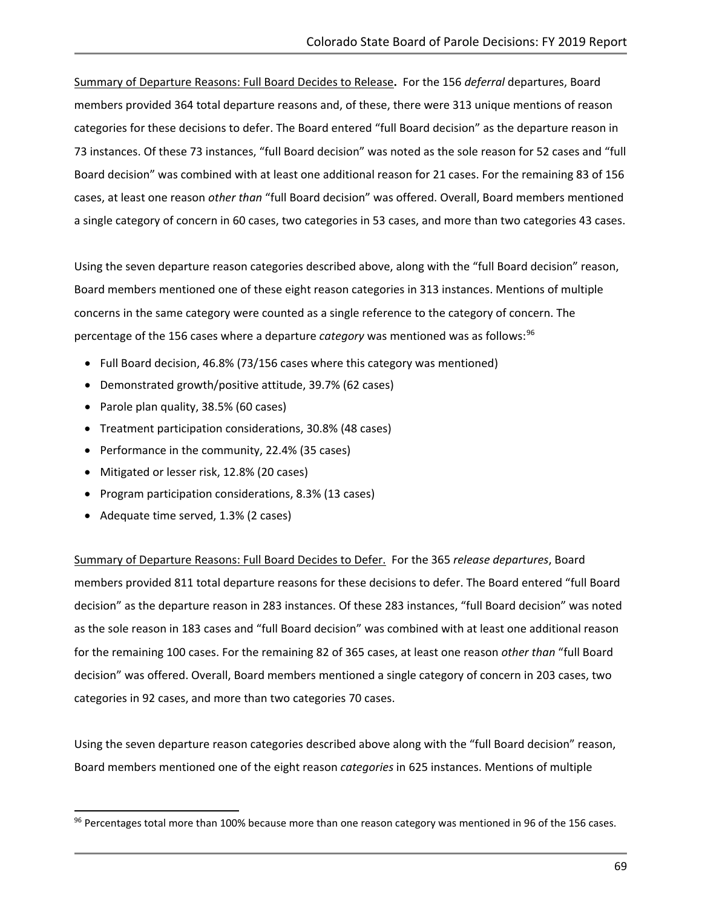Summary of Departure Reasons: Full Board Decides to Release**.** For the 156 *deferral* departures, Board members provided 364 total departure reasons and, of these, there were 313 unique mentions of reason categories for these decisions to defer. The Board entered "full Board decision" as the departure reason in 73 instances. Of these 73 instances, "full Board decision" was noted as the sole reason for 52 cases and "full Board decision" was combined with at least one additional reason for 21 cases. For the remaining 83 of 156 cases, at least one reason *other than* "full Board decision" was offered. Overall, Board members mentioned a single category of concern in 60 cases, two categories in 53 cases, and more than two categories 43 cases.

Using the seven departure reason categories described above, along with the "full Board decision" reason, Board members mentioned one of these eight reason categories in 313 instances. Mentions of multiple concerns in the same category were counted as a single reference to the category of concern. The percentage of the 156 cases where a departure *category* was mentioned was as follows:<sup>[96](#page-74-0)</sup>

- Full Board decision, 46.8% (73/156 cases where this category was mentioned)
- Demonstrated growth/positive attitude, 39.7% (62 cases)
- Parole plan quality, 38.5% (60 cases)
- Treatment participation considerations, 30.8% (48 cases)
- Performance in the community, 22.4% (35 cases)
- Mitigated or lesser risk, 12.8% (20 cases)
- Program participation considerations, 8.3% (13 cases)
- Adequate time served, 1.3% (2 cases)

Summary of Departure Reasons: Full Board Decides to Defer. For the 365 *release departures*, Board members provided 811 total departure reasons for these decisions to defer. The Board entered "full Board decision" as the departure reason in 283 instances. Of these 283 instances, "full Board decision" was noted as the sole reason in 183 cases and "full Board decision" was combined with at least one additional reason for the remaining 100 cases. For the remaining 82 of 365 cases, at least one reason *other than* "full Board decision" was offered. Overall, Board members mentioned a single category of concern in 203 cases, two categories in 92 cases, and more than two categories 70 cases.

Using the seven departure reason categories described above along with the "full Board decision" reason, Board members mentioned one of the eight reason *categories* in 625 instances. Mentions of multiple

<span id="page-74-0"></span> $96$  Percentages total more than 100% because more than one reason category was mentioned in 96 of the 156 cases.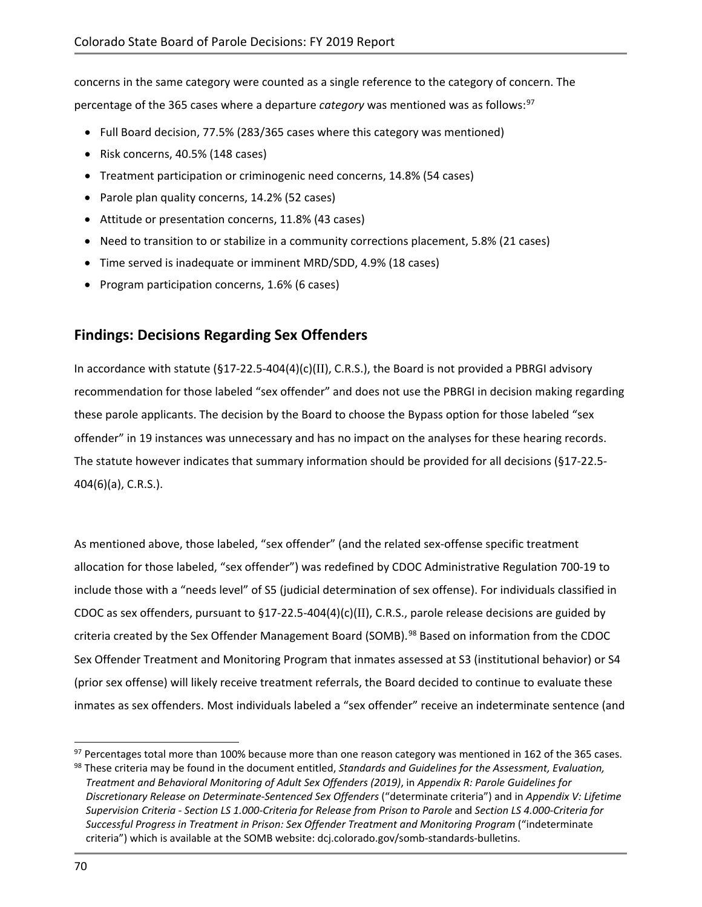concerns in the same category were counted as a single reference to the category of concern. The percentage of the 365 cases where a departure *category* was mentioned was as follows:<sup>[97](#page-75-0)</sup>

- Full Board decision, 77.5% (283/365 cases where this category was mentioned)
- Risk concerns, 40.5% (148 cases)
- Treatment participation or criminogenic need concerns, 14.8% (54 cases)
- Parole plan quality concerns, 14.2% (52 cases)
- Attitude or presentation concerns, 11.8% (43 cases)
- Need to transition to or stabilize in a community corrections placement, 5.8% (21 cases)
- Time served is inadequate or imminent MRD/SDD, 4.9% (18 cases)
- Program participation concerns, 1.6% (6 cases)

## **Findings: Decisions Regarding Sex Offenders**

In accordance with statute (§17-22.5-404(4)(c)(II), C.R.S.), the Board is not provided a PBRGI advisory recommendation for those labeled "sex offender" and does not use the PBRGI in decision making regarding these parole applicants. The decision by the Board to choose the Bypass option for those labeled "sex offender" in 19 instances was unnecessary and has no impact on the analyses for these hearing records. The statute however indicates that summary information should be provided for all decisions (§17-22.5- 404(6)(a), C.R.S.).

As mentioned above, those labeled, "sex offender" (and the related sex-offense specific treatment allocation for those labeled, "sex offender") was redefined by CDOC Administrative Regulation 700-19 to include those with a "needs level" of S5 (judicial determination of sex offense). For individuals classified in CDOC as sex offenders, pursuant to §17-22.5-404(4)(c)(II), C.R.S., parole release decisions are guided by criteria created by the Sex Offender Management Board (SOMB).<sup>[98](#page-75-1)</sup> Based on information from the CDOC Sex Offender Treatment and Monitoring Program that inmates assessed at S3 (institutional behavior) or S4 (prior sex offense) will likely receive treatment referrals, the Board decided to continue to evaluate these inmates as sex offenders. Most individuals labeled a "sex offender" receive an indeterminate sentence (and

<span id="page-75-1"></span><span id="page-75-0"></span><sup>&</sup>lt;sup>97</sup> Percentages total more than 100% because more than one reason category was mentioned in 162 of the 365 cases. <sup>98</sup> These criteria may be found in the document entitled, *Standards and Guidelines for the Assessment, Evaluation, Treatment and Behavioral Monitoring of Adult Sex Offenders (2019)*, in *Appendix R: Parole Guidelines for Discretionary Release on Determinate-Sentenced Sex Offenders* ("determinate criteria") and in *Appendix V: Lifetime Supervision Criteria - Section LS 1.000-Criteria for Release from Prison to Parole* and *Section LS 4.000-Criteria for Successful Progress in Treatment in Prison: Sex Offender Treatment and Monitoring Program* ("indeterminate criteria") which is available at the SOMB website: dcj.colorado.gov/somb-standards-bulletins.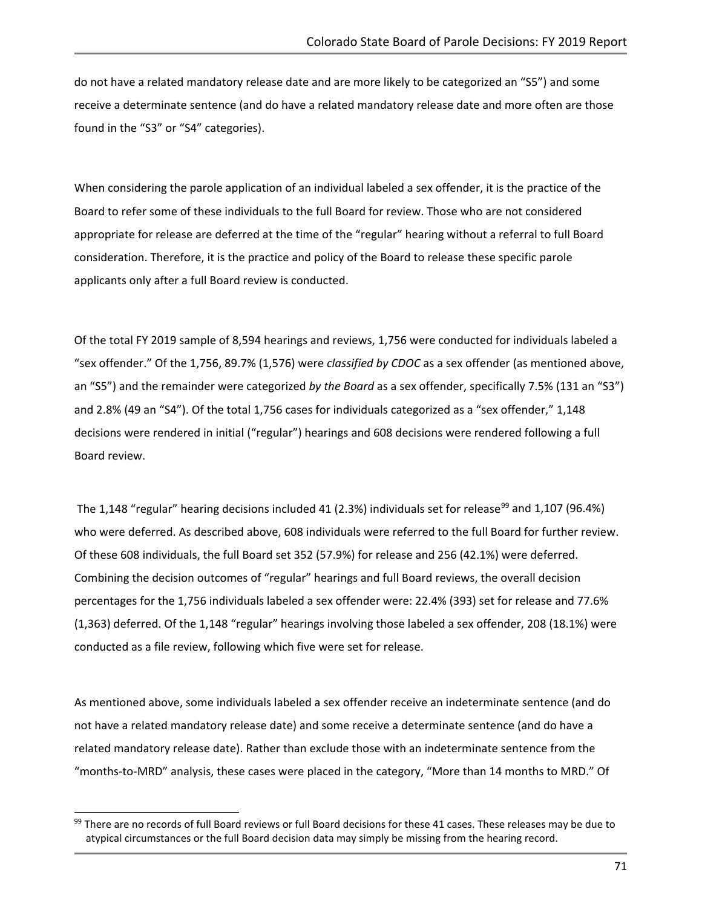do not have a related mandatory release date and are more likely to be categorized an "S5") and some receive a determinate sentence (and do have a related mandatory release date and more often are those found in the "S3" or "S4" categories).

When considering the parole application of an individual labeled a sex offender, it is the practice of the Board to refer some of these individuals to the full Board for review. Those who are not considered appropriate for release are deferred at the time of the "regular" hearing without a referral to full Board consideration. Therefore, it is the practice and policy of the Board to release these specific parole applicants only after a full Board review is conducted.

Of the total FY 2019 sample of 8,594 hearings and reviews, 1,756 were conducted for individuals labeled a "sex offender." Of the 1,756, 89.7% (1,576) were *classified by CDOC* as a sex offender (as mentioned above, an "S5") and the remainder were categorized *by the Board* as a sex offender, specifically 7.5% (131 an "S3") and 2.8% (49 an "S4"). Of the total 1,756 cases for individuals categorized as a "sex offender," 1,148 decisions were rendered in initial ("regular") hearings and 608 decisions were rendered following a full Board review.

The 1,148 "regular" hearing decisions included 41 (2.3%) individuals set for release<sup>[99](#page-76-0)</sup> and 1,107 (96.4%) who were deferred. As described above, 608 individuals were referred to the full Board for further review. Of these 608 individuals, the full Board set 352 (57.9%) for release and 256 (42.1%) were deferred. Combining the decision outcomes of "regular" hearings and full Board reviews, the overall decision percentages for the 1,756 individuals labeled a sex offender were: 22.4% (393) set for release and 77.6% (1,363) deferred. Of the 1,148 "regular" hearings involving those labeled a sex offender, 208 (18.1%) were conducted as a file review, following which five were set for release.

As mentioned above, some individuals labeled a sex offender receive an indeterminate sentence (and do not have a related mandatory release date) and some receive a determinate sentence (and do have a related mandatory release date). Rather than exclude those with an indeterminate sentence from the "months-to-MRD" analysis, these cases were placed in the category, "More than 14 months to MRD." Of

<span id="page-76-0"></span> $99$  There are no records of full Board reviews or full Board decisions for these 41 cases. These releases may be due to atypical circumstances or the full Board decision data may simply be missing from the hearing record.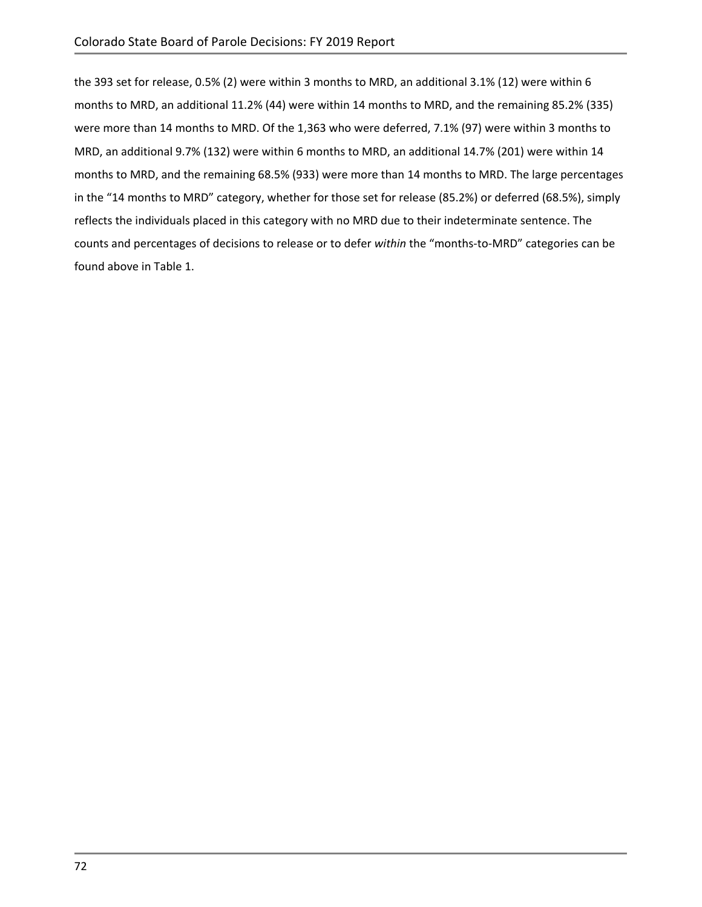the 393 set for release, 0.5% (2) were within 3 months to MRD, an additional 3.1% (12) were within 6 months to MRD, an additional 11.2% (44) were within 14 months to MRD, and the remaining 85.2% (335) were more than 14 months to MRD. Of the 1,363 who were deferred, 7.1% (97) were within 3 months to MRD, an additional 9.7% (132) were within 6 months to MRD, an additional 14.7% (201) were within 14 months to MRD, and the remaining 68.5% (933) were more than 14 months to MRD. The large percentages in the "14 months to MRD" category, whether for those set for release (85.2%) or deferred (68.5%), simply reflects the individuals placed in this category with no MRD due to their indeterminate sentence. The counts and percentages of decisions to release or to defer *within* the "months-to-MRD" categories can be found above in Table 1.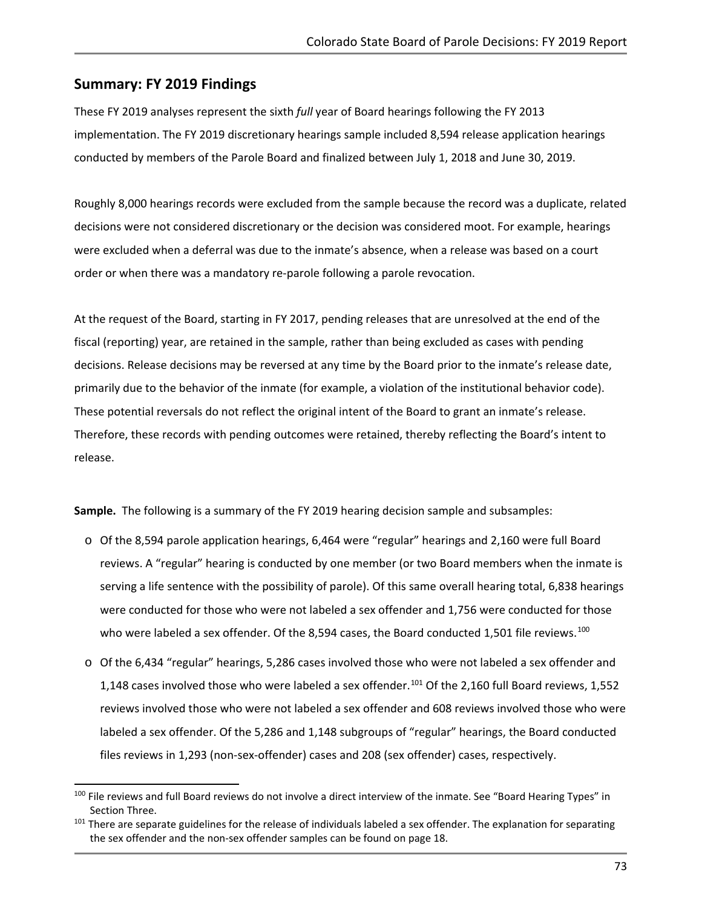## **Summary: FY 2019 Findings**

These FY 2019 analyses represent the sixth *full* year of Board hearings following the FY 2013 implementation. The FY 2019 discretionary hearings sample included 8,594 release application hearings conducted by members of the Parole Board and finalized between July 1, 2018 and June 30, 2019.

Roughly 8,000 hearings records were excluded from the sample because the record was a duplicate, related decisions were not considered discretionary or the decision was considered moot. For example, hearings were excluded when a deferral was due to the inmate's absence, when a release was based on a court order or when there was a mandatory re-parole following a parole revocation.

At the request of the Board, starting in FY 2017, pending releases that are unresolved at the end of the fiscal (reporting) year, are retained in the sample, rather than being excluded as cases with pending decisions. Release decisions may be reversed at any time by the Board prior to the inmate's release date, primarily due to the behavior of the inmate (for example, a violation of the institutional behavior code). These potential reversals do not reflect the original intent of the Board to grant an inmate's release. Therefore, these records with pending outcomes were retained, thereby reflecting the Board's intent to release.

**Sample.** The following is a summary of the FY 2019 hearing decision sample and subsamples:

- o Of the 8,594 parole application hearings, 6,464 were "regular" hearings and 2,160 were full Board reviews. A "regular" hearing is conducted by one member (or two Board members when the inmate is serving a life sentence with the possibility of parole). Of this same overall hearing total, 6,838 hearings were conducted for those who were not labeled a sex offender and 1,756 were conducted for those who were labeled a sex offender. Of the 8,594 cases, the Board conducted 1,501 file reviews.<sup>[100](#page-78-0)</sup>
- o Of the 6,434 "regular" hearings, 5,286 cases involved those who were not labeled a sex offender and 1,148 cases involved those who were labeled a sex offender.<sup>[101](#page-78-1)</sup> Of the 2,160 full Board reviews, 1,552 reviews involved those who were not labeled a sex offender and 608 reviews involved those who were labeled a sex offender. Of the 5,286 and 1,148 subgroups of "regular" hearings, the Board conducted files reviews in 1,293 (non-sex-offender) cases and 208 (sex offender) cases, respectively.

<span id="page-78-0"></span><sup>&</sup>lt;sup>100</sup> File reviews and full Board reviews do not involve a direct interview of the inmate. See "Board Hearing Types" in Section Three.

<span id="page-78-1"></span><sup>&</sup>lt;sup>101</sup> There are separate guidelines for the release of individuals labeled a sex offender. The explanation for separating the sex offender and the non-sex offender samples can be found on page 18.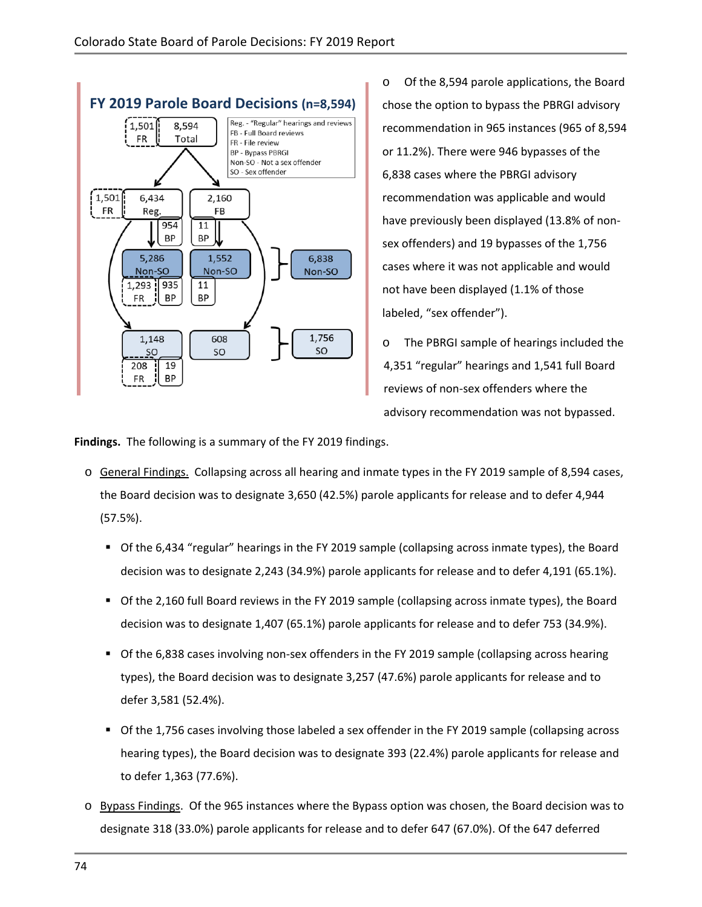

o Of the 8,594 parole applications, the Board chose the option to bypass the PBRGI advisory recommendation in 965 instances (965 of 8,594 or 11.2%). There were 946 bypasses of the 6,838 cases where the PBRGI advisory recommendation was applicable and would have previously been displayed (13.8% of nonsex offenders) and 19 bypasses of the 1,756 cases where it was not applicable and would not have been displayed (1.1% of those labeled, "sex offender").

o The PBRGI sample of hearings included the 4,351 "regular" hearings and 1,541 full Board reviews of non-sex offenders where the advisory recommendation was not bypassed.

**Findings.** The following is a summary of the FY 2019 findings.

- o General Findings.Collapsing across all hearing and inmate types in the FY 2019 sample of 8,594 cases, the Board decision was to designate 3,650 (42.5%) parole applicants for release and to defer 4,944 (57.5%).
	- Of the 6,434 "regular" hearings in the FY 2019 sample (collapsing across inmate types), the Board decision was to designate 2,243 (34.9%) parole applicants for release and to defer 4,191 (65.1%).
	- Of the 2,160 full Board reviews in the FY 2019 sample (collapsing across inmate types), the Board decision was to designate 1,407 (65.1%) parole applicants for release and to defer 753 (34.9%).
	- Of the 6,838 cases involving non-sex offenders in the FY 2019 sample (collapsing across hearing types), the Board decision was to designate 3,257 (47.6%) parole applicants for release and to defer 3,581 (52.4%).
	- Of the 1,756 cases involving those labeled a sex offender in the FY 2019 sample (collapsing across hearing types), the Board decision was to designate 393 (22.4%) parole applicants for release and to defer 1,363 (77.6%).
- o Bypass Findings. Of the 965 instances where the Bypass option was chosen, the Board decision was to designate 318 (33.0%) parole applicants for release and to defer 647 (67.0%). Of the 647 deferred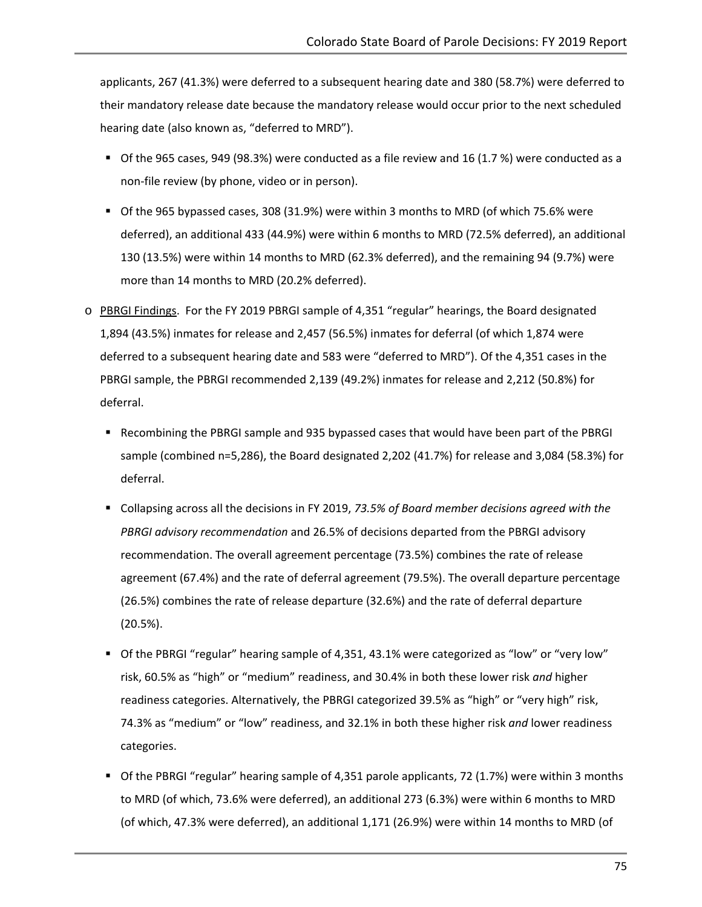applicants, 267 (41.3%) were deferred to a subsequent hearing date and 380 (58.7%) were deferred to their mandatory release date because the mandatory release would occur prior to the next scheduled hearing date (also known as, "deferred to MRD").

- Of the 965 cases, 949 (98.3%) were conducted as a file review and 16 (1.7 %) were conducted as a non-file review (by phone, video or in person).
- Of the 965 bypassed cases, 308 (31.9%) were within 3 months to MRD (of which 75.6% were deferred), an additional 433 (44.9%) were within 6 months to MRD (72.5% deferred), an additional 130 (13.5%) were within 14 months to MRD (62.3% deferred), and the remaining 94 (9.7%) were more than 14 months to MRD (20.2% deferred).
- o PBRGI Findings. For the FY 2019 PBRGI sample of 4,351 "regular" hearings, the Board designated 1,894 (43.5%) inmates for release and 2,457 (56.5%) inmates for deferral (of which 1,874 were deferred to a subsequent hearing date and 583 were "deferred to MRD"). Of the 4,351 cases in the PBRGI sample, the PBRGI recommended 2,139 (49.2%) inmates for release and 2,212 (50.8%) for deferral.
	- Recombining the PBRGI sample and 935 bypassed cases that would have been part of the PBRGI sample (combined n=5,286), the Board designated 2,202 (41.7%) for release and 3,084 (58.3%) for deferral.
	- Collapsing across all the decisions in FY 2019, *73.5% of Board member decisions agreed with the PBRGI advisory recommendation* and 26.5% of decisions departed from the PBRGI advisory recommendation. The overall agreement percentage (73.5%) combines the rate of release agreement (67.4%) and the rate of deferral agreement (79.5%). The overall departure percentage (26.5%) combines the rate of release departure (32.6%) and the rate of deferral departure (20.5%).
	- Of the PBRGI "regular" hearing sample of 4,351, 43.1% were categorized as "low" or "very low" risk, 60.5% as "high" or "medium" readiness, and 30.4% in both these lower risk *and* higher readiness categories. Alternatively, the PBRGI categorized 39.5% as "high" or "very high" risk, 74.3% as "medium" or "low" readiness, and 32.1% in both these higher risk *and* lower readiness categories.
	- Of the PBRGI "regular" hearing sample of 4,351 parole applicants, 72 (1.7%) were within 3 months to MRD (of which, 73.6% were deferred), an additional 273 (6.3%) were within 6 months to MRD (of which, 47.3% were deferred), an additional 1,171 (26.9%) were within 14 months to MRD (of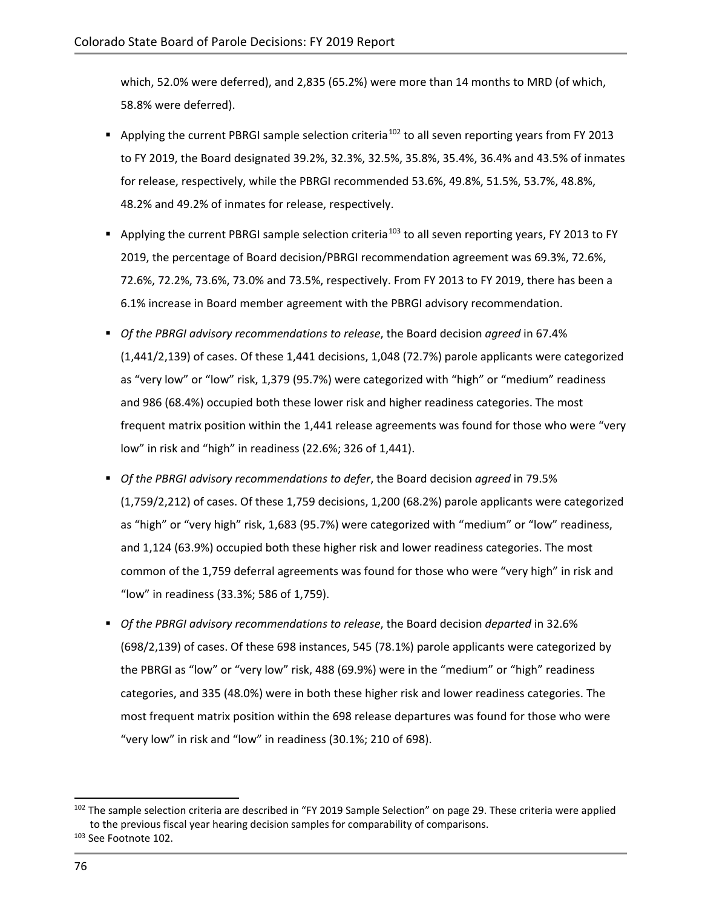which, 52.0% were deferred), and 2,835 (65.2%) were more than 14 months to MRD (of which, 58.8% were deferred).

- Applying the current PBRGI sample selection criteria<sup>[102](#page-81-0)</sup> to all seven reporting years from FY 2013 to FY 2019, the Board designated 39.2%, 32.3%, 32.5%, 35.8%, 35.4%, 36.4% and 43.5% of inmates for release, respectively, while the PBRGI recommended 53.6%, 49.8%, 51.5%, 53.7%, 48.8%, 48.2% and 49.2% of inmates for release, respectively.
- Applying the current PBRGI sample selection criteria<sup>[103](#page-81-1)</sup> to all seven reporting years, FY 2013 to FY 2019, the percentage of Board decision/PBRGI recommendation agreement was 69.3%, 72.6%, 72.6%, 72.2%, 73.6%, 73.0% and 73.5%, respectively. From FY 2013 to FY 2019, there has been a 6.1% increase in Board member agreement with the PBRGI advisory recommendation.
- *Of the PBRGI advisory recommendations to release*, the Board decision *agreed* in 67.4% (1,441/2,139) of cases. Of these 1,441 decisions, 1,048 (72.7%) parole applicants were categorized as "very low" or "low" risk, 1,379 (95.7%) were categorized with "high" or "medium" readiness and 986 (68.4%) occupied both these lower risk and higher readiness categories. The most frequent matrix position within the 1,441 release agreements was found for those who were "very low" in risk and "high" in readiness (22.6%; 326 of 1,441).
- *Of the PBRGI advisory recommendations to defer*, the Board decision *agreed* in 79.5% (1,759/2,212) of cases. Of these 1,759 decisions, 1,200 (68.2%) parole applicants were categorized as "high" or "very high" risk, 1,683 (95.7%) were categorized with "medium" or "low" readiness, and 1,124 (63.9%) occupied both these higher risk and lower readiness categories. The most common of the 1,759 deferral agreements was found for those who were "very high" in risk and "low" in readiness (33.3%; 586 of 1,759).
- *Of the PBRGI advisory recommendations to release*, the Board decision *departed* in 32.6% (698/2,139) of cases. Of these 698 instances, 545 (78.1%) parole applicants were categorized by the PBRGI as "low" or "very low" risk, 488 (69.9%) were in the "medium" or "high" readiness categories, and 335 (48.0%) were in both these higher risk and lower readiness categories. The most frequent matrix position within the 698 release departures was found for those who were "very low" in risk and "low" in readiness (30.1%; 210 of 698).

<span id="page-81-1"></span><span id="page-81-0"></span><sup>&</sup>lt;sup>102</sup> The sample selection criteria are described in "FY 2019 Sample Selection" on page 29. These criteria were applied to the previous fiscal year hearing decision samples for comparability of comparisons. <sup>103</sup> See Footnote 102.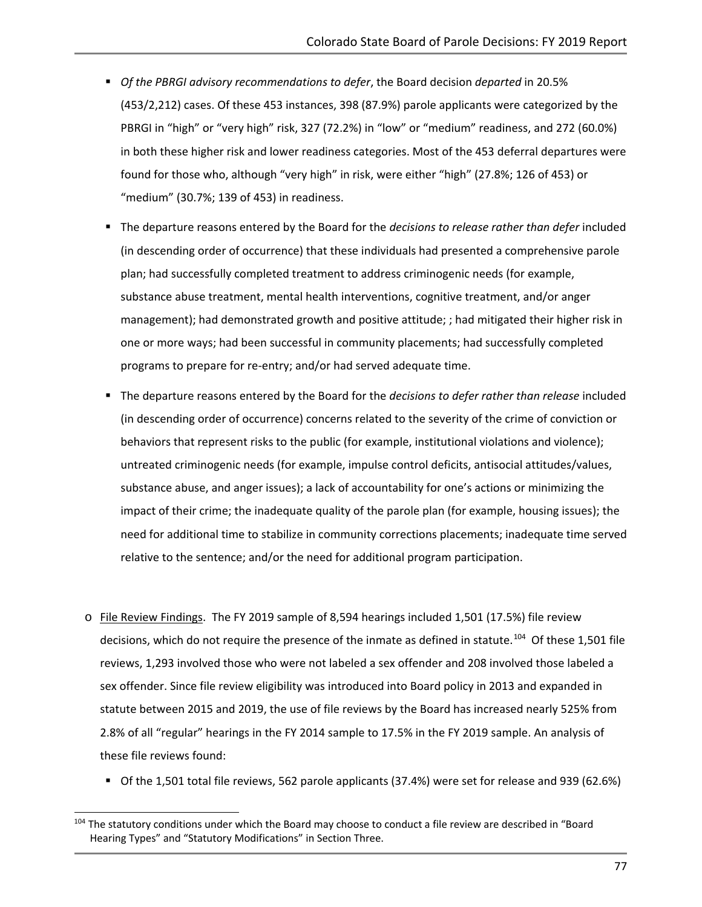- *Of the PBRGI advisory recommendations to defer*, the Board decision *departed* in 20.5% (453/2,212) cases. Of these 453 instances, 398 (87.9%) parole applicants were categorized by the PBRGI in "high" or "very high" risk, 327 (72.2%) in "low" or "medium" readiness, and 272 (60.0%) in both these higher risk and lower readiness categories. Most of the 453 deferral departures were found for those who, although "very high" in risk, were either "high" (27.8%; 126 of 453) or "medium" (30.7%; 139 of 453) in readiness.
- The departure reasons entered by the Board for the *decisions to release rather than defer* included (in descending order of occurrence) that these individuals had presented a comprehensive parole plan; had successfully completed treatment to address criminogenic needs (for example, substance abuse treatment, mental health interventions, cognitive treatment, and/or anger management); had demonstrated growth and positive attitude; ; had mitigated their higher risk in one or more ways; had been successful in community placements; had successfully completed programs to prepare for re-entry; and/or had served adequate time.
- The departure reasons entered by the Board for the *decisions to defer rather than release* included (in descending order of occurrence) concerns related to the severity of the crime of conviction or behaviors that represent risks to the public (for example, institutional violations and violence); untreated criminogenic needs (for example, impulse control deficits, antisocial attitudes/values, substance abuse, and anger issues); a lack of accountability for one's actions or minimizing the impact of their crime; the inadequate quality of the parole plan (for example, housing issues); the need for additional time to stabilize in community corrections placements; inadequate time served relative to the sentence; and/or the need for additional program participation.
- o File Review Findings. The FY 2019 sample of 8,594 hearings included 1,501 (17.5%) file review decisions, which do not require the presence of the inmate as defined in statute.<sup>104</sup> Of these 1,501 file reviews, 1,293 involved those who were not labeled a sex offender and 208 involved those labeled a sex offender. Since file review eligibility was introduced into Board policy in 2013 and expanded in statute between 2015 and 2019, the use of file reviews by the Board has increased nearly 525% from 2.8% of all "regular" hearings in the FY 2014 sample to 17.5% in the FY 2019 sample. An analysis of these file reviews found:
	- Of the 1,501 total file reviews, 562 parole applicants (37.4%) were set for release and 939 (62.6%)

<span id="page-82-0"></span><sup>&</sup>lt;sup>104</sup> The statutory conditions under which the Board may choose to conduct a file review are described in "Board Hearing Types" and "Statutory Modifications" in Section Three.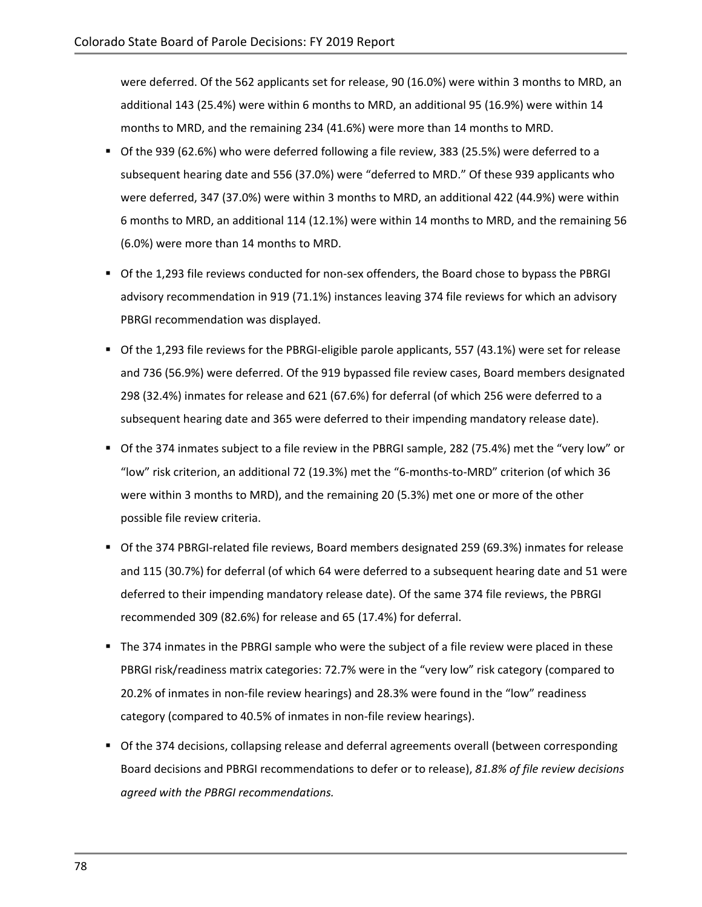were deferred. Of the 562 applicants set for release, 90 (16.0%) were within 3 months to MRD, an additional 143 (25.4%) were within 6 months to MRD, an additional 95 (16.9%) were within 14 months to MRD, and the remaining 234 (41.6%) were more than 14 months to MRD.

- Of the 939 (62.6%) who were deferred following a file review, 383 (25.5%) were deferred to a subsequent hearing date and 556 (37.0%) were "deferred to MRD." Of these 939 applicants who were deferred, 347 (37.0%) were within 3 months to MRD, an additional 422 (44.9%) were within 6 months to MRD, an additional 114 (12.1%) were within 14 months to MRD, and the remaining 56 (6.0%) were more than 14 months to MRD.
- Of the 1,293 file reviews conducted for non-sex offenders, the Board chose to bypass the PBRGI advisory recommendation in 919 (71.1%) instances leaving 374 file reviews for which an advisory PBRGI recommendation was displayed.
- Of the 1,293 file reviews for the PBRGI-eligible parole applicants, 557 (43.1%) were set for release and 736 (56.9%) were deferred. Of the 919 bypassed file review cases, Board members designated 298 (32.4%) inmates for release and 621 (67.6%) for deferral (of which 256 were deferred to a subsequent hearing date and 365 were deferred to their impending mandatory release date).
- Of the 374 inmates subject to a file review in the PBRGI sample, 282 (75.4%) met the "very low" or "low" risk criterion, an additional 72 (19.3%) met the "6-months-to-MRD" criterion (of which 36 were within 3 months to MRD), and the remaining 20 (5.3%) met one or more of the other possible file review criteria.
- Of the 374 PBRGI-related file reviews, Board members designated 259 (69.3%) inmates for release and 115 (30.7%) for deferral (of which 64 were deferred to a subsequent hearing date and 51 were deferred to their impending mandatory release date). Of the same 374 file reviews, the PBRGI recommended 309 (82.6%) for release and 65 (17.4%) for deferral.
- The 374 inmates in the PBRGI sample who were the subject of a file review were placed in these PBRGI risk/readiness matrix categories: 72.7% were in the "very low" risk category (compared to 20.2% of inmates in non-file review hearings) and 28.3% were found in the "low" readiness category (compared to 40.5% of inmates in non-file review hearings).
- Of the 374 decisions, collapsing release and deferral agreements overall (between corresponding Board decisions and PBRGI recommendations to defer or to release), *81.8% of file review decisions agreed with the PBRGI recommendations.*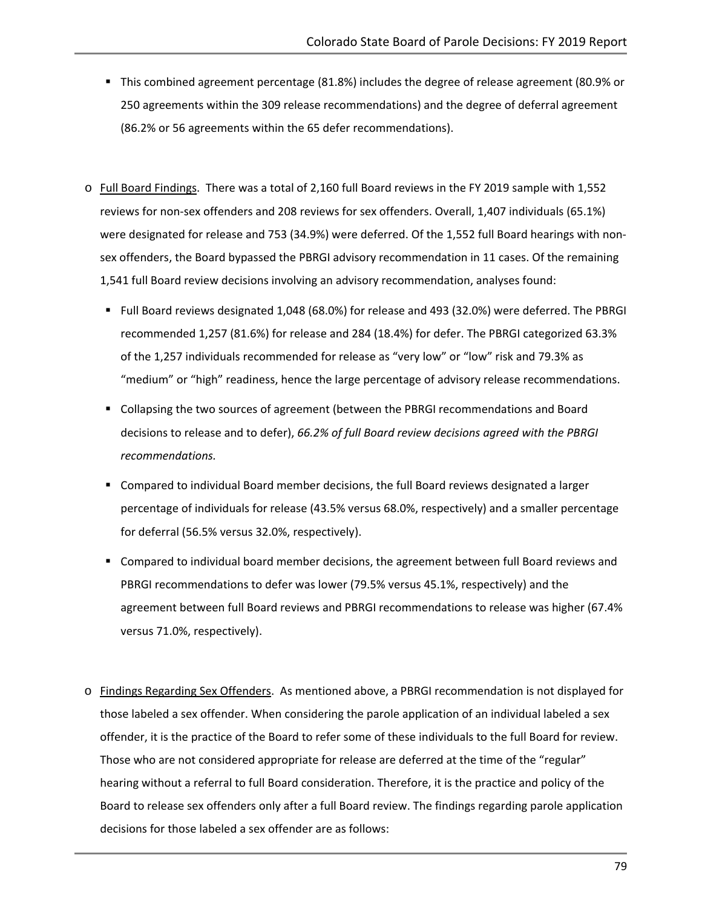- This combined agreement percentage (81.8%) includes the degree of release agreement (80.9% or 250 agreements within the 309 release recommendations) and the degree of deferral agreement (86.2% or 56 agreements within the 65 defer recommendations).
- o Full Board Findings. There was a total of 2,160 full Board reviews in the FY 2019 sample with 1,552 reviews for non-sex offenders and 208 reviews for sex offenders. Overall, 1,407 individuals (65.1%) were designated for release and 753 (34.9%) were deferred. Of the 1,552 full Board hearings with nonsex offenders, the Board bypassed the PBRGI advisory recommendation in 11 cases. Of the remaining 1,541 full Board review decisions involving an advisory recommendation, analyses found:
	- Full Board reviews designated 1,048 (68.0%) for release and 493 (32.0%) were deferred. The PBRGI recommended 1,257 (81.6%) for release and 284 (18.4%) for defer. The PBRGI categorized 63.3% of the 1,257 individuals recommended for release as "very low" or "low" risk and 79.3% as "medium" or "high" readiness, hence the large percentage of advisory release recommendations.
	- Collapsing the two sources of agreement (between the PBRGI recommendations and Board decisions to release and to defer), *66.2% of full Board review decisions agreed with the PBRGI recommendations.*
	- Compared to individual Board member decisions, the full Board reviews designated a larger percentage of individuals for release (43.5% versus 68.0%, respectively) and a smaller percentage for deferral (56.5% versus 32.0%, respectively).
	- Compared to individual board member decisions, the agreement between full Board reviews and PBRGI recommendations to defer was lower (79.5% versus 45.1%, respectively) and the agreement between full Board reviews and PBRGI recommendations to release was higher (67.4% versus 71.0%, respectively).
- o Findings Regarding Sex Offenders. As mentioned above, a PBRGI recommendation is not displayed for those labeled a sex offender. When considering the parole application of an individual labeled a sex offender, it is the practice of the Board to refer some of these individuals to the full Board for review. Those who are not considered appropriate for release are deferred at the time of the "regular" hearing without a referral to full Board consideration. Therefore, it is the practice and policy of the Board to release sex offenders only after a full Board review. The findings regarding parole application decisions for those labeled a sex offender are as follows: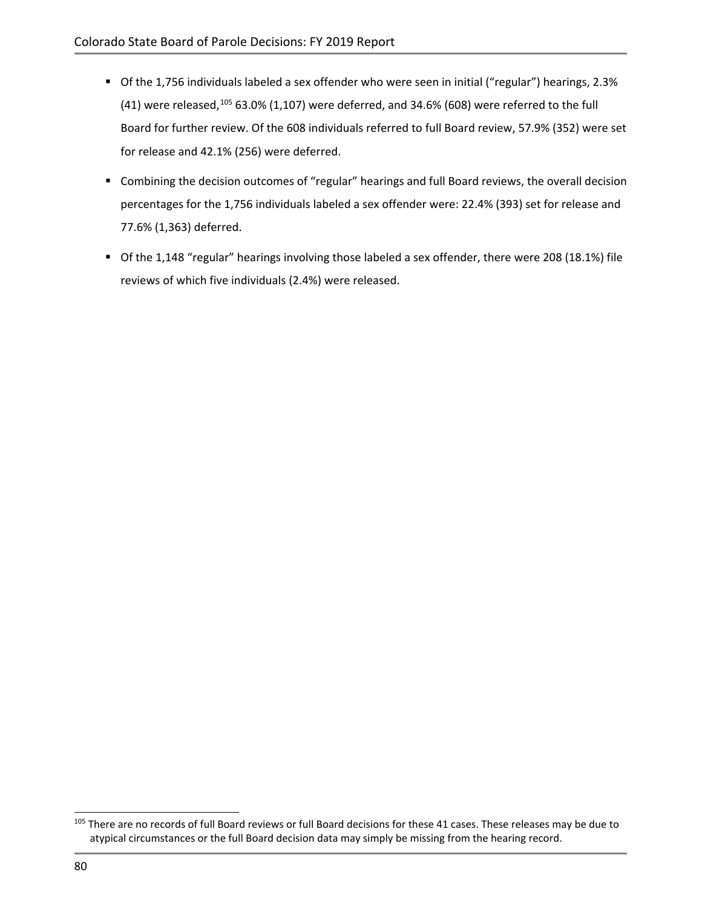- Of the 1,756 individuals labeled a sex offender who were seen in initial ("regular") hearings, 2.3% (41) were released, $105$  63.0% (1,107) were deferred, and 34.6% (608) were referred to the full Board for further review. Of the 608 individuals referred to full Board review, 57.9% (352) were set for release and 42.1% (256) were deferred.
- Combining the decision outcomes of "regular" hearings and full Board reviews, the overall decision percentages for the 1,756 individuals labeled a sex offender were: 22.4% (393) set for release and 77.6% (1,363) deferred.
- Of the 1,148 "regular" hearings involving those labeled a sex offender, there were 208 (18.1%) file reviews of which five individuals (2.4%) were released.

<span id="page-85-0"></span><sup>105</sup> There are no records of full Board reviews or full Board decisions for these 41 cases. These releases may be due to atypical circumstances or the full Board decision data may simply be missing from the hearing record.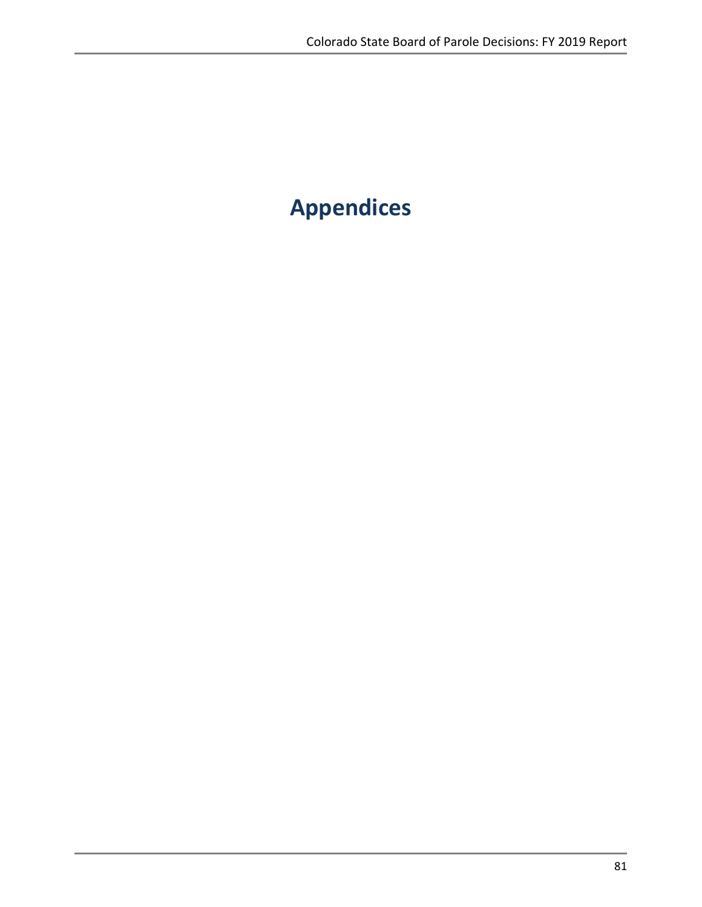# **Appendices**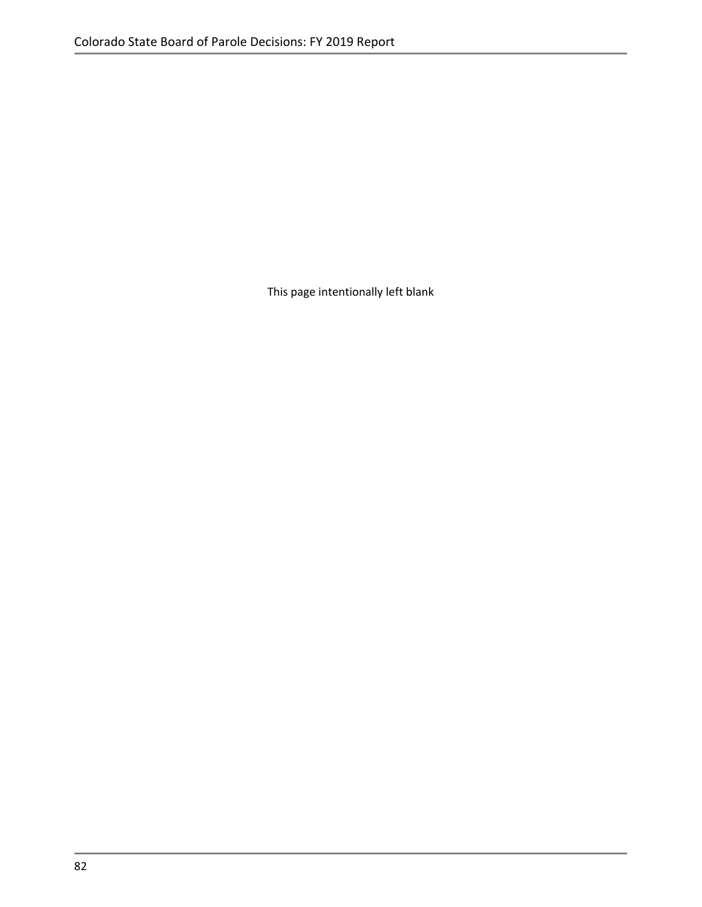This page intentionally left blank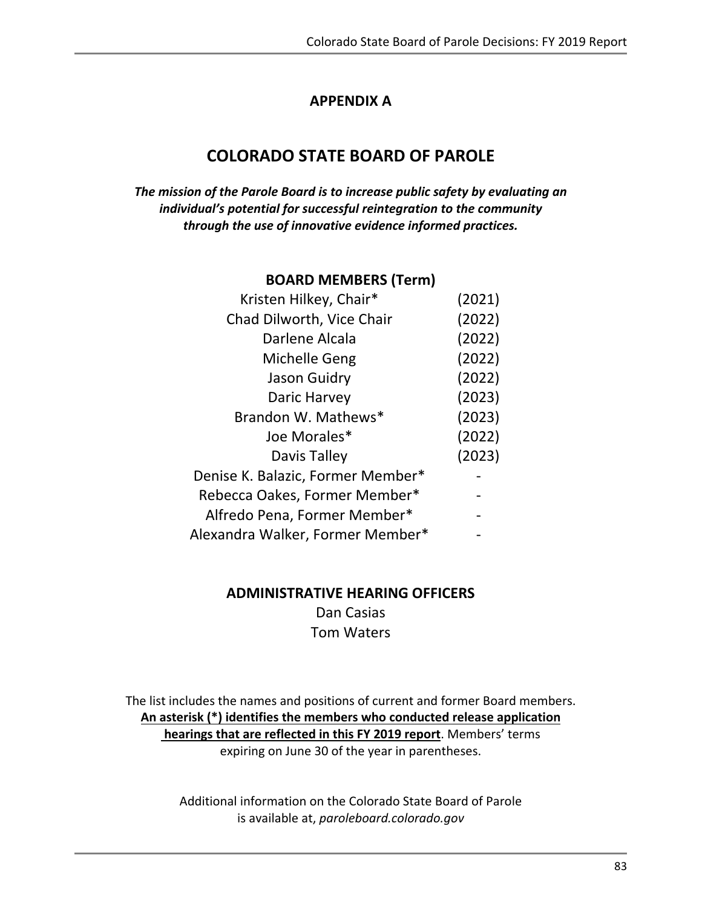## **APPENDIX A**

## **COLORADO STATE BOARD OF PAROLE**

*The mission of the Parole Board is to increase public safety by evaluating an individual's potential for successful reintegration to the community through the use of innovative evidence informed practices.*

## **BOARD MEMBERS (Term)**

| Kristen Hilkey, Chair*            | (2021) |
|-----------------------------------|--------|
| Chad Dilworth, Vice Chair         | (2022) |
| Darlene Alcala                    | (2022) |
| Michelle Geng                     | (2022) |
| Jason Guidry                      | (2022) |
| Daric Harvey                      | (2023) |
| Brandon W. Mathews*               | (2023) |
| Joe Morales*                      | (2022) |
| Davis Talley                      | (2023) |
| Denise K. Balazic, Former Member* |        |
| Rebecca Oakes, Former Member*     |        |
| Alfredo Pena, Former Member*      |        |
| Alexandra Walker, Former Member*  |        |

## **ADMINISTRATIVE HEARING OFFICERS**

Dan Casias Tom Waters

The list includes the names and positions of current and former Board members. **An asterisk (\*) identifies the members who conducted release application hearings that are reflected in this FY 2019 report**. Members' terms expiring on June 30 of the year in parentheses.

> Additional information on the Colorado State Board of Parole is available at, *paroleboard.colorado.gov*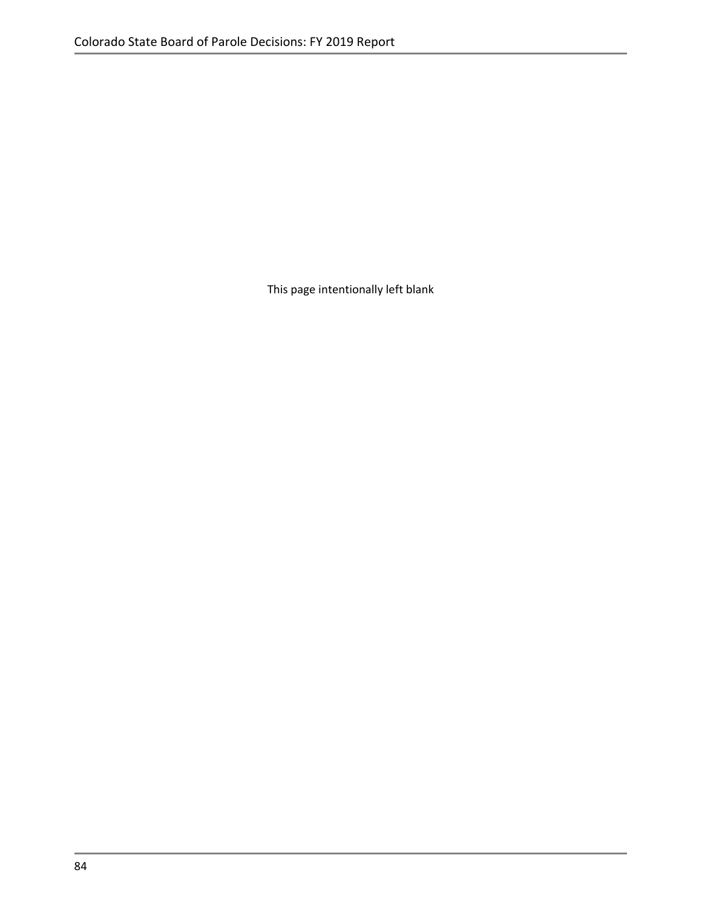This page intentionally left blank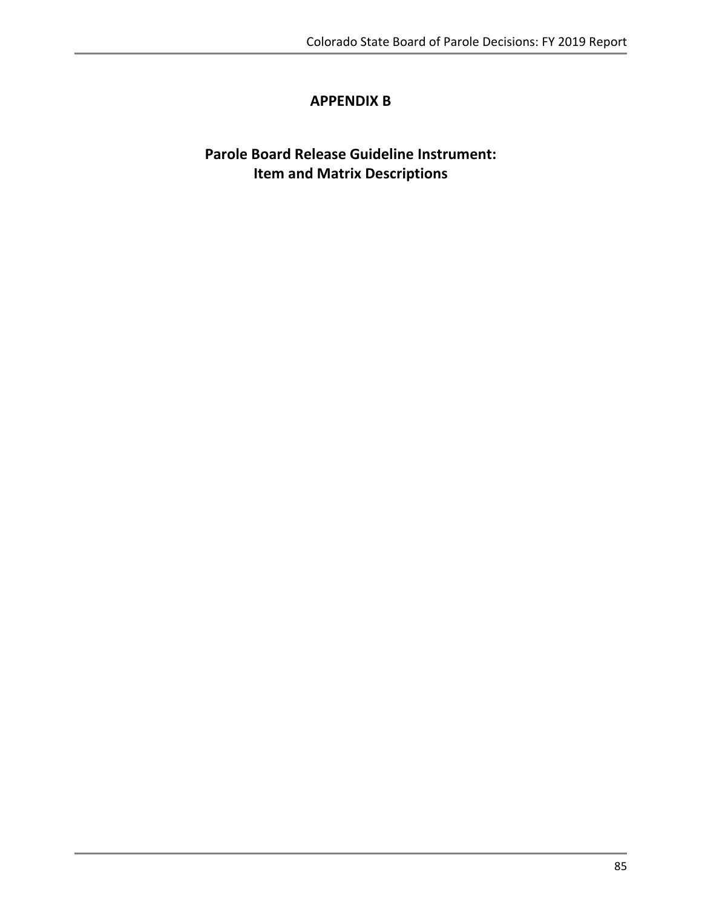## **APPENDIX B**

## **Parole Board Release Guideline Instrument: Item and Matrix Descriptions**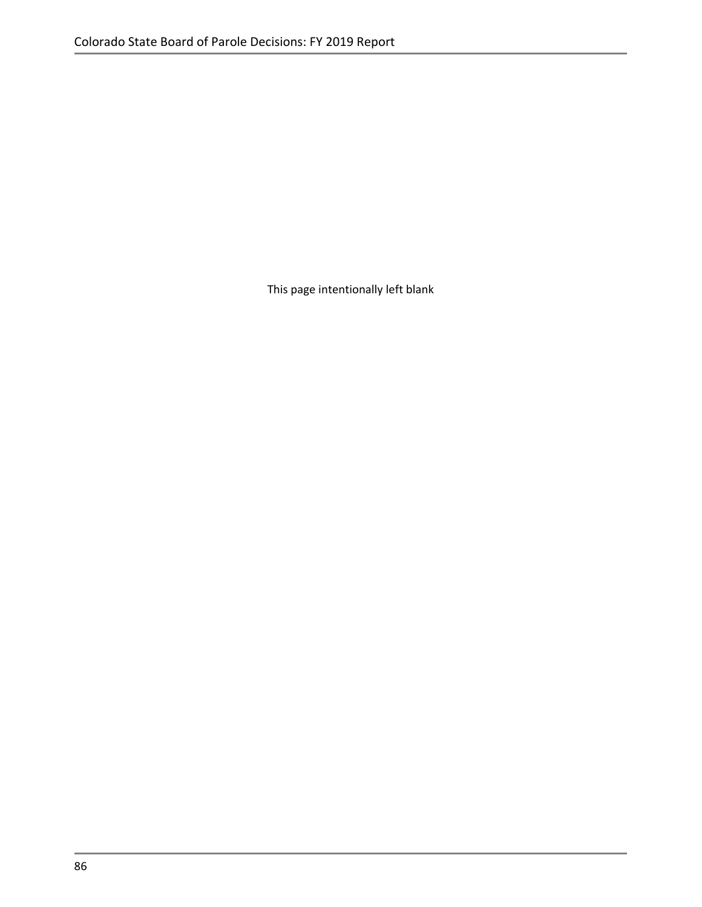This page intentionally left blank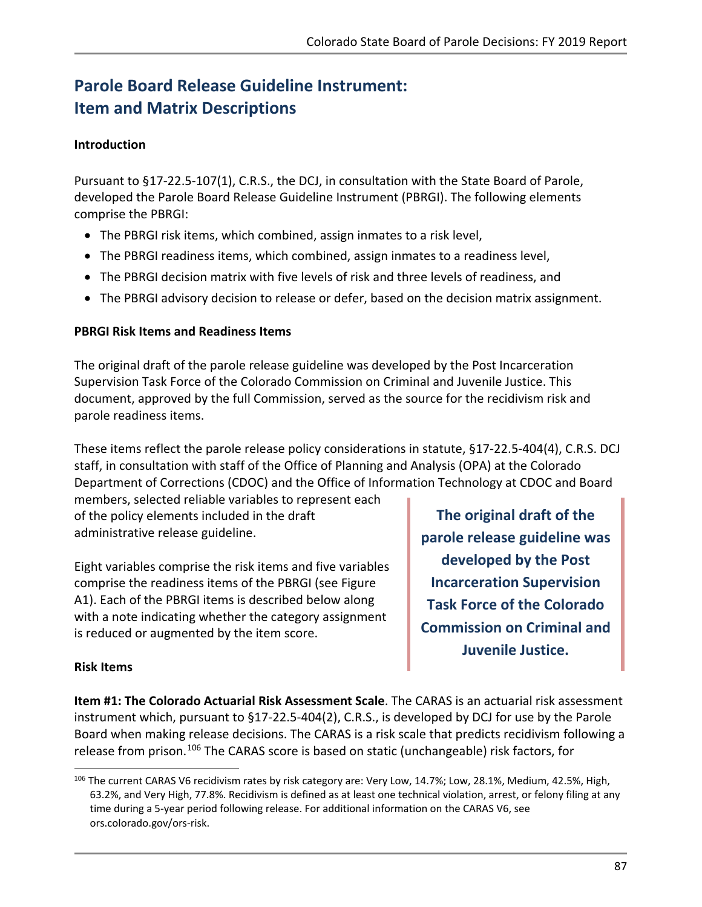## **Parole Board Release Guideline Instrument: Item and Matrix Descriptions**

## **Introduction**

Pursuant to §17-22.5-107(1), C.R.S., the DCJ, in consultation with the State Board of Parole, developed the Parole Board Release Guideline Instrument (PBRGI). The following elements comprise the PBRGI:

- The PBRGI risk items, which combined, assign inmates to a risk level,
- The PBRGI readiness items, which combined, assign inmates to a readiness level,
- The PBRGI decision matrix with five levels of risk and three levels of readiness, and
- The PBRGI advisory decision to release or defer, based on the decision matrix assignment.

## **PBRGI Risk Items and Readiness Items**

The original draft of the parole release guideline was developed by the Post Incarceration Supervision Task Force of the Colorado Commission on Criminal and Juvenile Justice. This document, approved by the full Commission, served as the source for the recidivism risk and parole readiness items.

These items reflect the parole release policy considerations in statute, §17-22.5-404(4), C.R.S. DCJ staff, in consultation with staff of the Office of Planning and Analysis (OPA) at the Colorado Department of Corrections (CDOC) and the Office of Information Technology at CDOC and Board

members, selected reliable variables to represent each of the policy elements included in the draft administrative release guideline.

Eight variables comprise the risk items and five variables comprise the readiness items of the PBRGI (see Figure A1). Each of the PBRGI items is described below along with a note indicating whether the category assignment is reduced or augmented by the item score.

**The original draft of the parole release guideline was developed by the Post Incarceration Supervision Task Force of the Colorado Commission on Criminal and Juvenile Justice.**

## **Risk Items**

**Item #1: The Colorado Actuarial Risk Assessment Scale**. The CARAS is an actuarial risk assessment instrument which, pursuant to §17-22.5-404(2), C.R.S., is developed by DCJ for use by the Parole Board when making release decisions. The CARAS is a risk scale that predicts recidivism following a release from prison.<sup>[106](#page-92-0)</sup> The CARAS score is based on static (unchangeable) risk factors, for

<span id="page-92-0"></span><sup>&</sup>lt;sup>106</sup> The current CARAS V6 recidivism rates by risk category are: Very Low, 14.7%; Low, 28.1%, Medium, 42.5%, High, 63.2%, and Very High, 77.8%. Recidivism is defined as at least one technical violation, arrest, or felony filing at any time during a 5-year period following release. For additional information on the CARAS V6, see ors.colorado.gov/ors-risk.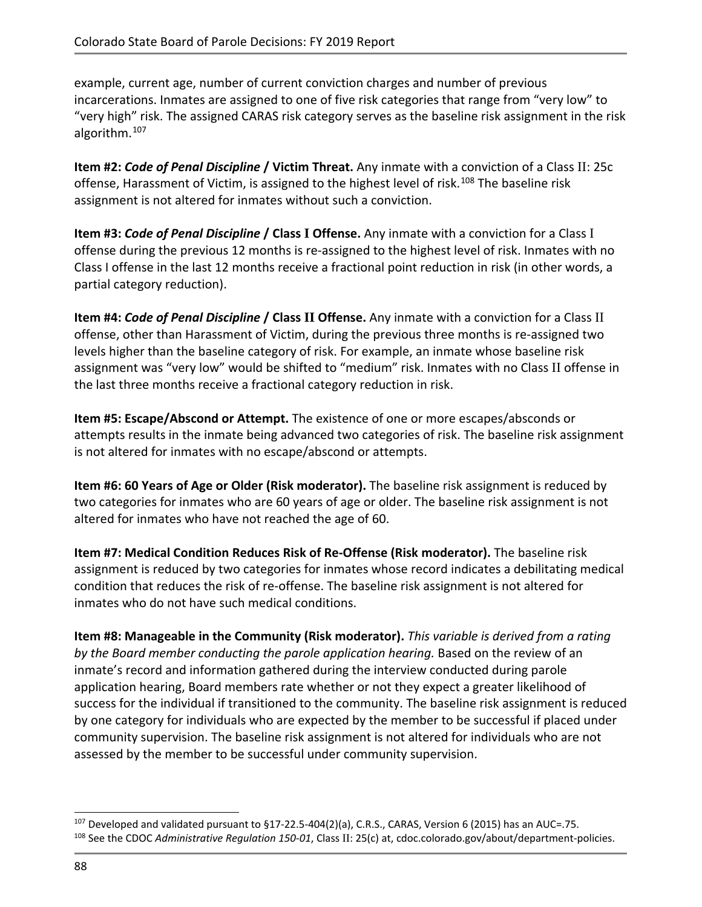example, current age, number of current conviction charges and number of previous incarcerations. Inmates are assigned to one of five risk categories that range from "very low" to "very high" risk. The assigned CARAS risk category serves as the baseline risk assignment in the risk algorithm.[107](#page-93-0)

**Item #2:** *Code of Penal Discipline* **/ Victim Threat.** Any inmate with a conviction of a Class II: 25c offense, Harassment of Victim, is assigned to the highest level of risk.<sup>[108](#page-93-1)</sup> The baseline risk assignment is not altered for inmates without such a conviction.

**Item #3:** *Code of Penal Discipline* **/ Class I Offense.** Any inmate with a conviction for a Class I offense during the previous 12 months is re-assigned to the highest level of risk. Inmates with no Class I offense in the last 12 months receive a fractional point reduction in risk (in other words, a partial category reduction).

**Item #4:** *Code of Penal Discipline* **/ Class II Offense.** Any inmate with a conviction for a Class II offense, other than Harassment of Victim, during the previous three months is re-assigned two levels higher than the baseline category of risk. For example, an inmate whose baseline risk assignment was "very low" would be shifted to "medium" risk. Inmates with no Class II offense in the last three months receive a fractional category reduction in risk.

**Item #5: Escape/Abscond or Attempt.** The existence of one or more escapes/absconds or attempts results in the inmate being advanced two categories of risk. The baseline risk assignment is not altered for inmates with no escape/abscond or attempts.

**Item #6: 60 Years of Age or Older (Risk moderator).** The baseline risk assignment is reduced by two categories for inmates who are 60 years of age or older. The baseline risk assignment is not altered for inmates who have not reached the age of 60.

**Item #7: Medical Condition Reduces Risk of Re-Offense (Risk moderator).** The baseline risk assignment is reduced by two categories for inmates whose record indicates a debilitating medical condition that reduces the risk of re-offense. The baseline risk assignment is not altered for inmates who do not have such medical conditions.

**Item #8: Manageable in the Community (Risk moderator).** *This variable is derived from a rating by the Board member conducting the parole application hearing.* Based on the review of an inmate's record and information gathered during the interview conducted during parole application hearing, Board members rate whether or not they expect a greater likelihood of success for the individual if transitioned to the community. The baseline risk assignment is reduced by one category for individuals who are expected by the member to be successful if placed under community supervision. The baseline risk assignment is not altered for individuals who are not assessed by the member to be successful under community supervision.

<span id="page-93-1"></span><span id="page-93-0"></span> $107$  Developed and validated pursuant to §17-22.5-404(2)(a), C.R.S., CARAS, Version 6 (2015) has an AUC=.75. <sup>108</sup> See the CDOC *Administrative Regulation 150-01*, Class II: 25(c) at, cdoc.colorado.gov/about/department-policies.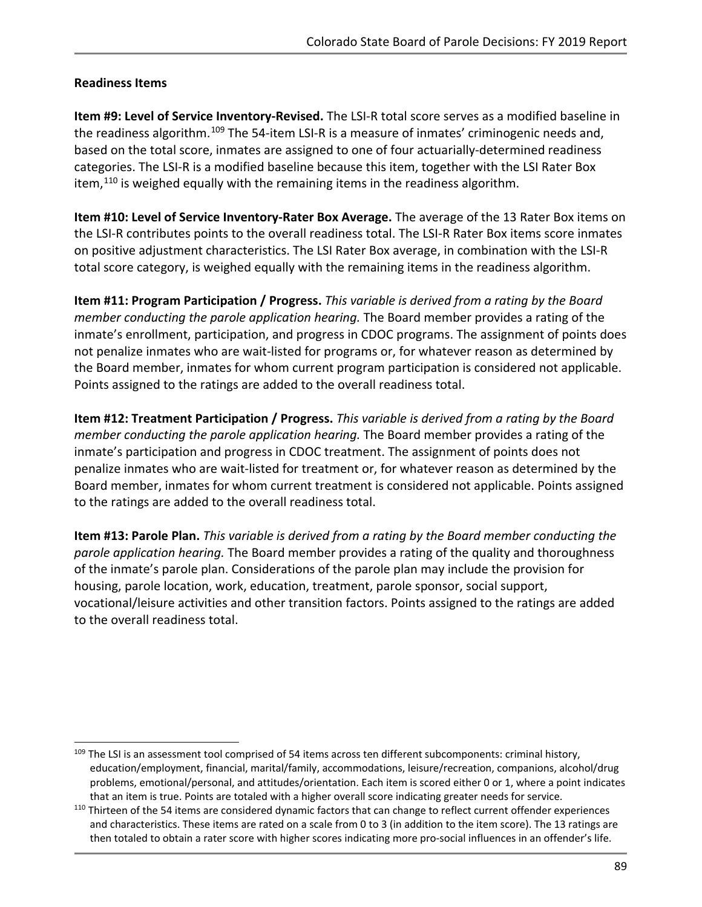## **Readiness Items**

**Item #9: Level of Service Inventory-Revised.** The LSI-R total score serves as a modified baseline in the readiness algorithm.<sup>[109](#page-94-0)</sup> The 54-item LSI-R is a measure of inmates' criminogenic needs and, based on the total score, inmates are assigned to one of four actuarially-determined readiness categories. The LSI-R is a modified baseline because this item, together with the LSI Rater Box item, $110$  is weighed equally with the remaining items in the readiness algorithm.

**Item #10: Level of Service Inventory-Rater Box Average.** The average of the 13 Rater Box items on the LSI-R contributes points to the overall readiness total. The LSI-R Rater Box items score inmates on positive adjustment characteristics. The LSI Rater Box average, in combination with the LSI-R total score category, is weighed equally with the remaining items in the readiness algorithm.

**Item #11: Program Participation / Progress.** *This variable is derived from a rating by the Board member conducting the parole application hearing.* The Board member provides a rating of the inmate's enrollment, participation, and progress in CDOC programs. The assignment of points does not penalize inmates who are wait-listed for programs or, for whatever reason as determined by the Board member, inmates for whom current program participation is considered not applicable. Points assigned to the ratings are added to the overall readiness total.

**Item #12: Treatment Participation / Progress.** *This variable is derived from a rating by the Board member conducting the parole application hearing.* The Board member provides a rating of the inmate's participation and progress in CDOC treatment. The assignment of points does not penalize inmates who are wait-listed for treatment or, for whatever reason as determined by the Board member, inmates for whom current treatment is considered not applicable. Points assigned to the ratings are added to the overall readiness total.

**Item #13: Parole Plan.** *This variable is derived from a rating by the Board member conducting the parole application hearing.* The Board member provides a rating of the quality and thoroughness of the inmate's parole plan. Considerations of the parole plan may include the provision for housing, parole location, work, education, treatment, parole sponsor, social support, vocational/leisure activities and other transition factors. Points assigned to the ratings are added to the overall readiness total.

<span id="page-94-0"></span><sup>&</sup>lt;sup>109</sup> The LSI is an assessment tool comprised of 54 items across ten different subcomponents: criminal history, education/employment, financial, marital/family, accommodations, leisure/recreation, companions, alcohol/drug problems, emotional/personal, and attitudes/orientation. Each item is scored either 0 or 1, where a point indicates that an item is true. Points are totaled with a higher overall score indicating greater needs for service.

<span id="page-94-1"></span><sup>&</sup>lt;sup>110</sup> Thirteen of the 54 items are considered dynamic factors that can change to reflect current offender experiences and characteristics. These items are rated on a scale from 0 to 3 (in addition to the item score). The 13 ratings are then totaled to obtain a rater score with higher scores indicating more pro-social influences in an offender's life.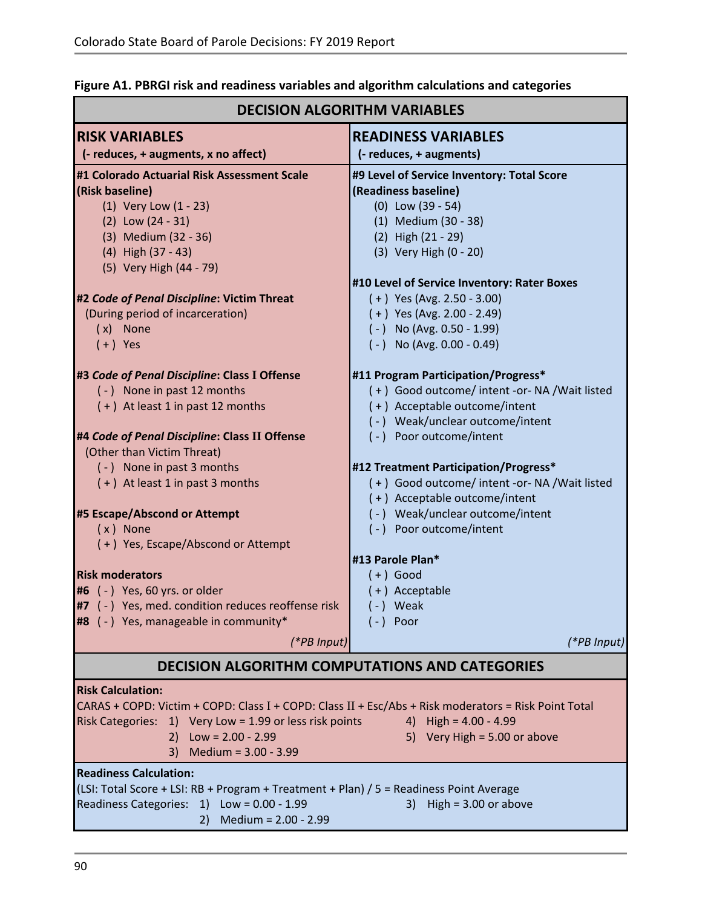| <b>DECISION ALGORITHM VARIABLES</b>                                                                  |                                                |  |  |  |  |
|------------------------------------------------------------------------------------------------------|------------------------------------------------|--|--|--|--|
| <b>RISK VARIABLES</b>                                                                                | <b>READINESS VARIABLES</b>                     |  |  |  |  |
| (- reduces, + augments, x no affect)                                                                 | (- reduces, + augments)                        |  |  |  |  |
| #1 Colorado Actuarial Risk Assessment Scale                                                          | #9 Level of Service Inventory: Total Score     |  |  |  |  |
| (Risk baseline)                                                                                      | (Readiness baseline)                           |  |  |  |  |
| $(1)$ Very Low $(1 - 23)$                                                                            | $(0)$ Low $(39 - 54)$                          |  |  |  |  |
| $(2)$ Low $(24 - 31)$                                                                                | (1) Medium (30 - 38)                           |  |  |  |  |
| (3) Medium (32 - 36)                                                                                 | $(2)$ High $(21 - 29)$                         |  |  |  |  |
| $(4)$ High $(37 - 43)$                                                                               | (3) Very High (0 - 20)                         |  |  |  |  |
| (5) Very High (44 - 79)                                                                              |                                                |  |  |  |  |
|                                                                                                      | #10 Level of Service Inventory: Rater Boxes    |  |  |  |  |
| #2 Code of Penal Discipline: Victim Threat                                                           | $(+)$ Yes (Avg. 2.50 - 3.00)                   |  |  |  |  |
| (During period of incarceration)                                                                     | $(+)$ Yes (Avg. 2.00 - 2.49)                   |  |  |  |  |
| (x) None                                                                                             | $(-)$ No (Avg. 0.50 - 1.99)                    |  |  |  |  |
| $(+)$ Yes                                                                                            | $(-)$ No (Avg. 0.00 - 0.49)                    |  |  |  |  |
| #3 Code of Penal Discipline: Class I Offense                                                         | #11 Program Participation/Progress*            |  |  |  |  |
| (-) None in past 12 months                                                                           | (+) Good outcome/ intent -or- NA / Wait listed |  |  |  |  |
| (+) At least 1 in past 12 months                                                                     | (+) Acceptable outcome/intent                  |  |  |  |  |
|                                                                                                      | (-) Weak/unclear outcome/intent                |  |  |  |  |
| #4 Code of Penal Discipline: Class II Offense                                                        | (-) Poor outcome/intent                        |  |  |  |  |
| (Other than Victim Threat)                                                                           |                                                |  |  |  |  |
| (-) None in past 3 months                                                                            | #12 Treatment Participation/Progress*          |  |  |  |  |
| (+) At least 1 in past 3 months                                                                      | (+) Good outcome/ intent -or- NA /Wait listed  |  |  |  |  |
|                                                                                                      | (+) Acceptable outcome/intent                  |  |  |  |  |
| #5 Escape/Abscond or Attempt                                                                         | (-) Weak/unclear outcome/intent                |  |  |  |  |
| (x) None                                                                                             | (-) Poor outcome/intent                        |  |  |  |  |
| (+) Yes, Escape/Abscond or Attempt                                                                   |                                                |  |  |  |  |
|                                                                                                      | #13 Parole Plan*                               |  |  |  |  |
| <b>Risk moderators</b>                                                                               | $(+)$ Good                                     |  |  |  |  |
| #6 (-) Yes, 60 yrs. or older                                                                         | (+) Acceptable                                 |  |  |  |  |
| #7 (-) Yes, med. condition reduces reoffense risk                                                    | $(-)$ Weak                                     |  |  |  |  |
| $#8$ (-) Yes, manageable in community*                                                               | $(-)$ Poor                                     |  |  |  |  |
| (*PB Input)                                                                                          | (*PB Input)                                    |  |  |  |  |
| <b>DECISION ALGORITHM COMPUTATIONS AND CATEGORIES</b>                                                |                                                |  |  |  |  |
| <b>Risk Calculation:</b>                                                                             |                                                |  |  |  |  |
| CARAS + COPD: Victim + COPD: Class I + COPD: Class II + Esc/Abs + Risk moderators = Risk Point Total |                                                |  |  |  |  |
| Risk Categories: 1) Very Low = 1.99 or less risk points<br>4) High = $4.00 - 4.99$                   |                                                |  |  |  |  |
| $Low = 2.00 - 2.99$<br>5) Very High = $5.00$ or above<br>(2)                                         |                                                |  |  |  |  |
| 3) Medium = $3.00 - 3.99$                                                                            |                                                |  |  |  |  |
| <b>Readiness Calculation:</b>                                                                        |                                                |  |  |  |  |
| (LSI: Total Score + LSI: RB + Program + Treatment + Plan) / 5 = Readiness Point Average              |                                                |  |  |  |  |

## **Figure A1. PBRGI risk and readiness variables and algorithm calculations and categories**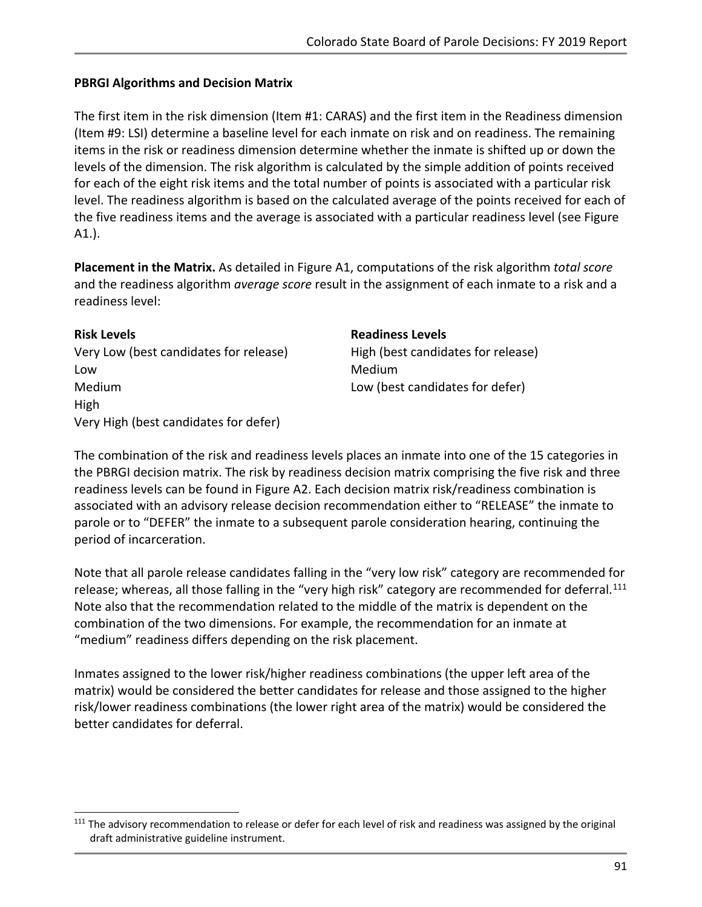## **PBRGI Algorithms and Decision Matrix**

The first item in the risk dimension (Item #1: CARAS) and the first item in the Readiness dimension (Item #9: LSI) determine a baseline level for each inmate on risk and on readiness. The remaining items in the risk or readiness dimension determine whether the inmate is shifted up or down the levels of the dimension. The risk algorithm is calculated by the simple addition of points received for each of the eight risk items and the total number of points is associated with a particular risk level. The readiness algorithm is based on the calculated average of the points received for each of the five readiness items and the average is associated with a particular readiness level (see Figure A1.).

**Placement in the Matrix.** As detailed in Figure A1, computations of the risk algorithm *total score* and the readiness algorithm *average score* result in the assignment of each inmate to a risk and a readiness level:

Very Low (best candidates for release) Low Medium High Very High (best candidates for defer)

#### **Risk Levels Readiness Levels**

High (best candidates for release) Medium Low (best candidates for defer)

The combination of the risk and readiness levels places an inmate into one of the 15 categories in the PBRGI decision matrix. The risk by readiness decision matrix comprising the five risk and three readiness levels can be found in Figure A2. Each decision matrix risk/readiness combination is associated with an advisory release decision recommendation either to "RELEASE" the inmate to parole or to "DEFER" the inmate to a subsequent parole consideration hearing, continuing the period of incarceration.

Note that all parole release candidates falling in the "very low risk" category are recommended for release; whereas, all those falling in the "very high risk" category are recommended for deferral.<sup>111</sup> Note also that the recommendation related to the middle of the matrix is dependent on the combination of the two dimensions. For example, the recommendation for an inmate at "medium" readiness differs depending on the risk placement.

Inmates assigned to the lower risk/higher readiness combinations (the upper left area of the matrix) would be considered the better candidates for release and those assigned to the higher risk/lower readiness combinations (the lower right area of the matrix) would be considered the better candidates for deferral.

<span id="page-96-0"></span><sup>&</sup>lt;sup>111</sup> The advisory recommendation to release or defer for each level of risk and readiness was assigned by the original draft administrative guideline instrument.